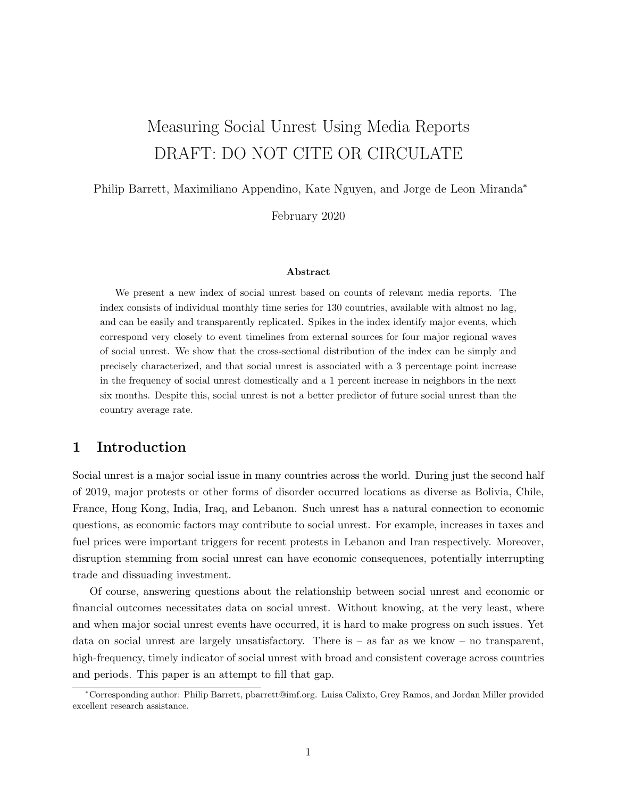# Measuring Social Unrest Using Media Reports DRAFT: DO NOT CITE OR CIRCULATE

Philip Barrett, Maximiliano Appendino, Kate Nguyen, and Jorge de Leon Miranda<sup>∗</sup>

February 2020

#### Abstract

We present a new index of social unrest based on counts of relevant media reports. The index consists of individual monthly time series for 130 countries, available with almost no lag, and can be easily and transparently replicated. Spikes in the index identify major events, which correspond very closely to event timelines from external sources for four major regional waves of social unrest. We show that the cross-sectional distribution of the index can be simply and precisely characterized, and that social unrest is associated with a 3 percentage point increase in the frequency of social unrest domestically and a 1 percent increase in neighbors in the next six months. Despite this, social unrest is not a better predictor of future social unrest than the country average rate.

## 1 Introduction

Social unrest is a major social issue in many countries across the world. During just the second half of 2019, major protests or other forms of disorder occurred locations as diverse as Bolivia, Chile, France, Hong Kong, India, Iraq, and Lebanon. Such unrest has a natural connection to economic questions, as economic factors may contribute to social unrest. For example, increases in taxes and fuel prices were important triggers for recent protests in Lebanon and Iran respectively. Moreover, disruption stemming from social unrest can have economic consequences, potentially interrupting trade and dissuading investment.

Of course, answering questions about the relationship between social unrest and economic or financial outcomes necessitates data on social unrest. Without knowing, at the very least, where and when major social unrest events have occurred, it is hard to make progress on such issues. Yet data on social unrest are largely unsatisfactory. There is  $-$  as far as we know  $-$  no transparent, high-frequency, timely indicator of social unrest with broad and consistent coverage across countries and periods. This paper is an attempt to fill that gap.

<sup>∗</sup>Corresponding author: Philip Barrett, pbarrett@imf.org. Luisa Calixto, Grey Ramos, and Jordan Miller provided excellent research assistance.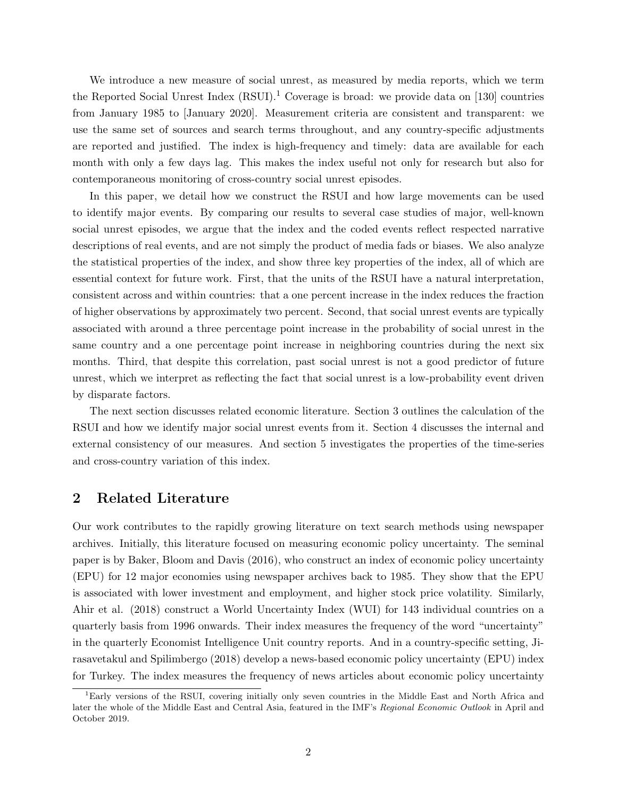We introduce a new measure of social unrest, as measured by media reports, which we term the Reported Social Unrest Index  $(RSUI)^{1}$  Coverage is broad: we provide data on [130] countries from January 1985 to [January 2020]. Measurement criteria are consistent and transparent: we use the same set of sources and search terms throughout, and any country-specific adjustments are reported and justified. The index is high-frequency and timely: data are available for each month with only a few days lag. This makes the index useful not only for research but also for contemporaneous monitoring of cross-country social unrest episodes.

In this paper, we detail how we construct the RSUI and how large movements can be used to identify major events. By comparing our results to several case studies of major, well-known social unrest episodes, we argue that the index and the coded events reflect respected narrative descriptions of real events, and are not simply the product of media fads or biases. We also analyze the statistical properties of the index, and show three key properties of the index, all of which are essential context for future work. First, that the units of the RSUI have a natural interpretation, consistent across and within countries: that a one percent increase in the index reduces the fraction of higher observations by approximately two percent. Second, that social unrest events are typically associated with around a three percentage point increase in the probability of social unrest in the same country and a one percentage point increase in neighboring countries during the next six months. Third, that despite this correlation, past social unrest is not a good predictor of future unrest, which we interpret as reflecting the fact that social unrest is a low-probability event driven by disparate factors.

The next section discusses related economic literature. Section 3 outlines the calculation of the RSUI and how we identify major social unrest events from it. Section 4 discusses the internal and external consistency of our measures. And section 5 investigates the properties of the time-series and cross-country variation of this index.

## 2 Related Literature

Our work contributes to the rapidly growing literature on text search methods using newspaper archives. Initially, this literature focused on measuring economic policy uncertainty. The seminal paper is by Baker, Bloom and Davis (2016), who construct an index of economic policy uncertainty (EPU) for 12 major economies using newspaper archives back to 1985. They show that the EPU is associated with lower investment and employment, and higher stock price volatility. Similarly, Ahir et al. (2018) construct a World Uncertainty Index (WUI) for 143 individual countries on a quarterly basis from 1996 onwards. Their index measures the frequency of the word "uncertainty" in the quarterly Economist Intelligence Unit country reports. And in a country-specific setting, Jirasavetakul and Spilimbergo (2018) develop a news-based economic policy uncertainty (EPU) index for Turkey. The index measures the frequency of news articles about economic policy uncertainty

<sup>1</sup>Early versions of the RSUI, covering initially only seven countries in the Middle East and North Africa and later the whole of the Middle East and Central Asia, featured in the IMF's Regional Economic Outlook in April and October 2019.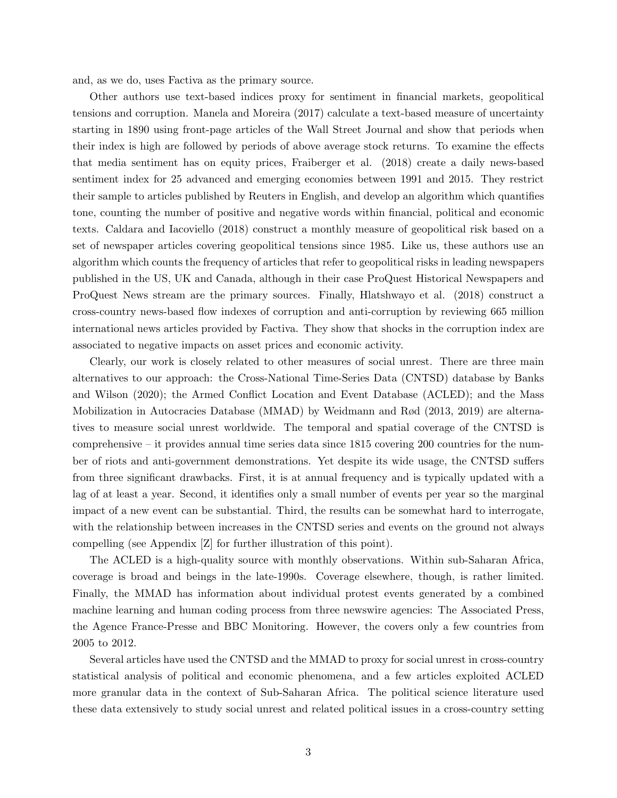and, as we do, uses Factiva as the primary source.

Other authors use text-based indices proxy for sentiment in financial markets, geopolitical tensions and corruption. Manela and Moreira (2017) calculate a text-based measure of uncertainty starting in 1890 using front-page articles of the Wall Street Journal and show that periods when their index is high are followed by periods of above average stock returns. To examine the effects that media sentiment has on equity prices, Fraiberger et al. (2018) create a daily news-based sentiment index for 25 advanced and emerging economies between 1991 and 2015. They restrict their sample to articles published by Reuters in English, and develop an algorithm which quantifies tone, counting the number of positive and negative words within financial, political and economic texts. Caldara and Iacoviello (2018) construct a monthly measure of geopolitical risk based on a set of newspaper articles covering geopolitical tensions since 1985. Like us, these authors use an algorithm which counts the frequency of articles that refer to geopolitical risks in leading newspapers published in the US, UK and Canada, although in their case ProQuest Historical Newspapers and ProQuest News stream are the primary sources. Finally, Hlatshwayo et al. (2018) construct a cross-country news-based flow indexes of corruption and anti-corruption by reviewing 665 million international news articles provided by Factiva. They show that shocks in the corruption index are associated to negative impacts on asset prices and economic activity.

Clearly, our work is closely related to other measures of social unrest. There are three main alternatives to our approach: the Cross-National Time-Series Data (CNTSD) database by Banks and Wilson (2020); the Armed Conflict Location and Event Database (ACLED); and the Mass Mobilization in Autocracies Database (MMAD) by Weidmann and Rød (2013, 2019) are alternatives to measure social unrest worldwide. The temporal and spatial coverage of the CNTSD is comprehensive – it provides annual time series data since 1815 covering 200 countries for the number of riots and anti-government demonstrations. Yet despite its wide usage, the CNTSD suffers from three significant drawbacks. First, it is at annual frequency and is typically updated with a lag of at least a year. Second, it identifies only a small number of events per year so the marginal impact of a new event can be substantial. Third, the results can be somewhat hard to interrogate, with the relationship between increases in the CNTSD series and events on the ground not always compelling (see Appendix [Z] for further illustration of this point).

The ACLED is a high-quality source with monthly observations. Within sub-Saharan Africa, coverage is broad and beings in the late-1990s. Coverage elsewhere, though, is rather limited. Finally, the MMAD has information about individual protest events generated by a combined machine learning and human coding process from three newswire agencies: The Associated Press, the Agence France-Presse and BBC Monitoring. However, the covers only a few countries from 2005 to 2012.

Several articles have used the CNTSD and the MMAD to proxy for social unrest in cross-country statistical analysis of political and economic phenomena, and a few articles exploited ACLED more granular data in the context of Sub-Saharan Africa. The political science literature used these data extensively to study social unrest and related political issues in a cross-country setting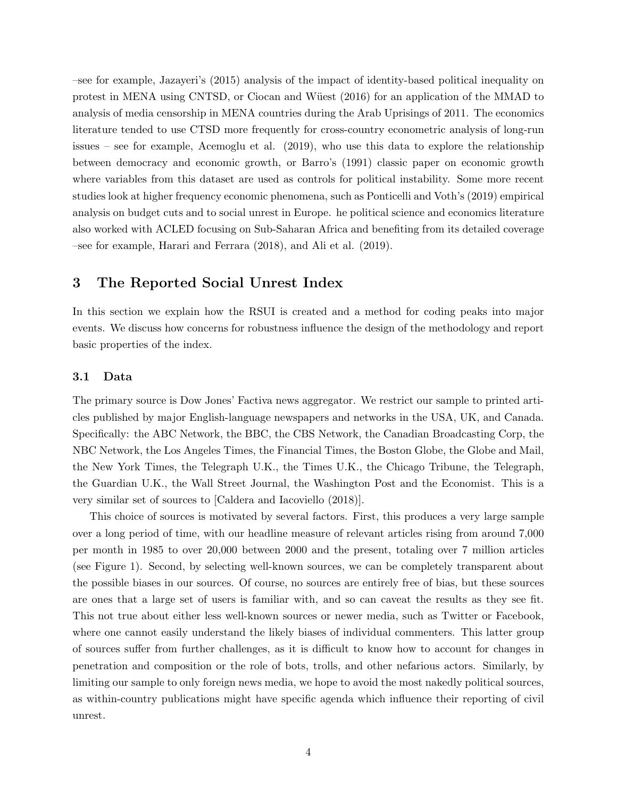–see for example, Jazayeri's (2015) analysis of the impact of identity-based political inequality on protest in MENA using CNTSD, or Ciocan and Wüest (2016) for an application of the MMAD to analysis of media censorship in MENA countries during the Arab Uprisings of 2011. The economics literature tended to use CTSD more frequently for cross-country econometric analysis of long-run issues – see for example, Acemoglu et al. (2019), who use this data to explore the relationship between democracy and economic growth, or Barro's (1991) classic paper on economic growth where variables from this dataset are used as controls for political instability. Some more recent studies look at higher frequency economic phenomena, such as Ponticelli and Voth's (2019) empirical analysis on budget cuts and to social unrest in Europe. he political science and economics literature also worked with ACLED focusing on Sub-Saharan Africa and benefiting from its detailed coverage –see for example, Harari and Ferrara (2018), and Ali et al. (2019).

## 3 The Reported Social Unrest Index

In this section we explain how the RSUI is created and a method for coding peaks into major events. We discuss how concerns for robustness influence the design of the methodology and report basic properties of the index.

### 3.1 Data

The primary source is Dow Jones' Factiva news aggregator. We restrict our sample to printed articles published by major English-language newspapers and networks in the USA, UK, and Canada. Specifically: the ABC Network, the BBC, the CBS Network, the Canadian Broadcasting Corp, the NBC Network, the Los Angeles Times, the Financial Times, the Boston Globe, the Globe and Mail, the New York Times, the Telegraph U.K., the Times U.K., the Chicago Tribune, the Telegraph, the Guardian U.K., the Wall Street Journal, the Washington Post and the Economist. This is a very similar set of sources to [Caldera and Iacoviello (2018)].

This choice of sources is motivated by several factors. First, this produces a very large sample over a long period of time, with our headline measure of relevant articles rising from around 7,000 per month in 1985 to over 20,000 between 2000 and the present, totaling over 7 million articles (see Figure 1). Second, by selecting well-known sources, we can be completely transparent about the possible biases in our sources. Of course, no sources are entirely free of bias, but these sources are ones that a large set of users is familiar with, and so can caveat the results as they see fit. This not true about either less well-known sources or newer media, such as Twitter or Facebook, where one cannot easily understand the likely biases of individual commenters. This latter group of sources suffer from further challenges, as it is difficult to know how to account for changes in penetration and composition or the role of bots, trolls, and other nefarious actors. Similarly, by limiting our sample to only foreign news media, we hope to avoid the most nakedly political sources, as within-country publications might have specific agenda which influence their reporting of civil unrest.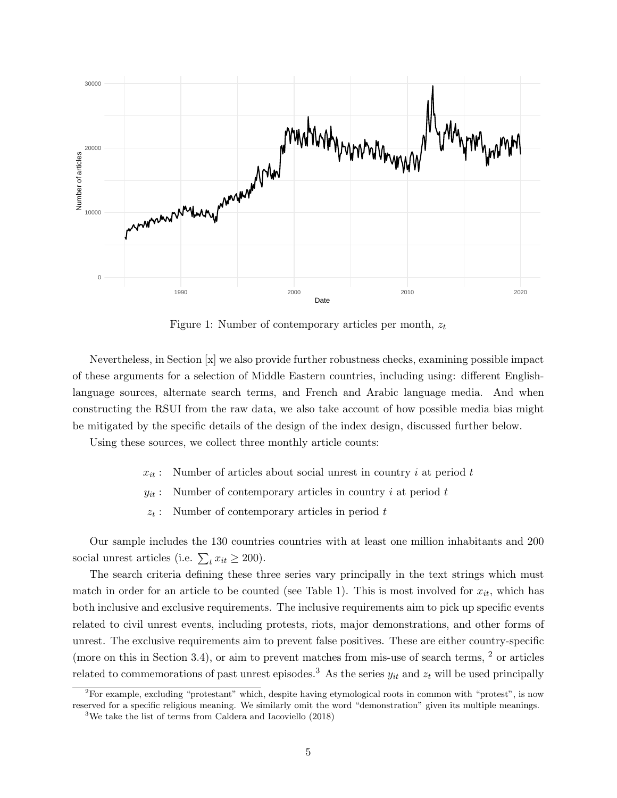

Figure 1: Number of contemporary articles per month,  $z_t$ 

Nevertheless, in Section [x] we also provide further robustness checks, examining possible impact of these arguments for a selection of Middle Eastern countries, including using: different Englishlanguage sources, alternate search terms, and French and Arabic language media. And when constructing the RSUI from the raw data, we also take account of how possible media bias might be mitigated by the specific details of the design of the index design, discussed further below.

Using these sources, we collect three monthly article counts:

- $x_{it}$ : Number of articles about social unrest in country i at period t
- $y_{it}$ : Number of contemporary articles in country i at period t
- $z_t$ : Number of contemporary articles in period t

Our sample includes the 130 countries countries with at least one million inhabitants and 200 social unrest articles (i.e.  $\sum_{t} x_{it} \ge 200$ ).

The search criteria defining these three series vary principally in the text strings which must match in order for an article to be counted (see Table 1). This is most involved for  $x_{it}$ , which has both inclusive and exclusive requirements. The inclusive requirements aim to pick up specific events related to civil unrest events, including protests, riots, major demonstrations, and other forms of unrest. The exclusive requirements aim to prevent false positives. These are either country-specific (more on this in Section 3.4), or aim to prevent matches from mis-use of search terms, <sup>2</sup> or articles related to commemorations of past unrest episodes.<sup>3</sup> As the series  $y_{it}$  and  $z_t$  will be used principally

<sup>&</sup>lt;sup>2</sup>For example, excluding "protestant" which, despite having etymological roots in common with "protest", is now reserved for a specific religious meaning. We similarly omit the word "demonstration" given its multiple meanings.

<sup>3</sup>We take the list of terms from Caldera and Iacoviello (2018)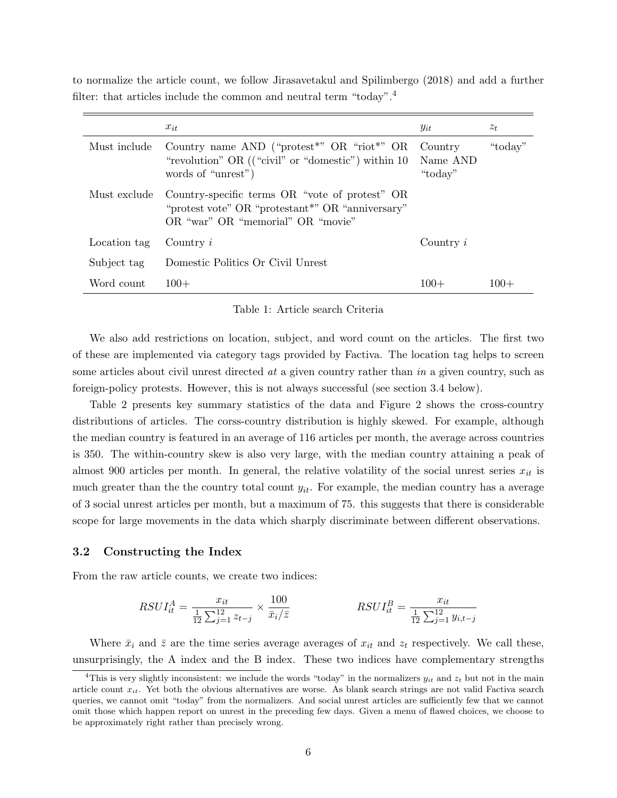|              | $x_{it}$                                                                                                                                            | $y_{it}$                       | $z_t$   |
|--------------|-----------------------------------------------------------------------------------------------------------------------------------------------------|--------------------------------|---------|
| Must include | Country name AND ("protest" $OR$ "riot"" $OR$<br>"revolution" OR $(("civil" or "domestic")$ within 10<br>words of "unrest")                         | Country<br>Name AND<br>"today" | "today" |
| Must exclude | Country-specific terms OR "vote of protest" OR<br>"protest vote" OR "protestant <sup>*"</sup> OR "anniversary"<br>OR "war" OR "memorial" OR "movie" |                                |         |
| Location tag | Country $i$                                                                                                                                         | Country $i$                    |         |
| Subject tag  | Domestic Politics Or Civil Unrest                                                                                                                   |                                |         |
| Word count   | $100+$                                                                                                                                              | $100+$                         | $100+$  |

to normalize the article count, we follow Jirasavetakul and Spilimbergo (2018) and add a further filter: that articles include the common and neutral term "today".<sup>4</sup>

Table 1: Article search Criteria

We also add restrictions on location, subject, and word count on the articles. The first two of these are implemented via category tags provided by Factiva. The location tag helps to screen some articles about civil unrest directed at a given country rather than in a given country, such as foreign-policy protests. However, this is not always successful (see section 3.4 below).

Table 2 presents key summary statistics of the data and Figure 2 shows the cross-country distributions of articles. The corss-country distribution is highly skewed. For example, although the median country is featured in an average of 116 articles per month, the average across countries is 350. The within-country skew is also very large, with the median country attaining a peak of almost 900 articles per month. In general, the relative volatility of the social unrest series  $x_{it}$  is much greater than the the country total count  $y_{it}$ . For example, the median country has a average of 3 social unrest articles per month, but a maximum of 75. this suggests that there is considerable scope for large movements in the data which sharply discriminate between different observations.

### 3.2 Constructing the Index

From the raw article counts, we create two indices:

$$
RSUI_{it}^{A} = \frac{x_{it}}{\frac{1}{12} \sum_{j=1}^{12} z_{t-j}} \times \frac{100}{\bar{x}_i/\bar{z}}
$$
\n
$$
RSUI_{it}^{B} = \frac{x_{it}}{\frac{1}{12} \sum_{j=1}^{12} y_{i,t-j}}
$$

Where  $\bar{x}_i$  and  $\bar{z}$  are the time series average averages of  $x_{it}$  and  $z_t$  respectively. We call these, unsurprisingly, the A index and the B index. These two indices have complementary strengths

<sup>&</sup>lt;sup>4</sup>This is very slightly inconsistent: we include the words "today" in the normalizers  $y_{it}$  and  $z_t$  but not in the main article count  $x_{it}$ . Yet both the obvious alternatives are worse. As blank search strings are not valid Factiva search queries, we cannot omit "today" from the normalizers. And social unrest articles are sufficiently few that we cannot omit those which happen report on unrest in the preceding few days. Given a menu of flawed choices, we choose to be approximately right rather than precisely wrong.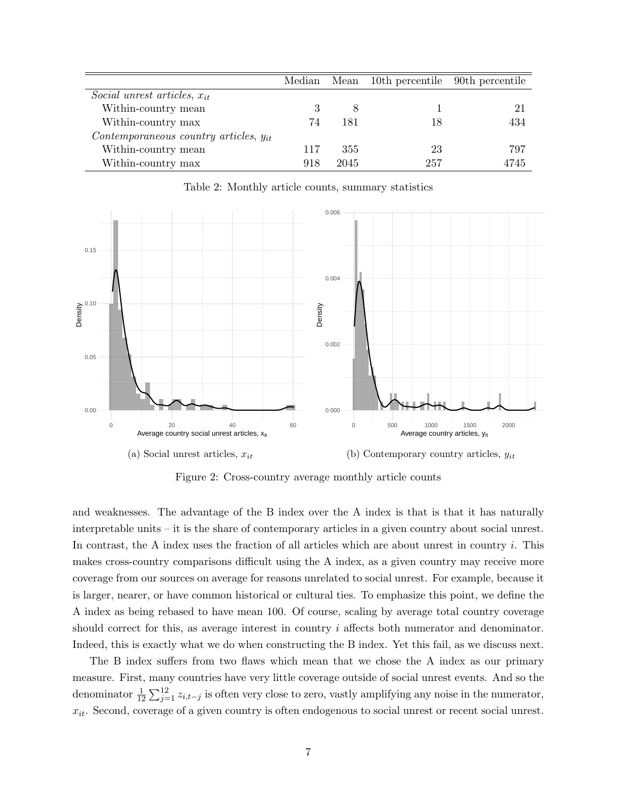|                                            |     |      | Median Mean 10th percentile 90th percentile |      |
|--------------------------------------------|-----|------|---------------------------------------------|------|
| Social unrest articles, $x_{it}$           |     |      |                                             |      |
| Within-country mean                        |     |      |                                             | 21   |
| Within-country max                         | 74  | 181  | 18                                          | 434  |
| Contemporaneous country articles, $y_{it}$ |     |      |                                             |      |
| Within-country mean                        | 117 | 355  | 23                                          | 797  |
| Within-country max                         | 918 | 2045 | 257                                         | 4745 |

Table 2: Monthly article counts, summary statistics



Figure 2: Cross-country average monthly article counts

and weaknesses. The advantage of the B index over the A index is that is that it has naturally interpretable units – it is the share of contemporary articles in a given country about social unrest. In contrast, the A index uses the fraction of all articles which are about unrest in country i. This makes cross-country comparisons difficult using the A index, as a given country may receive more coverage from our sources on average for reasons unrelated to social unrest. For example, because it is larger, nearer, or have common historical or cultural ties. To emphasize this point, we define the A index as being rebased to have mean 100. Of course, scaling by average total country coverage should correct for this, as average interest in country  $i$  affects both numerator and denominator. Indeed, this is exactly what we do when constructing the B index. Yet this fail, as we discuss next.

The B index suffers from two flaws which mean that we chose the A index as our primary measure. First, many countries have very little coverage outside of social unrest events. And so the denominator  $\frac{1}{12} \sum_{j=1}^{12} z_{i,t-j}$  is often very close to zero, vastly amplifying any noise in the numerator,  $x_{it}$ . Second, coverage of a given country is often endogenous to social unrest or recent social unrest.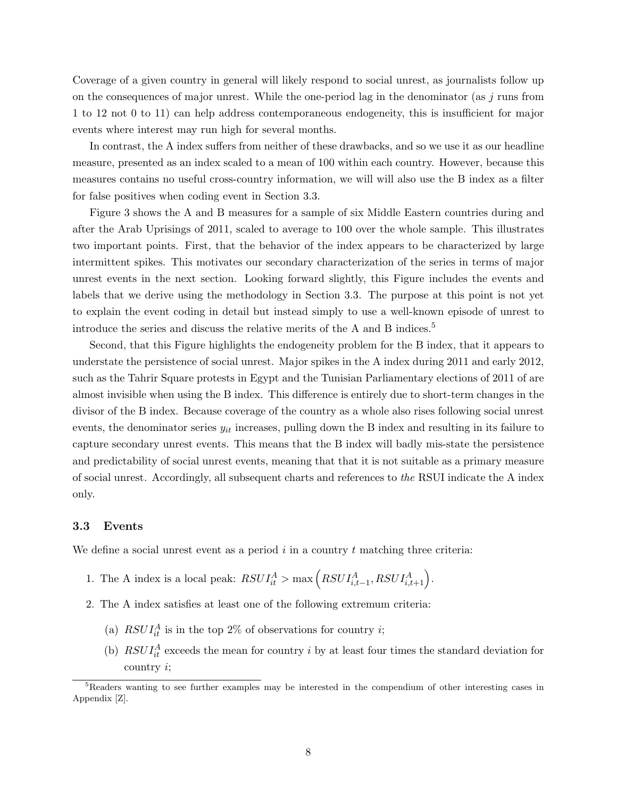Coverage of a given country in general will likely respond to social unrest, as journalists follow up on the consequences of major unrest. While the one-period lag in the denominator (as  $j$  runs from 1 to 12 not 0 to 11) can help address contemporaneous endogeneity, this is insufficient for major events where interest may run high for several months.

In contrast, the A index suffers from neither of these drawbacks, and so we use it as our headline measure, presented as an index scaled to a mean of 100 within each country. However, because this measures contains no useful cross-country information, we will will also use the B index as a filter for false positives when coding event in Section 3.3.

Figure 3 shows the A and B measures for a sample of six Middle Eastern countries during and after the Arab Uprisings of 2011, scaled to average to 100 over the whole sample. This illustrates two important points. First, that the behavior of the index appears to be characterized by large intermittent spikes. This motivates our secondary characterization of the series in terms of major unrest events in the next section. Looking forward slightly, this Figure includes the events and labels that we derive using the methodology in Section 3.3. The purpose at this point is not yet to explain the event coding in detail but instead simply to use a well-known episode of unrest to introduce the series and discuss the relative merits of the A and B indices.<sup>5</sup>

Second, that this Figure highlights the endogeneity problem for the B index, that it appears to understate the persistence of social unrest. Major spikes in the A index during 2011 and early 2012, such as the Tahrir Square protests in Egypt and the Tunisian Parliamentary elections of 2011 of are almost invisible when using the B index. This difference is entirely due to short-term changes in the divisor of the B index. Because coverage of the country as a whole also rises following social unrest events, the denominator series  $y_{it}$  increases, pulling down the B index and resulting in its failure to capture secondary unrest events. This means that the B index will badly mis-state the persistence and predictability of social unrest events, meaning that that it is not suitable as a primary measure of social unrest. Accordingly, all subsequent charts and references to the RSUI indicate the A index only.

### 3.3 Events

We define a social unrest event as a period  $i$  in a country  $t$  matching three criteria:

- 1. The A index is a local peak:  $RSUI_{it}^A > \max\left(RSUI_{i,t-1}^A, RSUI_{i,t+1}^A\right)$ .
- 2. The A index satisfies at least one of the following extremum criteria:
	- (a)  $RSUI_{it}^{A}$  is in the top 2% of observations for country *i*;
	- (b)  $RSUI_{it}^{A}$  exceeds the mean for country i by at least four times the standard deviation for country i;

<sup>&</sup>lt;sup>5</sup>Readers wanting to see further examples may be interested in the compendium of other interesting cases in Appendix [Z].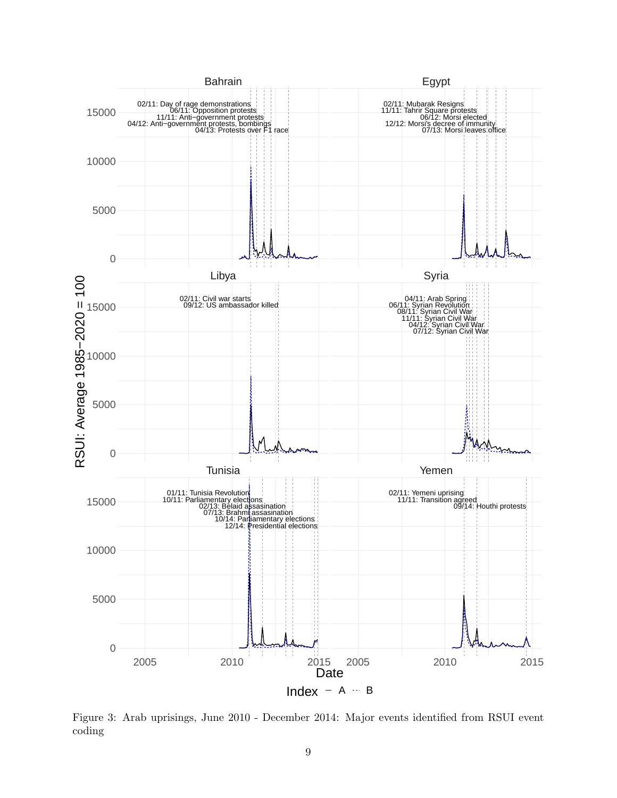

Figure 3: Arab uprisings, June 2010 - December 2014: Major events identified from RSUI event coding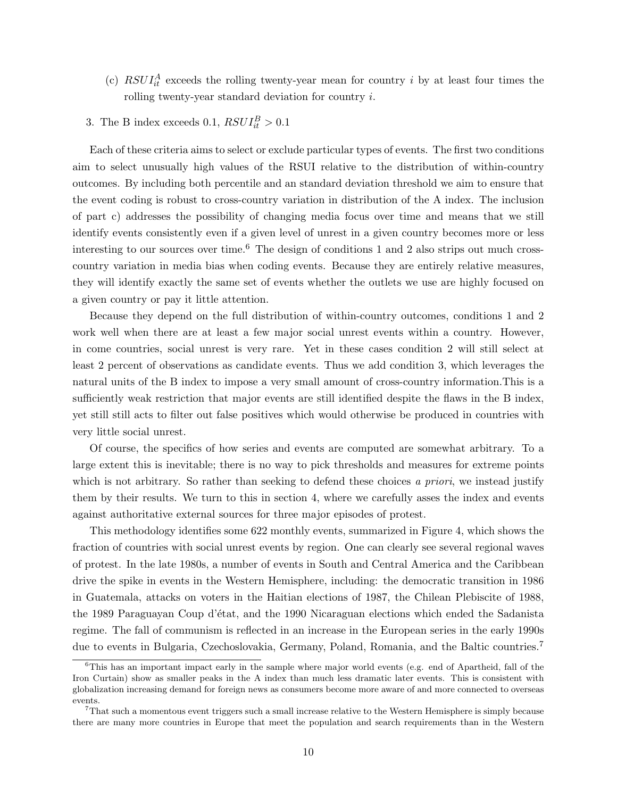- (c)  $RSUI_{it}^{A}$  exceeds the rolling twenty-year mean for country i by at least four times the rolling twenty-year standard deviation for country i.
- 3. The B index exceeds 0.1,  $RSUI_{it}^{B} > 0.1$

Each of these criteria aims to select or exclude particular types of events. The first two conditions aim to select unusually high values of the RSUI relative to the distribution of within-country outcomes. By including both percentile and an standard deviation threshold we aim to ensure that the event coding is robust to cross-country variation in distribution of the A index. The inclusion of part c) addresses the possibility of changing media focus over time and means that we still identify events consistently even if a given level of unrest in a given country becomes more or less interesting to our sources over time.<sup>6</sup> The design of conditions 1 and 2 also strips out much crosscountry variation in media bias when coding events. Because they are entirely relative measures, they will identify exactly the same set of events whether the outlets we use are highly focused on a given country or pay it little attention.

Because they depend on the full distribution of within-country outcomes, conditions 1 and 2 work well when there are at least a few major social unrest events within a country. However, in come countries, social unrest is very rare. Yet in these cases condition 2 will still select at least 2 percent of observations as candidate events. Thus we add condition 3, which leverages the natural units of the B index to impose a very small amount of cross-country information.This is a sufficiently weak restriction that major events are still identified despite the flaws in the B index, yet still still acts to filter out false positives which would otherwise be produced in countries with very little social unrest.

Of course, the specifics of how series and events are computed are somewhat arbitrary. To a large extent this is inevitable; there is no way to pick thresholds and measures for extreme points which is not arbitrary. So rather than seeking to defend these choices a priori, we instead justify them by their results. We turn to this in section 4, where we carefully asses the index and events against authoritative external sources for three major episodes of protest.

This methodology identifies some 622 monthly events, summarized in Figure 4, which shows the fraction of countries with social unrest events by region. One can clearly see several regional waves of protest. In the late 1980s, a number of events in South and Central America and the Caribbean drive the spike in events in the Western Hemisphere, including: the democratic transition in 1986 in Guatemala, attacks on voters in the Haitian elections of 1987, the Chilean Plebiscite of 1988, the 1989 Paraguayan Coup d'état, and the 1990 Nicaraguan elections which ended the Sadanista regime. The fall of communism is reflected in an increase in the European series in the early 1990s due to events in Bulgaria, Czechoslovakia, Germany, Poland, Romania, and the Baltic countries.<sup>7</sup>

 $6$ This has an important impact early in the sample where major world events (e.g. end of Apartheid, fall of the Iron Curtain) show as smaller peaks in the A index than much less dramatic later events. This is consistent with globalization increasing demand for foreign news as consumers become more aware of and more connected to overseas events.

 $7$ That such a momentous event triggers such a small increase relative to the Western Hemisphere is simply because there are many more countries in Europe that meet the population and search requirements than in the Western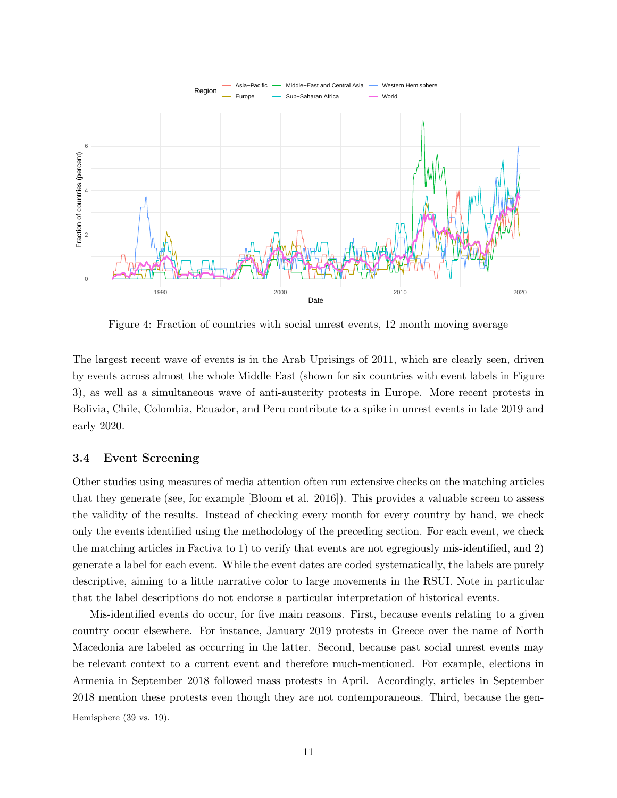

Figure 4: Fraction of countries with social unrest events, 12 month moving average

The largest recent wave of events is in the Arab Uprisings of 2011, which are clearly seen, driven by events across almost the whole Middle East (shown for six countries with event labels in Figure 3), as well as a simultaneous wave of anti-austerity protests in Europe. More recent protests in Bolivia, Chile, Colombia, Ecuador, and Peru contribute to a spike in unrest events in late 2019 and early 2020.

### 3.4 Event Screening

Other studies using measures of media attention often run extensive checks on the matching articles that they generate (see, for example [Bloom et al. 2016]). This provides a valuable screen to assess the validity of the results. Instead of checking every month for every country by hand, we check only the events identified using the methodology of the preceding section. For each event, we check the matching articles in Factiva to 1) to verify that events are not egregiously mis-identified, and 2) generate a label for each event. While the event dates are coded systematically, the labels are purely descriptive, aiming to a little narrative color to large movements in the RSUI. Note in particular that the label descriptions do not endorse a particular interpretation of historical events.

Mis-identified events do occur, for five main reasons. First, because events relating to a given country occur elsewhere. For instance, January 2019 protests in Greece over the name of North Macedonia are labeled as occurring in the latter. Second, because past social unrest events may be relevant context to a current event and therefore much-mentioned. For example, elections in Armenia in September 2018 followed mass protests in April. Accordingly, articles in September 2018 mention these protests even though they are not contemporaneous. Third, because the gen-

Hemisphere (39 vs. 19).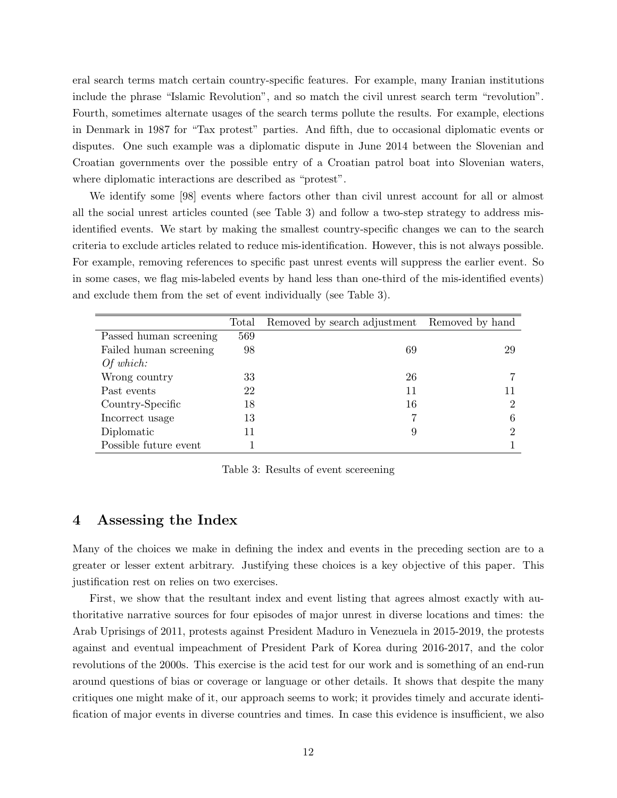eral search terms match certain country-specific features. For example, many Iranian institutions include the phrase "Islamic Revolution", and so match the civil unrest search term "revolution". Fourth, sometimes alternate usages of the search terms pollute the results. For example, elections in Denmark in 1987 for "Tax protest" parties. And fifth, due to occasional diplomatic events or disputes. One such example was a diplomatic dispute in June 2014 between the Slovenian and Croatian governments over the possible entry of a Croatian patrol boat into Slovenian waters, where diplomatic interactions are described as "protest".

We identify some [98] events where factors other than civil unrest account for all or almost all the social unrest articles counted (see Table 3) and follow a two-step strategy to address misidentified events. We start by making the smallest country-specific changes we can to the search criteria to exclude articles related to reduce mis-identification. However, this is not always possible. For example, removing references to specific past unrest events will suppress the earlier event. So in some cases, we flag mis-labeled events by hand less than one-third of the mis-identified events) and exclude them from the set of event individually (see Table 3).

|                        | Total | Removed by search adjustment | Removed by hand |
|------------------------|-------|------------------------------|-----------------|
| Passed human screening | 569   |                              |                 |
| Failed human screening | 98    | 69                           | 29              |
| Of which:              |       |                              |                 |
| Wrong country          | 33    | 26                           |                 |
| Past events            | 22    | 11                           |                 |
| Country-Specific       | 18    | 16                           | ച               |
| Incorrect usage        | 13    |                              |                 |
| Diplomatic             | 11    | 9                            | ച               |
| Possible future event  |       |                              |                 |

Table 3: Results of event scereening

## 4 Assessing the Index

Many of the choices we make in defining the index and events in the preceding section are to a greater or lesser extent arbitrary. Justifying these choices is a key objective of this paper. This justification rest on relies on two exercises.

First, we show that the resultant index and event listing that agrees almost exactly with authoritative narrative sources for four episodes of major unrest in diverse locations and times: the Arab Uprisings of 2011, protests against President Maduro in Venezuela in 2015-2019, the protests against and eventual impeachment of President Park of Korea during 2016-2017, and the color revolutions of the 2000s. This exercise is the acid test for our work and is something of an end-run around questions of bias or coverage or language or other details. It shows that despite the many critiques one might make of it, our approach seems to work; it provides timely and accurate identification of major events in diverse countries and times. In case this evidence is insufficient, we also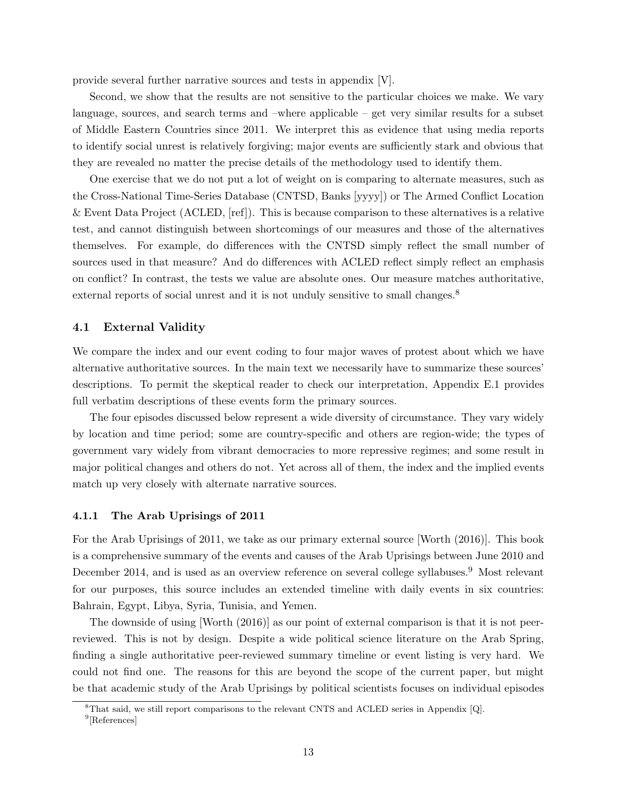provide several further narrative sources and tests in appendix [V].

Second, we show that the results are not sensitive to the particular choices we make. We vary language, sources, and search terms and –where applicable – get very similar results for a subset of Middle Eastern Countries since 2011. We interpret this as evidence that using media reports to identify social unrest is relatively forgiving; major events are sufficiently stark and obvious that they are revealed no matter the precise details of the methodology used to identify them.

One exercise that we do not put a lot of weight on is comparing to alternate measures, such as the Cross-National Time-Series Database (CNTSD, Banks [yyyy]) or The Armed Conflict Location & Event Data Project (ACLED, [ref]). This is because comparison to these alternatives is a relative test, and cannot distinguish between shortcomings of our measures and those of the alternatives themselves. For example, do differences with the CNTSD simply reflect the small number of sources used in that measure? And do differences with ACLED reflect simply reflect an emphasis on conflict? In contrast, the tests we value are absolute ones. Our measure matches authoritative, external reports of social unrest and it is not unduly sensitive to small changes.<sup>8</sup>

### 4.1 External Validity

We compare the index and our event coding to four major waves of protest about which we have alternative authoritative sources. In the main text we necessarily have to summarize these sources' descriptions. To permit the skeptical reader to check our interpretation, Appendix E.1 provides full verbatim descriptions of these events form the primary sources.

The four episodes discussed below represent a wide diversity of circumstance. They vary widely by location and time period; some are country-specific and others are region-wide; the types of government vary widely from vibrant democracies to more repressive regimes; and some result in major political changes and others do not. Yet across all of them, the index and the implied events match up very closely with alternate narrative sources.

### 4.1.1 The Arab Uprisings of 2011

For the Arab Uprisings of 2011, we take as our primary external source [Worth (2016)]. This book is a comprehensive summary of the events and causes of the Arab Uprisings between June 2010 and December 2014, and is used as an overview reference on several college syllabuses.<sup>9</sup> Most relevant for our purposes, this source includes an extended timeline with daily events in six countries: Bahrain, Egypt, Libya, Syria, Tunisia, and Yemen.

The downside of using [Worth (2016)] as our point of external comparison is that it is not peerreviewed. This is not by design. Despite a wide political science literature on the Arab Spring, finding a single authoritative peer-reviewed summary timeline or event listing is very hard. We could not find one. The reasons for this are beyond the scope of the current paper, but might be that academic study of the Arab Uprisings by political scientists focuses on individual episodes

<sup>8</sup>That said, we still report comparisons to the relevant CNTS and ACLED series in Appendix [Q].

<sup>9</sup> [References]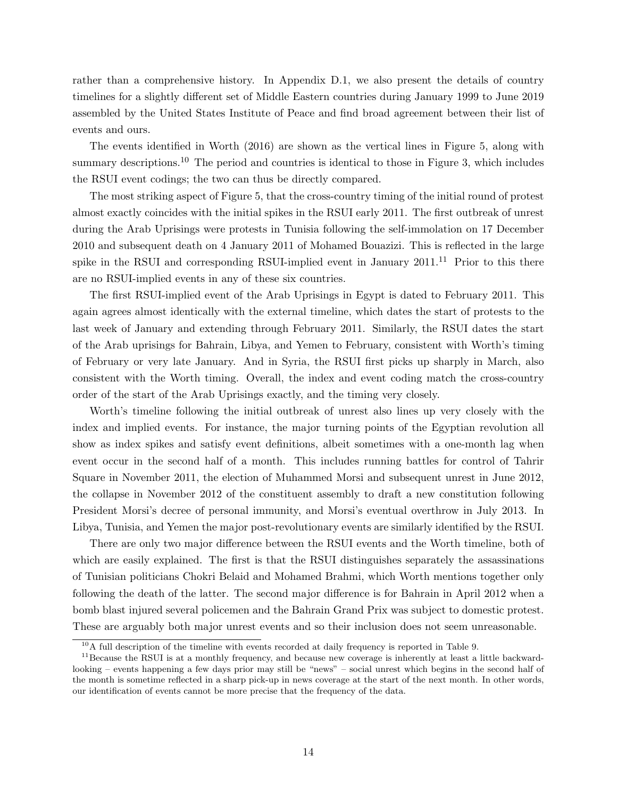rather than a comprehensive history. In Appendix D.1, we also present the details of country timelines for a slightly different set of Middle Eastern countries during January 1999 to June 2019 assembled by the United States Institute of Peace and find broad agreement between their list of events and ours.

The events identified in Worth (2016) are shown as the vertical lines in Figure 5, along with summary descriptions.<sup>10</sup> The period and countries is identical to those in Figure 3, which includes the RSUI event codings; the two can thus be directly compared.

The most striking aspect of Figure 5, that the cross-country timing of the initial round of protest almost exactly coincides with the initial spikes in the RSUI early 2011. The first outbreak of unrest during the Arab Uprisings were protests in Tunisia following the self-immolation on 17 December 2010 and subsequent death on 4 January 2011 of Mohamed Bouazizi. This is reflected in the large spike in the RSUI and corresponding RSUI-implied event in January  $2011$ .<sup>11</sup> Prior to this there are no RSUI-implied events in any of these six countries.

The first RSUI-implied event of the Arab Uprisings in Egypt is dated to February 2011. This again agrees almost identically with the external timeline, which dates the start of protests to the last week of January and extending through February 2011. Similarly, the RSUI dates the start of the Arab uprisings for Bahrain, Libya, and Yemen to February, consistent with Worth's timing of February or very late January. And in Syria, the RSUI first picks up sharply in March, also consistent with the Worth timing. Overall, the index and event coding match the cross-country order of the start of the Arab Uprisings exactly, and the timing very closely.

Worth's timeline following the initial outbreak of unrest also lines up very closely with the index and implied events. For instance, the major turning points of the Egyptian revolution all show as index spikes and satisfy event definitions, albeit sometimes with a one-month lag when event occur in the second half of a month. This includes running battles for control of Tahrir Square in November 2011, the election of Muhammed Morsi and subsequent unrest in June 2012, the collapse in November 2012 of the constituent assembly to draft a new constitution following President Morsi's decree of personal immunity, and Morsi's eventual overthrow in July 2013. In Libya, Tunisia, and Yemen the major post-revolutionary events are similarly identified by the RSUI.

There are only two major difference between the RSUI events and the Worth timeline, both of which are easily explained. The first is that the RSUI distinguishes separately the assassinations of Tunisian politicians Chokri Belaid and Mohamed Brahmi, which Worth mentions together only following the death of the latter. The second major difference is for Bahrain in April 2012 when a bomb blast injured several policemen and the Bahrain Grand Prix was subject to domestic protest. These are arguably both major unrest events and so their inclusion does not seem unreasonable.

 $10A$  full description of the timeline with events recorded at daily frequency is reported in Table 9.

<sup>&</sup>lt;sup>11</sup>Because the RSUI is at a monthly frequency, and because new coverage is inherently at least a little backwardlooking – events happening a few days prior may still be "news" – social unrest which begins in the second half of the month is sometime reflected in a sharp pick-up in news coverage at the start of the next month. In other words, our identification of events cannot be more precise that the frequency of the data.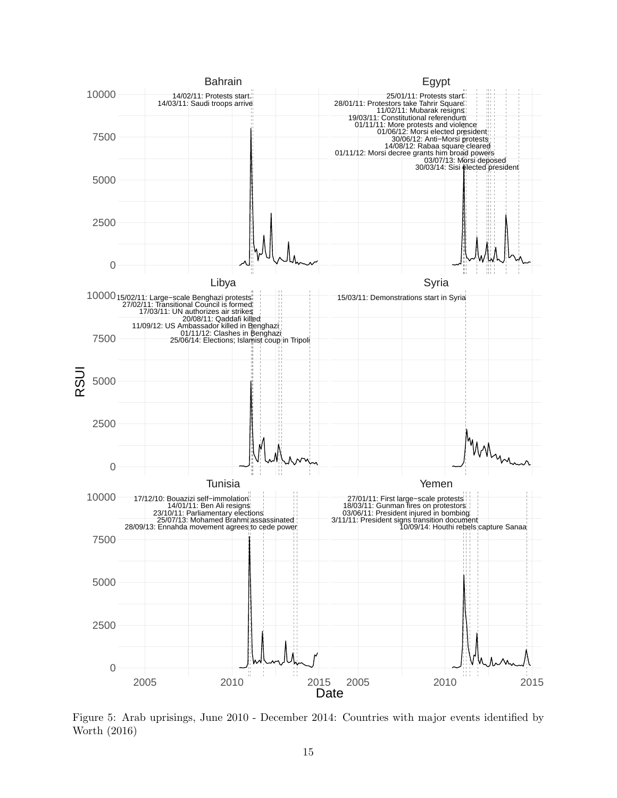

Figure 5: Arab uprisings, June 2010 - December 2014: Countries with major events identified by Worth (2016)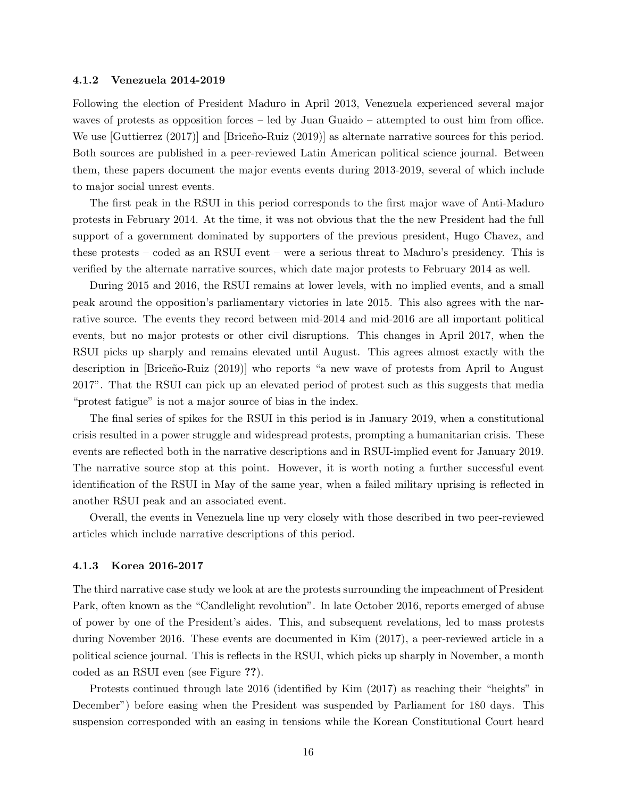#### 4.1.2 Venezuela 2014-2019

Following the election of President Maduro in April 2013, Venezuela experienced several major waves of protests as opposition forces – led by Juan Guaido – attempted to oust him from office. We use  $[\text{Guttierrez} (2017)]$  and  $[\text{Briceno-Ruiz} (2019)]$  as alternate narrative sources for this period. Both sources are published in a peer-reviewed Latin American political science journal. Between them, these papers document the major events events during 2013-2019, several of which include to major social unrest events.

The first peak in the RSUI in this period corresponds to the first major wave of Anti-Maduro protests in February 2014. At the time, it was not obvious that the the new President had the full support of a government dominated by supporters of the previous president, Hugo Chavez, and these protests – coded as an RSUI event – were a serious threat to Maduro's presidency. This is verified by the alternate narrative sources, which date major protests to February 2014 as well.

During 2015 and 2016, the RSUI remains at lower levels, with no implied events, and a small peak around the opposition's parliamentary victories in late 2015. This also agrees with the narrative source. The events they record between mid-2014 and mid-2016 are all important political events, but no major protests or other civil disruptions. This changes in April 2017, when the RSUI picks up sharply and remains elevated until August. This agrees almost exactly with the description in [Briceño-Ruiz (2019)] who reports "a new wave of protests from April to August 2017". That the RSUI can pick up an elevated period of protest such as this suggests that media "protest fatigue" is not a major source of bias in the index.

The final series of spikes for the RSUI in this period is in January 2019, when a constitutional crisis resulted in a power struggle and widespread protests, prompting a humanitarian crisis. These events are reflected both in the narrative descriptions and in RSUI-implied event for January 2019. The narrative source stop at this point. However, it is worth noting a further successful event identification of the RSUI in May of the same year, when a failed military uprising is reflected in another RSUI peak and an associated event.

Overall, the events in Venezuela line up very closely with those described in two peer-reviewed articles which include narrative descriptions of this period.

### 4.1.3 Korea 2016-2017

The third narrative case study we look at are the protests surrounding the impeachment of President Park, often known as the "Candlelight revolution". In late October 2016, reports emerged of abuse of power by one of the President's aides. This, and subsequent revelations, led to mass protests during November 2016. These events are documented in Kim (2017), a peer-reviewed article in a political science journal. This is reflects in the RSUI, which picks up sharply in November, a month coded as an RSUI even (see Figure ??).

Protests continued through late 2016 (identified by Kim (2017) as reaching their "heights" in December") before easing when the President was suspended by Parliament for 180 days. This suspension corresponded with an easing in tensions while the Korean Constitutional Court heard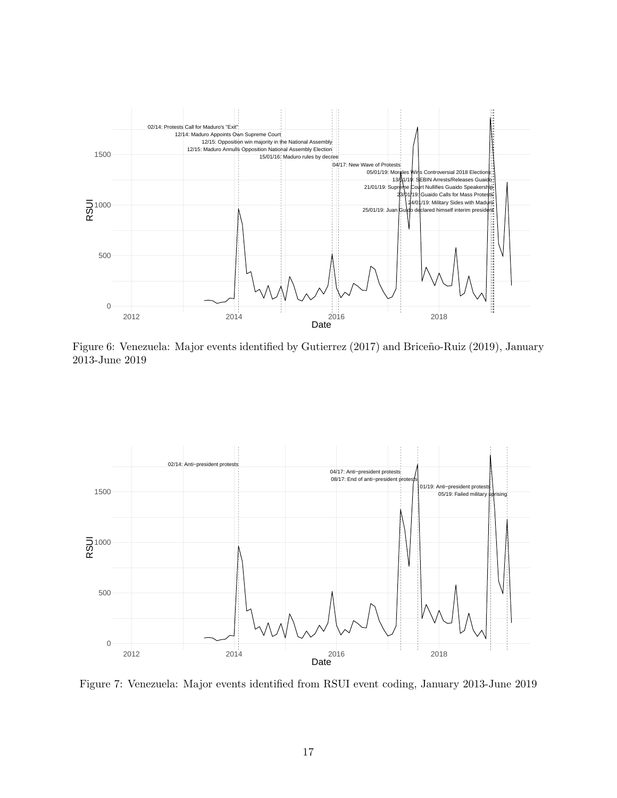

Figure 6: Venezuela: Major events identified by Gutierrez (2017) and Briceño-Ruiz (2019), January 2013-June 2019



Figure 7: Venezuela: Major events identified from RSUI event coding, January 2013-June 2019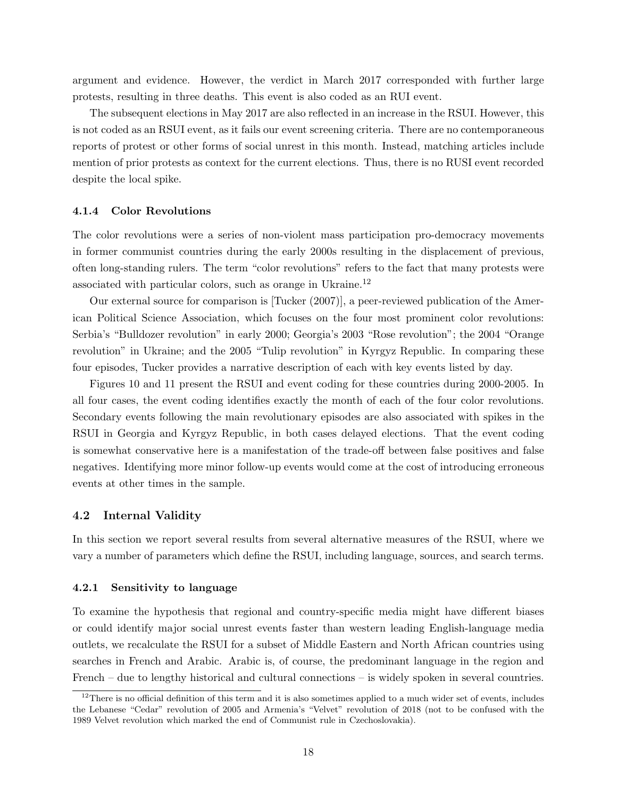argument and evidence. However, the verdict in March 2017 corresponded with further large protests, resulting in three deaths. This event is also coded as an RUI event.

The subsequent elections in May 2017 are also reflected in an increase in the RSUI. However, this is not coded as an RSUI event, as it fails our event screening criteria. There are no contemporaneous reports of protest or other forms of social unrest in this month. Instead, matching articles include mention of prior protests as context for the current elections. Thus, there is no RUSI event recorded despite the local spike.

### 4.1.4 Color Revolutions

The color revolutions were a series of non-violent mass participation pro-democracy movements in former communist countries during the early 2000s resulting in the displacement of previous, often long-standing rulers. The term "color revolutions" refers to the fact that many protests were associated with particular colors, such as orange in Ukraine.<sup>12</sup>

Our external source for comparison is [Tucker (2007)], a peer-reviewed publication of the American Political Science Association, which focuses on the four most prominent color revolutions: Serbia's "Bulldozer revolution" in early 2000; Georgia's 2003 "Rose revolution"; the 2004 "Orange revolution" in Ukraine; and the 2005 "Tulip revolution" in Kyrgyz Republic. In comparing these four episodes, Tucker provides a narrative description of each with key events listed by day.

Figures 10 and 11 present the RSUI and event coding for these countries during 2000-2005. In all four cases, the event coding identifies exactly the month of each of the four color revolutions. Secondary events following the main revolutionary episodes are also associated with spikes in the RSUI in Georgia and Kyrgyz Republic, in both cases delayed elections. That the event coding is somewhat conservative here is a manifestation of the trade-off between false positives and false negatives. Identifying more minor follow-up events would come at the cost of introducing erroneous events at other times in the sample.

### 4.2 Internal Validity

In this section we report several results from several alternative measures of the RSUI, where we vary a number of parameters which define the RSUI, including language, sources, and search terms.

### 4.2.1 Sensitivity to language

To examine the hypothesis that regional and country-specific media might have different biases or could identify major social unrest events faster than western leading English-language media outlets, we recalculate the RSUI for a subset of Middle Eastern and North African countries using searches in French and Arabic. Arabic is, of course, the predominant language in the region and French – due to lengthy historical and cultural connections – is widely spoken in several countries.

 $12$ There is no official definition of this term and it is also sometimes applied to a much wider set of events, includes the Lebanese "Cedar" revolution of 2005 and Armenia's "Velvet" revolution of 2018 (not to be confused with the 1989 Velvet revolution which marked the end of Communist rule in Czechoslovakia).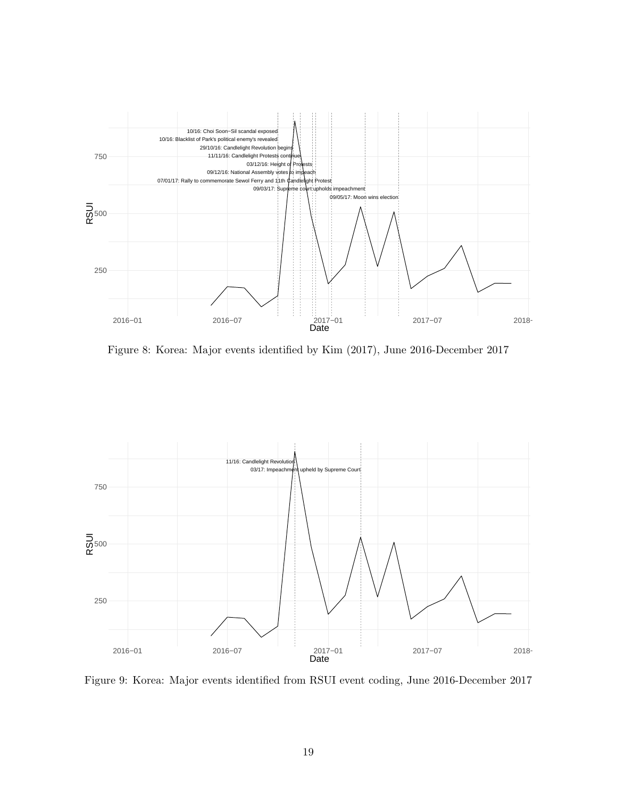

Figure 8: Korea: Major events identified by Kim (2017), June 2016-December 2017



Figure 9: Korea: Major events identified from RSUI event coding, June 2016-December 2017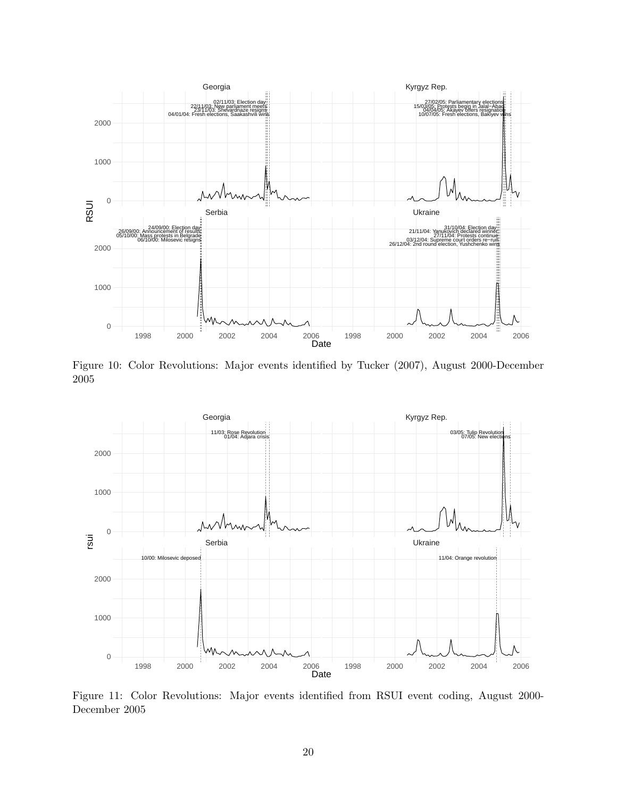

Figure 10: Color Revolutions: Major events identified by Tucker (2007), August 2000-December 2005



Figure 11: Color Revolutions: Major events identified from RSUI event coding, August 2000- December 2005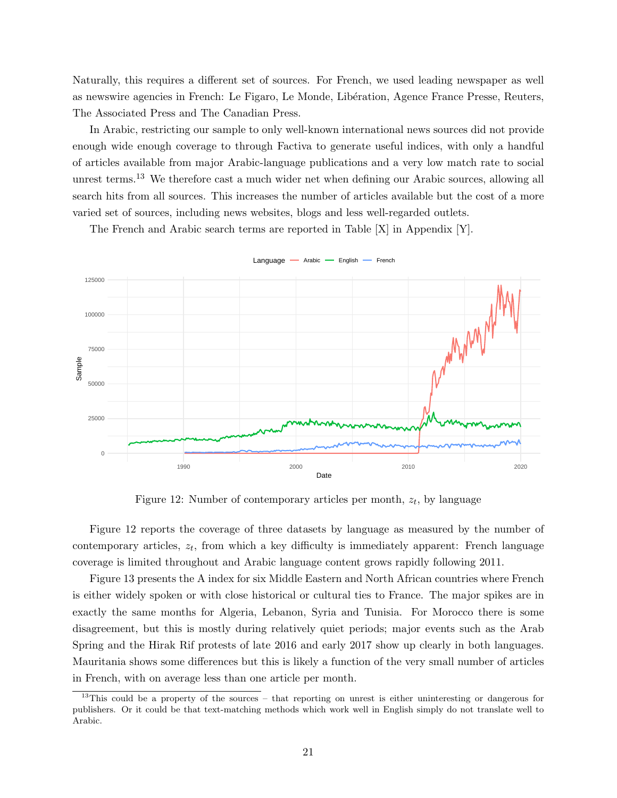Naturally, this requires a different set of sources. For French, we used leading newspaper as well as newswire agencies in French: Le Figaro, Le Monde, Libération, Agence France Presse, Reuters, The Associated Press and The Canadian Press.

In Arabic, restricting our sample to only well-known international news sources did not provide enough wide enough coverage to through Factiva to generate useful indices, with only a handful of articles available from major Arabic-language publications and a very low match rate to social unrest terms.<sup>13</sup> We therefore cast a much wider net when defining our Arabic sources, allowing all search hits from all sources. This increases the number of articles available but the cost of a more varied set of sources, including news websites, blogs and less well-regarded outlets.

The French and Arabic search terms are reported in Table [X] in Appendix [Y].



Figure 12: Number of contemporary articles per month,  $z_t$ , by language

Figure 12 reports the coverage of three datasets by language as measured by the number of contemporary articles,  $z_t$ , from which a key difficulty is immediately apparent: French language coverage is limited throughout and Arabic language content grows rapidly following 2011.

Figure 13 presents the A index for six Middle Eastern and North African countries where French is either widely spoken or with close historical or cultural ties to France. The major spikes are in exactly the same months for Algeria, Lebanon, Syria and Tunisia. For Morocco there is some disagreement, but this is mostly during relatively quiet periods; major events such as the Arab Spring and the Hirak Rif protests of late 2016 and early 2017 show up clearly in both languages. Mauritania shows some differences but this is likely a function of the very small number of articles in French, with on average less than one article per month.

<sup>&</sup>lt;sup>13</sup>This could be a property of the sources – that reporting on unrest is either uninteresting or dangerous for publishers. Or it could be that text-matching methods which work well in English simply do not translate well to Arabic.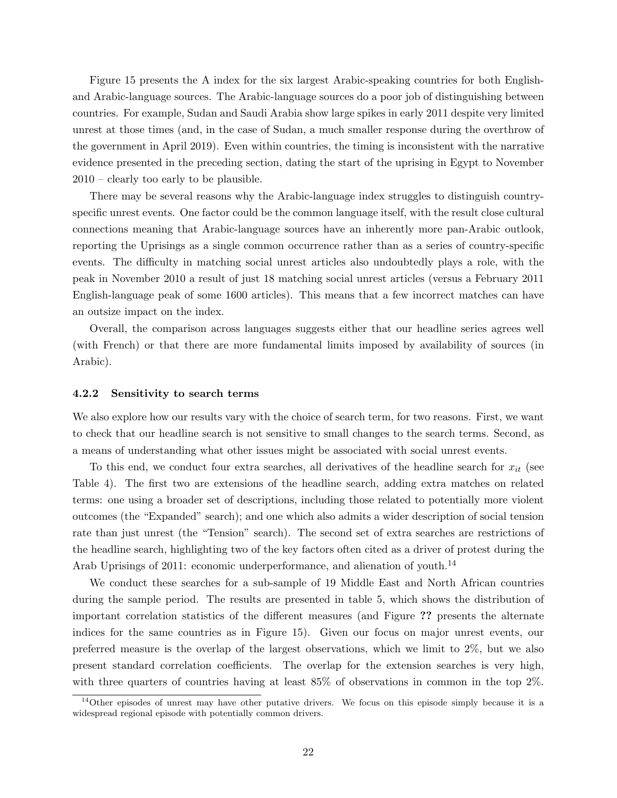Figure 15 presents the A index for the six largest Arabic-speaking countries for both Englishand Arabic-language sources. The Arabic-language sources do a poor job of distinguishing between countries. For example, Sudan and Saudi Arabia show large spikes in early 2011 despite very limited unrest at those times (and, in the case of Sudan, a much smaller response during the overthrow of the government in April 2019). Even within countries, the timing is inconsistent with the narrative evidence presented in the preceding section, dating the start of the uprising in Egypt to November 2010 – clearly too early to be plausible.

There may be several reasons why the Arabic-language index struggles to distinguish countryspecific unrest events. One factor could be the common language itself, with the result close cultural connections meaning that Arabic-language sources have an inherently more pan-Arabic outlook, reporting the Uprisings as a single common occurrence rather than as a series of country-specific events. The difficulty in matching social unrest articles also undoubtedly plays a role, with the peak in November 2010 a result of just 18 matching social unrest articles (versus a February 2011 English-language peak of some 1600 articles). This means that a few incorrect matches can have an outsize impact on the index.

Overall, the comparison across languages suggests either that our headline series agrees well (with French) or that there are more fundamental limits imposed by availability of sources (in Arabic).

#### 4.2.2 Sensitivity to search terms

We also explore how our results vary with the choice of search term, for two reasons. First, we want to check that our headline search is not sensitive to small changes to the search terms. Second, as a means of understanding what other issues might be associated with social unrest events.

To this end, we conduct four extra searches, all derivatives of the headline search for  $x_{it}$  (see Table 4). The first two are extensions of the headline search, adding extra matches on related terms: one using a broader set of descriptions, including those related to potentially more violent outcomes (the "Expanded" search); and one which also admits a wider description of social tension rate than just unrest (the "Tension" search). The second set of extra searches are restrictions of the headline search, highlighting two of the key factors often cited as a driver of protest during the Arab Uprisings of 2011: economic underperformance, and alienation of youth.<sup>14</sup>

We conduct these searches for a sub-sample of 19 Middle East and North African countries during the sample period. The results are presented in table 5, which shows the distribution of important correlation statistics of the different measures (and Figure ?? presents the alternate indices for the same countries as in Figure 15). Given our focus on major unrest events, our preferred measure is the overlap of the largest observations, which we limit to 2%, but we also present standard correlation coefficients. The overlap for the extension searches is very high, with three quarters of countries having at least 85% of observations in common in the top 2%.

 $14$ Other episodes of unrest may have other putative drivers. We focus on this episode simply because it is a widespread regional episode with potentially common drivers.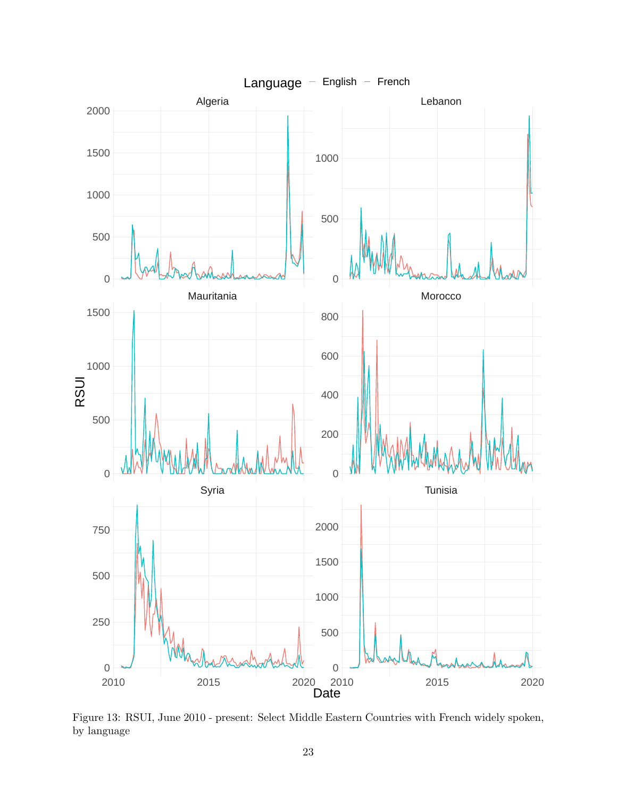

Figure 13: RSUI, June 2010 - present: Select Middle Eastern Countries with French widely spoken, by language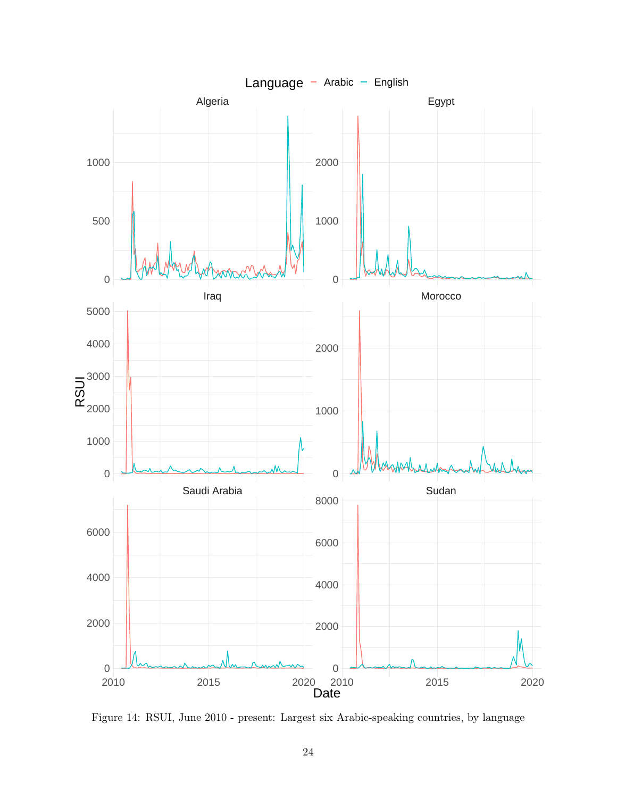

Figure 14: RSUI, June 2010 - present: Largest six Arabic-speaking countries, by language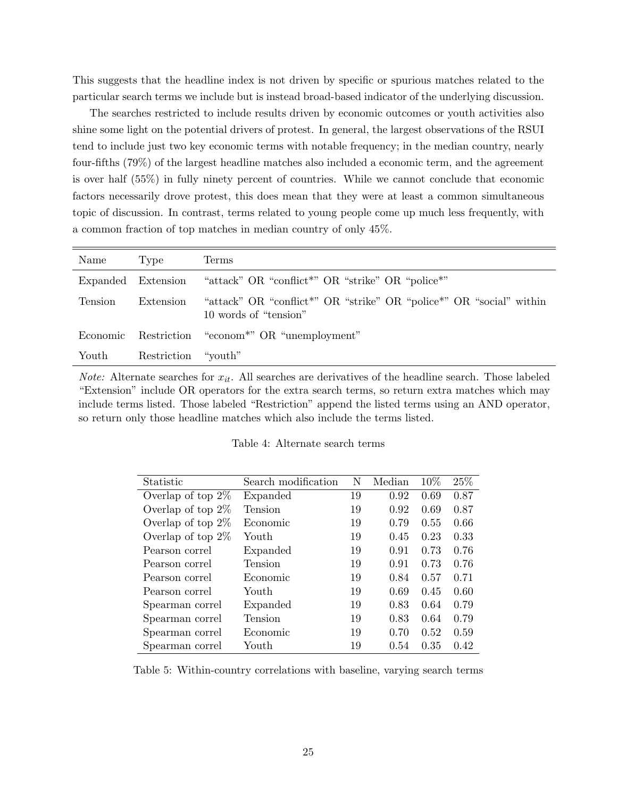This suggests that the headline index is not driven by specific or spurious matches related to the particular search terms we include but is instead broad-based indicator of the underlying discussion.

The searches restricted to include results driven by economic outcomes or youth activities also shine some light on the potential drivers of protest. In general, the largest observations of the RSUI tend to include just two key economic terms with notable frequency; in the median country, nearly four-fifths (79%) of the largest headline matches also included a economic term, and the agreement is over half (55%) in fully ninety percent of countries. While we cannot conclude that economic factors necessarily drove protest, this does mean that they were at least a common simultaneous topic of discussion. In contrast, terms related to young people come up much less frequently, with a common fraction of top matches in median country of only 45%.

| Name     | 'Type               | Terms                                                                                                                |
|----------|---------------------|----------------------------------------------------------------------------------------------------------------------|
| Expanded | Extension           | "attack" OR "conflict <sup>*</sup> " OR "strike" OR "police <sup>*"</sup>                                            |
| Tension  | Extension           | "attack" OR "conflict <sup>*"</sup> OR "strike" OR "police <sup>*"</sup> OR "social" within<br>10 words of "tension" |
| Economic |                     | Restriction "econom <sup>*"</sup> OR "unemployment"                                                                  |
| Youth    | Restriction "youth" |                                                                                                                      |

*Note:* Alternate searches for  $x_{it}$ . All searches are derivatives of the headline search. Those labeled "Extension" include OR operators for the extra search terms, so return extra matches which may include terms listed. Those labeled "Restriction" append the listed terms using an AND operator, so return only those headline matches which also include the terms listed.

| Table 4: Alternate search terms |  |
|---------------------------------|--|
|---------------------------------|--|

| Statistic            | Search modification | N  | Median | 10%  | $25\%$ |
|----------------------|---------------------|----|--------|------|--------|
| Overlap of top $2\%$ | Expanded            | 19 | 0.92   | 0.69 | 0.87   |
| Overlap of top $2\%$ | <b>Tension</b>      | 19 | 0.92   | 0.69 | 0.87   |
| Overlap of top $2\%$ | Economic            | 19 | 0.79   | 0.55 | 0.66   |
| Overlap of top $2\%$ | Youth               | 19 | 0.45   | 0.23 | 0.33   |
| Pearson correl       | Expanded            | 19 | 0.91   | 0.73 | 0.76   |
| Pearson correl       | Tension             | 19 | 0.91   | 0.73 | 0.76   |
| Pearson correl       | Economic            | 19 | 0.84   | 0.57 | 0.71   |
| Pearson correl       | Youth               | 19 | 0.69   | 0.45 | 0.60   |
| Spearman correl      | Expanded            | 19 | 0.83   | 0.64 | 0.79   |
| Spearman correl      | Tension             | 19 | 0.83   | 0.64 | 0.79   |
| Spearman correl      | Economic            | 19 | 0.70   | 0.52 | 0.59   |
| Spearman correl      | Youth               | 19 | 0.54   | 0.35 | 0.42   |

Table 5: Within-country correlations with baseline, varying search terms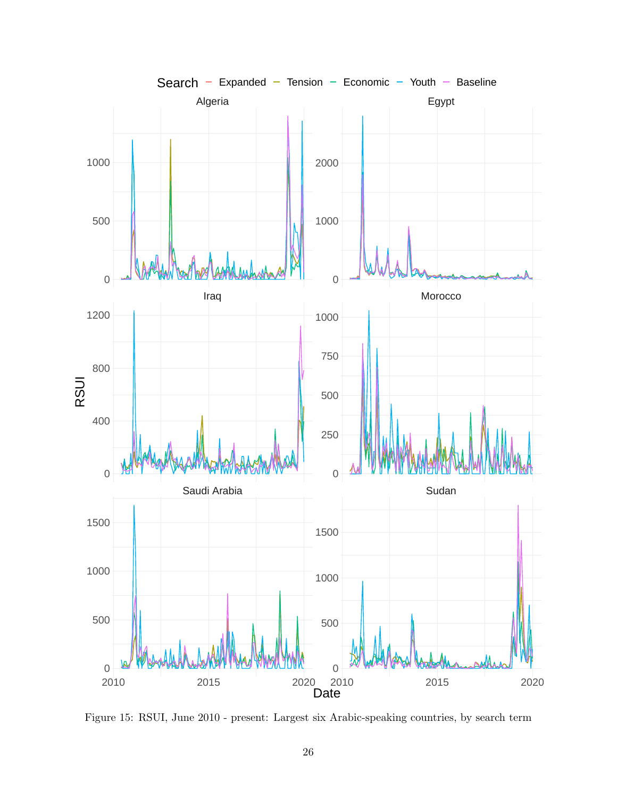

Figure 15: RSUI, June 2010 - present: Largest six Arabic-speaking countries, by search term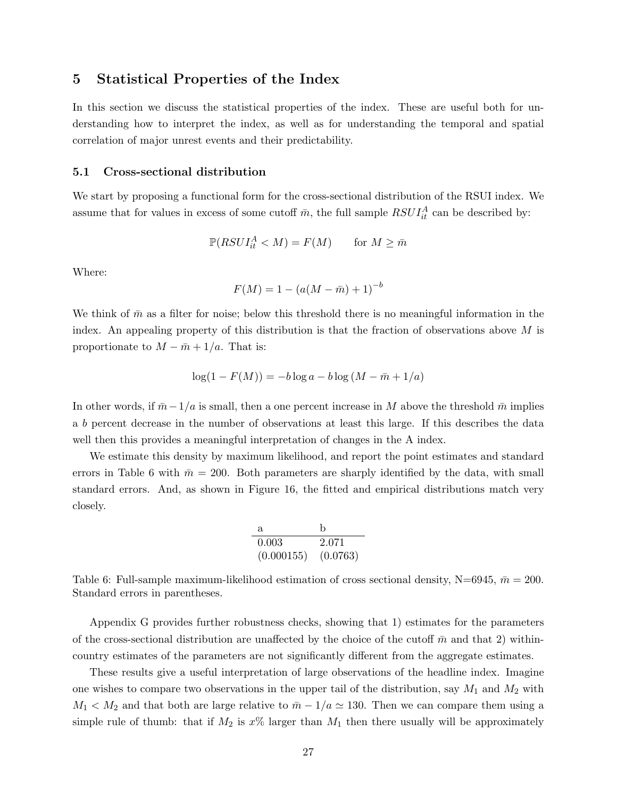### 5 Statistical Properties of the Index

In this section we discuss the statistical properties of the index. These are useful both for understanding how to interpret the index, as well as for understanding the temporal and spatial correlation of major unrest events and their predictability.

### 5.1 Cross-sectional distribution

We start by proposing a functional form for the cross-sectional distribution of the RSUI index. We assume that for values in excess of some cutoff  $\bar{m}$ , the full sample  $RSUI_{it}^{A}$  can be described by:

$$
\mathbb{P}(RSUI_{it}^A < M) = F(M) \quad \text{for } M \ge \bar{m}
$$

Where:

$$
F(M) = 1 - (a(M - \bar{m}) + 1)^{-b}
$$

We think of  $\bar{m}$  as a filter for noise; below this threshold there is no meaningful information in the index. An appealing property of this distribution is that the fraction of observations above  $M$  is proportionate to  $M - \bar{m} + 1/a$ . That is:

$$
\log(1 - F(M)) = -b \log a - b \log(M - \bar{m} + 1/a)
$$

In other words, if  $\bar{m}-1/a$  is small, then a one percent increase in M above the threshold  $\bar{m}$  implies a b percent decrease in the number of observations at least this large. If this describes the data well then this provides a meaningful interpretation of changes in the A index.

We estimate this density by maximum likelihood, and report the point estimates and standard errors in Table 6 with  $\bar{m} = 200$ . Both parameters are sharply identified by the data, with small standard errors. And, as shown in Figure 16, the fitted and empirical distributions match very closely.

| Я.         | h        |
|------------|----------|
| 0.003      | 2.071    |
| (0.000155) | (0.0763) |

Table 6: Full-sample maximum-likelihood estimation of cross sectional density, N=6945,  $\bar{m} = 200$ . Standard errors in parentheses.

Appendix G provides further robustness checks, showing that 1) estimates for the parameters of the cross-sectional distribution are unaffected by the choice of the cutoff  $\bar{m}$  and that 2) withincountry estimates of the parameters are not significantly different from the aggregate estimates.

These results give a useful interpretation of large observations of the headline index. Imagine one wishes to compare two observations in the upper tail of the distribution, say  $M_1$  and  $M_2$  with  $M_1 < M_2$  and that both are large relative to  $\bar{m} - 1/a \simeq 130$ . Then we can compare them using a simple rule of thumb: that if  $M_2$  is  $x\%$  larger than  $M_1$  then there usually will be approximately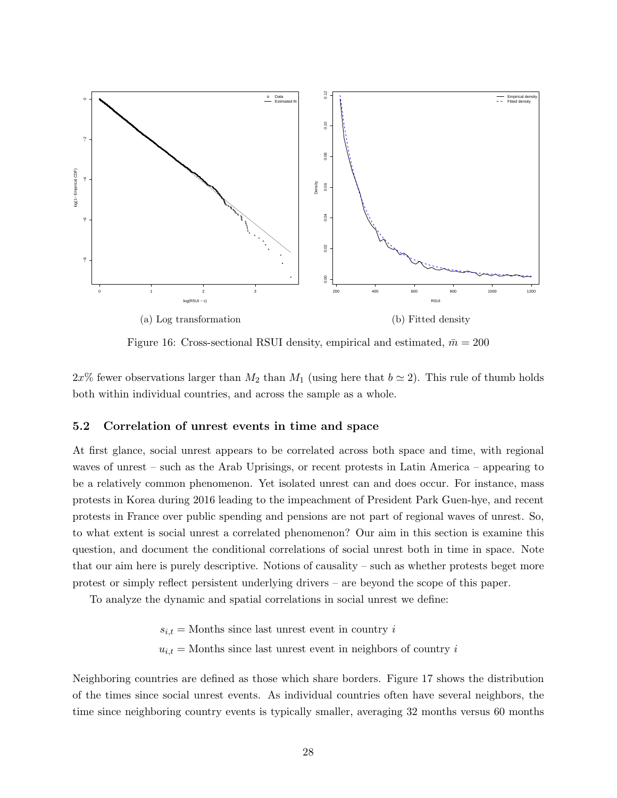

Figure 16: Cross-sectional RSUI density, empirical and estimated,  $\bar{m} = 200$ 

 $2x\%$  fewer observations larger than  $M_2$  than  $M_1$  (using here that  $b \simeq 2$ ). This rule of thumb holds both within individual countries, and across the sample as a whole.

### 5.2 Correlation of unrest events in time and space

At first glance, social unrest appears to be correlated across both space and time, with regional waves of unrest – such as the Arab Uprisings, or recent protests in Latin America – appearing to be a relatively common phenomenon. Yet isolated unrest can and does occur. For instance, mass protests in Korea during 2016 leading to the impeachment of President Park Guen-hye, and recent protests in France over public spending and pensions are not part of regional waves of unrest. So, to what extent is social unrest a correlated phenomenon? Our aim in this section is examine this question, and document the conditional correlations of social unrest both in time in space. Note that our aim here is purely descriptive. Notions of causality – such as whether protests beget more protest or simply reflect persistent underlying drivers – are beyond the scope of this paper.

To analyze the dynamic and spatial correlations in social unrest we define:

 $s_{i,t}$  = Months since last unrest event in country i  $u_{i,t}$  = Months since last unrest event in neighbors of country i

Neighboring countries are defined as those which share borders. Figure 17 shows the distribution of the times since social unrest events. As individual countries often have several neighbors, the time since neighboring country events is typically smaller, averaging 32 months versus 60 months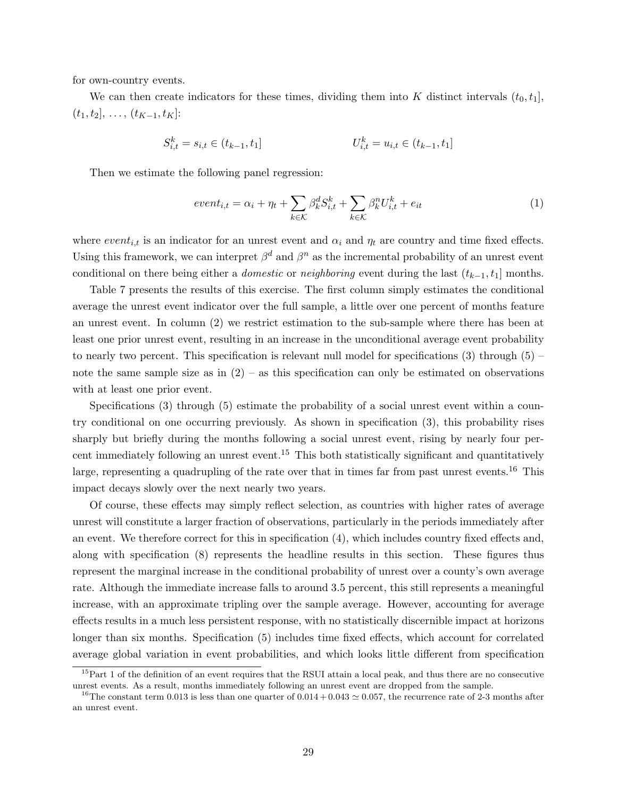for own-country events.

We can then create indicators for these times, dividing them into K distinct intervals  $(t_0, t_1]$ ,  $(t_1, t_2], \ldots, (t_{K-1}, t_K]$ :

$$
S_{i,t}^k = s_{i,t} \in (t_{k-1}, t_1]
$$
\n
$$
U_{i,t}^k = u_{i,t} \in (t_{k-1}, t_1]
$$

Then we estimate the following panel regression:

$$
event_{i,t} = \alpha_i + \eta_t + \sum_{k \in \mathcal{K}} \beta_k^d S_{i,t}^k + \sum_{k \in \mathcal{K}} \beta_k^n U_{i,t}^k + e_{it}
$$
\n
$$
\tag{1}
$$

where  $event_{i,t}$  is an indicator for an unrest event and  $\alpha_i$  and  $\eta_t$  are country and time fixed effects. Using this framework, we can interpret  $\beta^d$  and  $\beta^n$  as the incremental probability of an unrest event conditional on there being either a *domestic* or *neighboring* event during the last  $(t_{k-1}, t_1]$  months.

Table 7 presents the results of this exercise. The first column simply estimates the conditional average the unrest event indicator over the full sample, a little over one percent of months feature an unrest event. In column (2) we restrict estimation to the sub-sample where there has been at least one prior unrest event, resulting in an increase in the unconditional average event probability to nearly two percent. This specification is relevant null model for specifications  $(3)$  through  $(5)$  – note the same sample size as in  $(2)$  – as this specification can only be estimated on observations with at least one prior event.

Specifications (3) through (5) estimate the probability of a social unrest event within a country conditional on one occurring previously. As shown in specification (3), this probability rises sharply but briefly during the months following a social unrest event, rising by nearly four percent immediately following an unrest event.<sup>15</sup> This both statistically significant and quantitatively large, representing a quadrupling of the rate over that in times far from past unrest events.<sup>16</sup> This impact decays slowly over the next nearly two years.

Of course, these effects may simply reflect selection, as countries with higher rates of average unrest will constitute a larger fraction of observations, particularly in the periods immediately after an event. We therefore correct for this in specification (4), which includes country fixed effects and, along with specification (8) represents the headline results in this section. These figures thus represent the marginal increase in the conditional probability of unrest over a county's own average rate. Although the immediate increase falls to around 3.5 percent, this still represents a meaningful increase, with an approximate tripling over the sample average. However, accounting for average effects results in a much less persistent response, with no statistically discernible impact at horizons longer than six months. Specification (5) includes time fixed effects, which account for correlated average global variation in event probabilities, and which looks little different from specification

<sup>&</sup>lt;sup>15</sup>Part 1 of the definition of an event requires that the RSUI attain a local peak, and thus there are no consecutive unrest events. As a result, months immediately following an unrest event are dropped from the sample.

<sup>&</sup>lt;sup>16</sup>The constant term 0.013 is less than one quarter of  $0.014 + 0.043 \simeq 0.057$ , the recurrence rate of 2-3 months after an unrest event.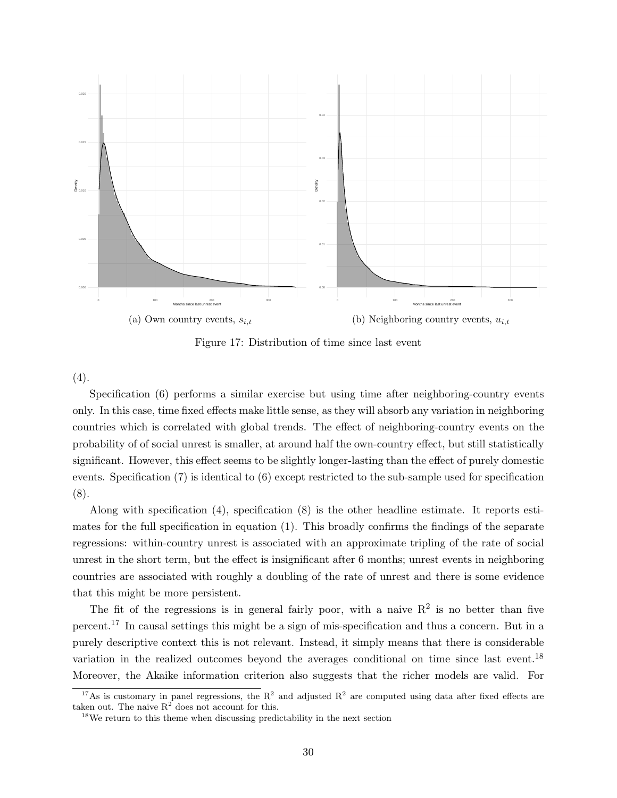

Figure 17: Distribution of time since last event

 $(4).$ 

Specification (6) performs a similar exercise but using time after neighboring-country events only. In this case, time fixed effects make little sense, as they will absorb any variation in neighboring countries which is correlated with global trends. The effect of neighboring-country events on the probability of of social unrest is smaller, at around half the own-country effect, but still statistically significant. However, this effect seems to be slightly longer-lasting than the effect of purely domestic events. Specification (7) is identical to (6) except restricted to the sub-sample used for specification (8).

Along with specification (4), specification (8) is the other headline estimate. It reports estimates for the full specification in equation (1). This broadly confirms the findings of the separate regressions: within-country unrest is associated with an approximate tripling of the rate of social unrest in the short term, but the effect is insignificant after 6 months; unrest events in neighboring countries are associated with roughly a doubling of the rate of unrest and there is some evidence that this might be more persistent.

The fit of the regressions is in general fairly poor, with a naive  $\mathbb{R}^2$  is no better than five percent.<sup>17</sup> In causal settings this might be a sign of mis-specification and thus a concern. But in a purely descriptive context this is not relevant. Instead, it simply means that there is considerable variation in the realized outcomes beyond the averages conditional on time since last event.<sup>18</sup> Moreover, the Akaike information criterion also suggests that the richer models are valid. For

<sup>&</sup>lt;sup>17</sup>As is customary in panel regressions, the  $R^2$  and adjusted  $R^2$  are computed using data after fixed effects are taken out. The naive  $R^2$  does not account for this.

<sup>&</sup>lt;sup>18</sup>We return to this theme when discussing predictability in the next section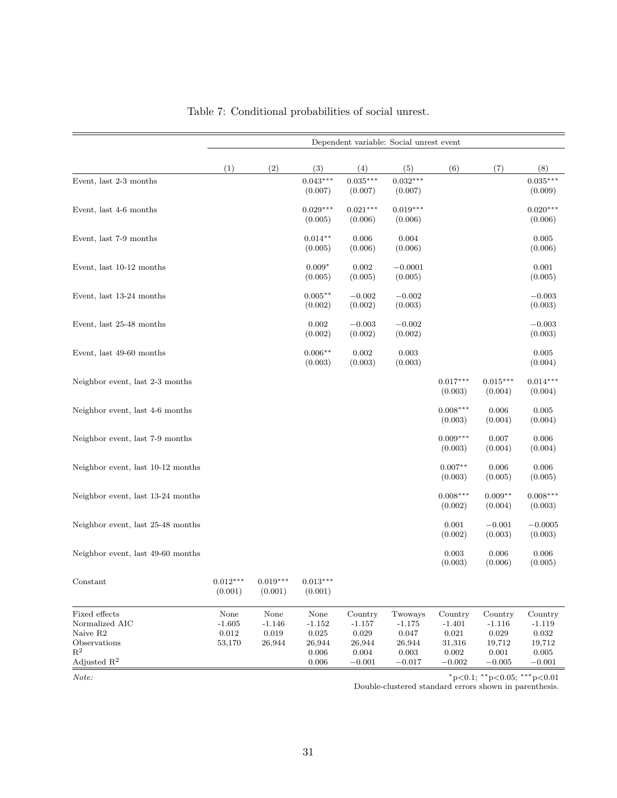|                                                                                                          |                                           |                                           |                                                             |                                                                   | Dependent variable: Social unrest event                     |                                                                   |                                                             |                                                                   |
|----------------------------------------------------------------------------------------------------------|-------------------------------------------|-------------------------------------------|-------------------------------------------------------------|-------------------------------------------------------------------|-------------------------------------------------------------|-------------------------------------------------------------------|-------------------------------------------------------------|-------------------------------------------------------------------|
|                                                                                                          | (1)                                       | (2)                                       | (3)                                                         | (4)                                                               | (5)                                                         | (6)                                                               | (7)                                                         | (8)                                                               |
| Event, last 2-3 months                                                                                   |                                           |                                           | $0.043***$<br>(0.007)                                       | $0.035***$<br>(0.007)                                             | $0.032***$<br>(0.007)                                       |                                                                   |                                                             | $0.035***$<br>(0.009)                                             |
| Event, last 4-6 months                                                                                   |                                           |                                           | $0.029***$<br>(0.005)                                       | $0.021***$<br>(0.006)                                             | $0.019***$<br>(0.006)                                       |                                                                   |                                                             | $0.020***$<br>(0.006)                                             |
| Event, last 7-9 months                                                                                   |                                           |                                           | $0.014**$<br>(0.005)                                        | 0.006<br>(0.006)                                                  | 0.004<br>(0.006)                                            |                                                                   |                                                             | 0.005<br>(0.006)                                                  |
| Event, last 10-12 months                                                                                 |                                           |                                           | $0.009*$<br>(0.005)                                         | 0.002<br>(0.005)                                                  | $-0.0001$<br>(0.005)                                        |                                                                   |                                                             | 0.001<br>(0.005)                                                  |
| Event, last 13-24 months                                                                                 |                                           |                                           | $0.005***$<br>(0.002)                                       | $-0.002$<br>(0.002)                                               | $-0.002$<br>(0.003)                                         |                                                                   |                                                             | $-0.003$<br>(0.003)                                               |
| Event, last 25-48 months                                                                                 |                                           |                                           | 0.002<br>(0.002)                                            | $-0.003$<br>(0.002)                                               | $-0.002$<br>(0.002)                                         |                                                                   |                                                             | $-0.003$<br>(0.003)                                               |
| Event, last 49-60 months                                                                                 |                                           |                                           | $0.006**$<br>(0.003)                                        | 0.002<br>(0.003)                                                  | 0.003<br>(0.003)                                            |                                                                   |                                                             | 0.005<br>(0.004)                                                  |
| Neighbor event, last 2-3 months                                                                          |                                           |                                           |                                                             |                                                                   |                                                             | $0.017***$<br>(0.003)                                             | $0.015***$<br>(0.004)                                       | $0.014***$<br>(0.004)                                             |
| Neighbor event, last 4-6 months                                                                          |                                           |                                           |                                                             |                                                                   |                                                             | $0.008***$<br>(0.003)                                             | 0.006<br>(0.004)                                            | 0.005<br>(0.004)                                                  |
| Neighbor event, last 7-9 months                                                                          |                                           |                                           |                                                             |                                                                   |                                                             | $0.009***$<br>(0.003)                                             | 0.007<br>(0.004)                                            | 0.006<br>(0.004)                                                  |
| Neighbor event, last 10-12 months                                                                        |                                           |                                           |                                                             |                                                                   |                                                             | $0.007**$<br>(0.003)                                              | 0.006<br>(0.005)                                            | 0.006<br>(0.005)                                                  |
| Neighbor event, last 13-24 months                                                                        |                                           |                                           |                                                             |                                                                   |                                                             | $0.008***$<br>(0.002)                                             | $0.009**$<br>(0.004)                                        | $0.008***$<br>(0.003)                                             |
| Neighbor event, last 25-48 months                                                                        |                                           |                                           |                                                             |                                                                   |                                                             | 0.001<br>(0.002)                                                  | $-0.001$<br>(0.003)                                         | $-0.0005$<br>(0.003)                                              |
| Neighbor event, last 49-60 months                                                                        |                                           |                                           |                                                             |                                                                   |                                                             | 0.003<br>(0.003)                                                  | 0.006<br>(0.006)                                            | 0.006<br>(0.005)                                                  |
| Constant                                                                                                 | $0.012***$<br>(0.001)                     | $0.019***$<br>(0.001)                     | $0.013***$<br>(0.001)                                       |                                                                   |                                                             |                                                                   |                                                             |                                                                   |
| Fixed effects<br>Normalized AIC<br>Naive R2<br>Observations<br>$\mathbb{R}^2$<br>Adjusted $\mathbb{R}^2$ | None<br>$-1.605$<br>$\rm 0.012$<br>53,170 | None<br>$-1.146$<br>$\,0.019\,$<br>26,944 | None<br>$-1.152$<br>$\,0.025\,$<br>26,944<br>0.006<br>0.006 | Country<br>$-1.157$<br>$\,0.029\,$<br>26,944<br>0.004<br>$-0.001$ | Twoways<br>$-1.175$<br>0.047<br>26,944<br>0.003<br>$-0.017$ | Country<br>$-1.401$<br>$\,0.021\,$<br>31,316<br>0.002<br>$-0.002$ | Country<br>$-1.116$<br>0.029<br>19,712<br>0.001<br>$-0.005$ | Country<br>$-1.119$<br>$\,0.032\,$<br>19,712<br>0.005<br>$-0.001$ |

| Table 7: Conditional probabilities of social unrest. |  |  |  |
|------------------------------------------------------|--|--|--|
|------------------------------------------------------|--|--|--|

Note: \* p<0.1; \*\* p<0.05; \*\*\* p<0.05}

Double-clustered standard errors shown in parenthesis.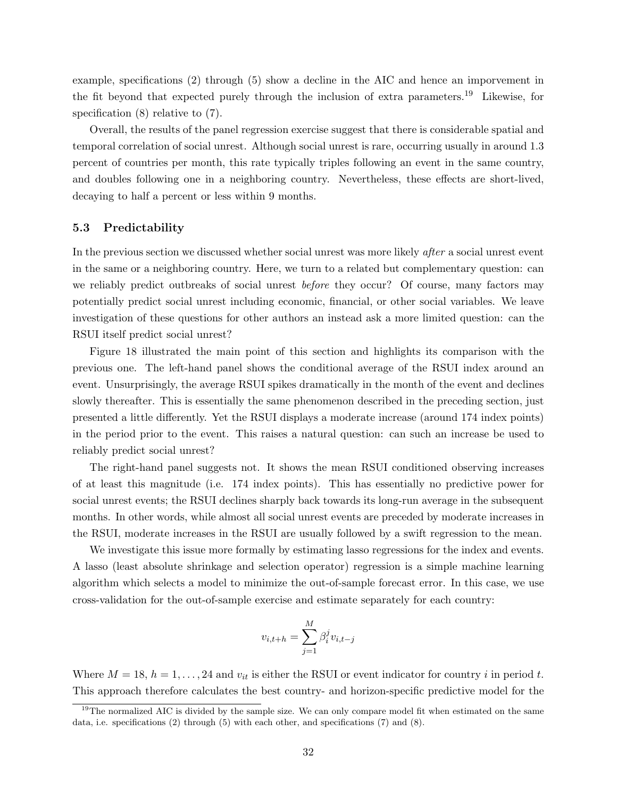example, specifications (2) through (5) show a decline in the AIC and hence an imporvement in the fit beyond that expected purely through the inclusion of extra parameters.<sup>19</sup> Likewise, for specification  $(8)$  relative to  $(7)$ .

Overall, the results of the panel regression exercise suggest that there is considerable spatial and temporal correlation of social unrest. Although social unrest is rare, occurring usually in around 1.3 percent of countries per month, this rate typically triples following an event in the same country, and doubles following one in a neighboring country. Nevertheless, these effects are short-lived, decaying to half a percent or less within 9 months.

### 5.3 Predictability

In the previous section we discussed whether social unrest was more likely after a social unrest event in the same or a neighboring country. Here, we turn to a related but complementary question: can we reliably predict outbreaks of social unrest *before* they occur? Of course, many factors may potentially predict social unrest including economic, financial, or other social variables. We leave investigation of these questions for other authors an instead ask a more limited question: can the RSUI itself predict social unrest?

Figure 18 illustrated the main point of this section and highlights its comparison with the previous one. The left-hand panel shows the conditional average of the RSUI index around an event. Unsurprisingly, the average RSUI spikes dramatically in the month of the event and declines slowly thereafter. This is essentially the same phenomenon described in the preceding section, just presented a little differently. Yet the RSUI displays a moderate increase (around 174 index points) in the period prior to the event. This raises a natural question: can such an increase be used to reliably predict social unrest?

The right-hand panel suggests not. It shows the mean RSUI conditioned observing increases of at least this magnitude (i.e. 174 index points). This has essentially no predictive power for social unrest events; the RSUI declines sharply back towards its long-run average in the subsequent months. In other words, while almost all social unrest events are preceded by moderate increases in the RSUI, moderate increases in the RSUI are usually followed by a swift regression to the mean.

We investigate this issue more formally by estimating lasso regressions for the index and events. A lasso (least absolute shrinkage and selection operator) regression is a simple machine learning algorithm which selects a model to minimize the out-of-sample forecast error. In this case, we use cross-validation for the out-of-sample exercise and estimate separately for each country:

$$
v_{i,t+h} = \sum_{j=1}^{M} \beta_i^j v_{i,t-j}
$$

Where  $M = 18$ ,  $h = 1, \ldots, 24$  and  $v_{it}$  is either the RSUI or event indicator for country i in period t. This approach therefore calculates the best country- and horizon-specific predictive model for the

<sup>&</sup>lt;sup>19</sup>The normalized AIC is divided by the sample size. We can only compare model fit when estimated on the same data, i.e. specifications (2) through (5) with each other, and specifications (7) and (8).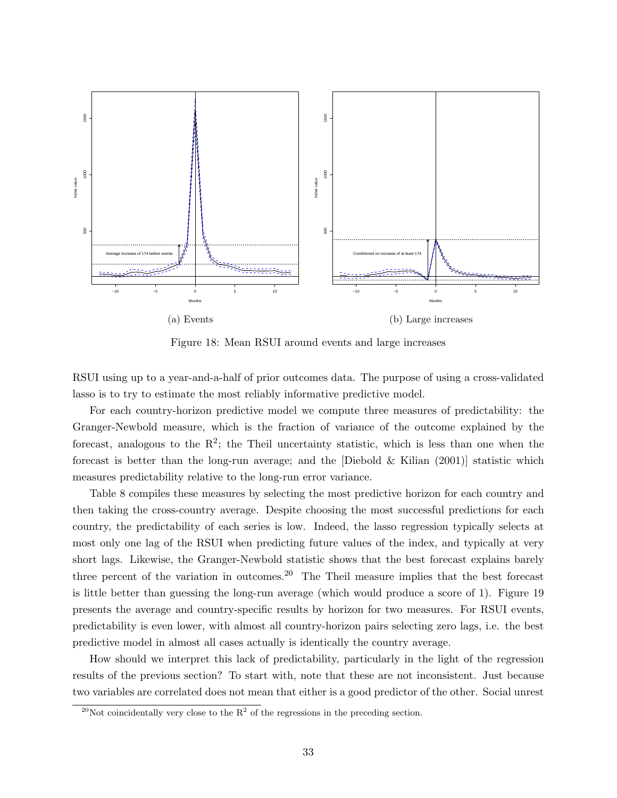

Figure 18: Mean RSUI around events and large increases

RSUI using up to a year-and-a-half of prior outcomes data. The purpose of using a cross-validated lasso is to try to estimate the most reliably informative predictive model.

For each country-horizon predictive model we compute three measures of predictability: the Granger-Newbold measure, which is the fraction of variance of the outcome explained by the forecast, analogous to the  $R^2$ ; the Theil uncertainty statistic, which is less than one when the forecast is better than the long-run average; and the [Diebold & Kilian  $(2001)$ ] statistic which measures predictability relative to the long-run error variance.

Table 8 compiles these measures by selecting the most predictive horizon for each country and then taking the cross-country average. Despite choosing the most successful predictions for each country, the predictability of each series is low. Indeed, the lasso regression typically selects at most only one lag of the RSUI when predicting future values of the index, and typically at very short lags. Likewise, the Granger-Newbold statistic shows that the best forecast explains barely three percent of the variation in outcomes.<sup>20</sup> The Theil measure implies that the best forecast is little better than guessing the long-run average (which would produce a score of 1). Figure 19 presents the average and country-specific results by horizon for two measures. For RSUI events, predictability is even lower, with almost all country-horizon pairs selecting zero lags, i.e. the best predictive model in almost all cases actually is identically the country average.

How should we interpret this lack of predictability, particularly in the light of the regression results of the previous section? To start with, note that these are not inconsistent. Just because two variables are correlated does not mean that either is a good predictor of the other. Social unrest

<sup>&</sup>lt;sup>20</sup>Not coincidentally very close to the  $R^2$  of the regressions in the preceding section.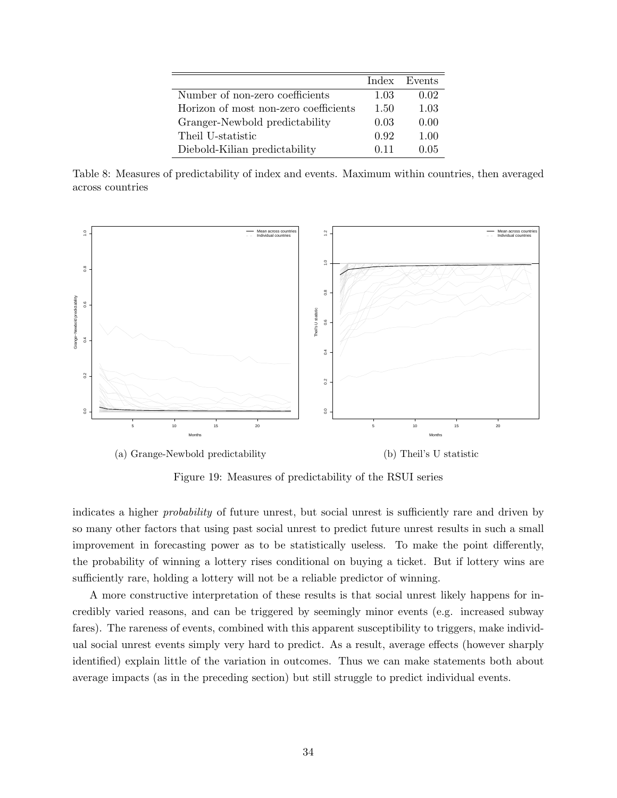|                                       |      | Index Events |
|---------------------------------------|------|--------------|
| Number of non-zero coefficients       | 1.03 | 0.02         |
| Horizon of most non-zero coefficients | 1.50 | 1.03         |
| Granger-Newbold predictability        | 0.03 | 0.00         |
| Theil U-statistic                     | 0.92 | 1.00         |
| Diebold-Kilian predictability         | O 11 | 0.05         |

Table 8: Measures of predictability of index and events. Maximum within countries, then averaged across countries



Figure 19: Measures of predictability of the RSUI series

indicates a higher probability of future unrest, but social unrest is sufficiently rare and driven by so many other factors that using past social unrest to predict future unrest results in such a small improvement in forecasting power as to be statistically useless. To make the point differently, the probability of winning a lottery rises conditional on buying a ticket. But if lottery wins are sufficiently rare, holding a lottery will not be a reliable predictor of winning.

A more constructive interpretation of these results is that social unrest likely happens for incredibly varied reasons, and can be triggered by seemingly minor events (e.g. increased subway fares). The rareness of events, combined with this apparent susceptibility to triggers, make individual social unrest events simply very hard to predict. As a result, average effects (however sharply identified) explain little of the variation in outcomes. Thus we can make statements both about average impacts (as in the preceding section) but still struggle to predict individual events.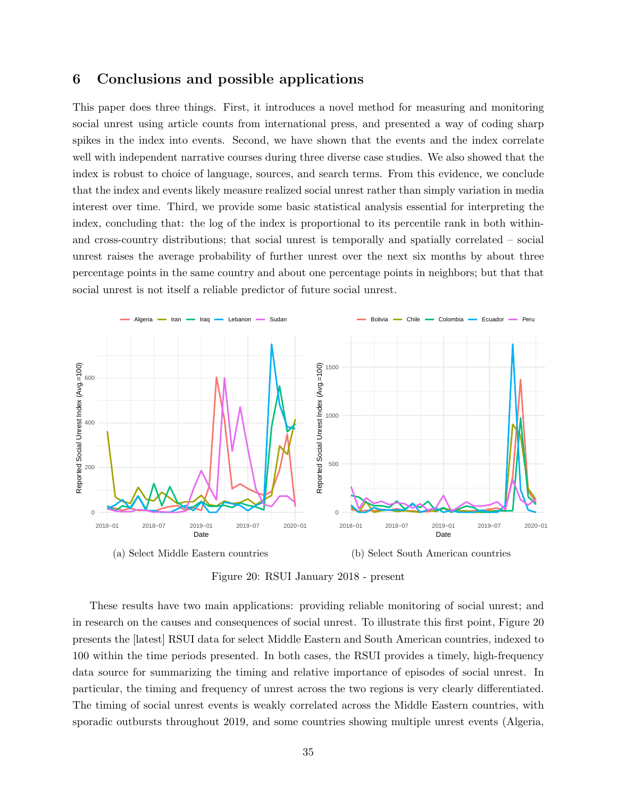## 6 Conclusions and possible applications

This paper does three things. First, it introduces a novel method for measuring and monitoring social unrest using article counts from international press, and presented a way of coding sharp spikes in the index into events. Second, we have shown that the events and the index correlate well with independent narrative courses during three diverse case studies. We also showed that the index is robust to choice of language, sources, and search terms. From this evidence, we conclude that the index and events likely measure realized social unrest rather than simply variation in media interest over time. Third, we provide some basic statistical analysis essential for interpreting the index, concluding that: the log of the index is proportional to its percentile rank in both withinand cross-country distributions; that social unrest is temporally and spatially correlated – social unrest raises the average probability of further unrest over the next six months by about three percentage points in the same country and about one percentage points in neighbors; but that that social unrest is not itself a reliable predictor of future social unrest.



(a) Select Middle Eastern countries (b) Select South American countries

Figure 20: RSUI January 2018 - present

These results have two main applications: providing reliable monitoring of social unrest; and in research on the causes and consequences of social unrest. To illustrate this first point, Figure 20 presents the [latest] RSUI data for select Middle Eastern and South American countries, indexed to 100 within the time periods presented. In both cases, the RSUI provides a timely, high-frequency data source for summarizing the timing and relative importance of episodes of social unrest. In particular, the timing and frequency of unrest across the two regions is very clearly differentiated. The timing of social unrest events is weakly correlated across the Middle Eastern countries, with sporadic outbursts throughout 2019, and some countries showing multiple unrest events (Algeria,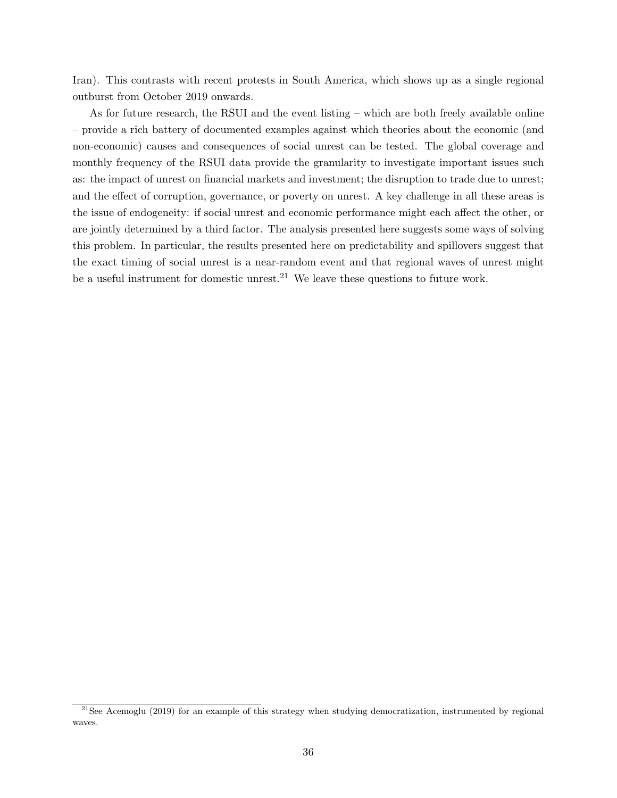Iran). This contrasts with recent protests in South America, which shows up as a single regional outburst from October 2019 onwards.

As for future research, the RSUI and the event listing – which are both freely available online – provide a rich battery of documented examples against which theories about the economic (and non-economic) causes and consequences of social unrest can be tested. The global coverage and monthly frequency of the RSUI data provide the granularity to investigate important issues such as: the impact of unrest on financial markets and investment; the disruption to trade due to unrest; and the effect of corruption, governance, or poverty on unrest. A key challenge in all these areas is the issue of endogeneity: if social unrest and economic performance might each affect the other, or are jointly determined by a third factor. The analysis presented here suggests some ways of solving this problem. In particular, the results presented here on predictability and spillovers suggest that the exact timing of social unrest is a near-random event and that regional waves of unrest might be a useful instrument for domestic unrest.<sup>21</sup> We leave these questions to future work.

<sup>&</sup>lt;sup>21</sup>See Acemoglu (2019) for an example of this strategy when studying democratization, instrumented by regional waves.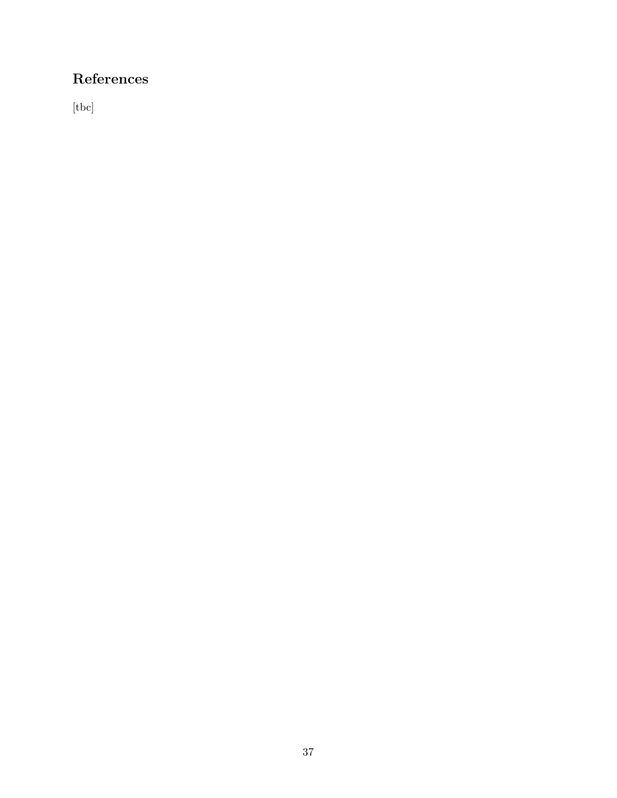# References

[tbc]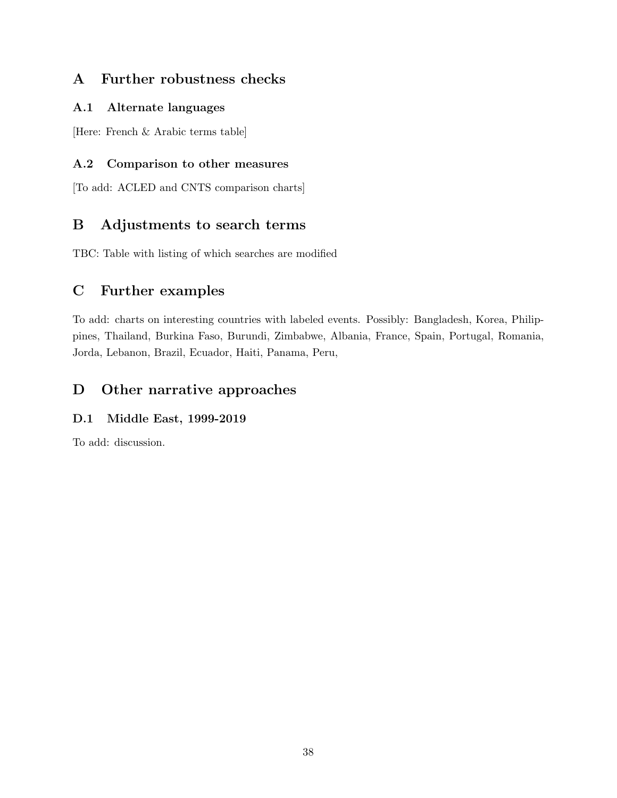## A Further robustness checks

## A.1 Alternate languages

[Here: French & Arabic terms table]

## A.2 Comparison to other measures

[To add: ACLED and CNTS comparison charts]

## B Adjustments to search terms

TBC: Table with listing of which searches are modified

## C Further examples

To add: charts on interesting countries with labeled events. Possibly: Bangladesh, Korea, Philippines, Thailand, Burkina Faso, Burundi, Zimbabwe, Albania, France, Spain, Portugal, Romania, Jorda, Lebanon, Brazil, Ecuador, Haiti, Panama, Peru,

## D Other narrative approaches

## D.1 Middle East, 1999-2019

To add: discussion.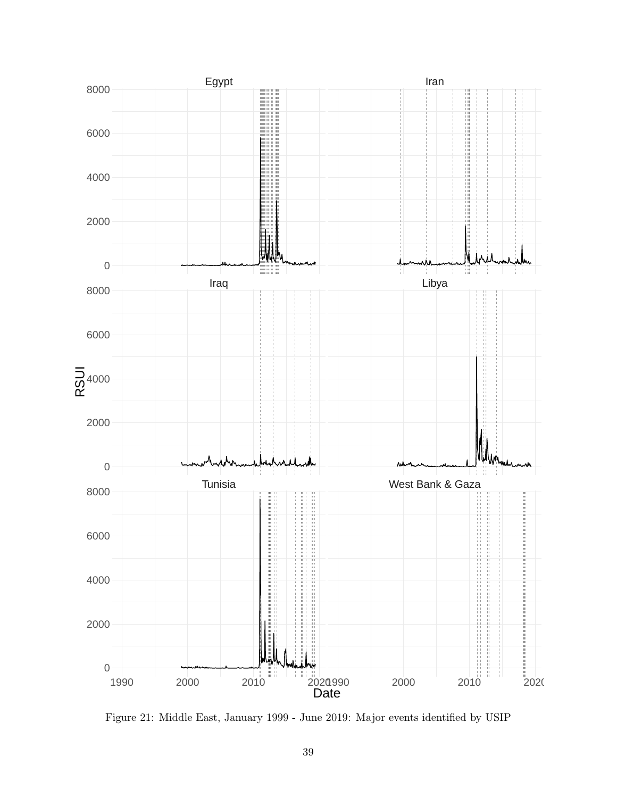

Figure 21: Middle East, January 1999 - June 2019: Major events identified by USIP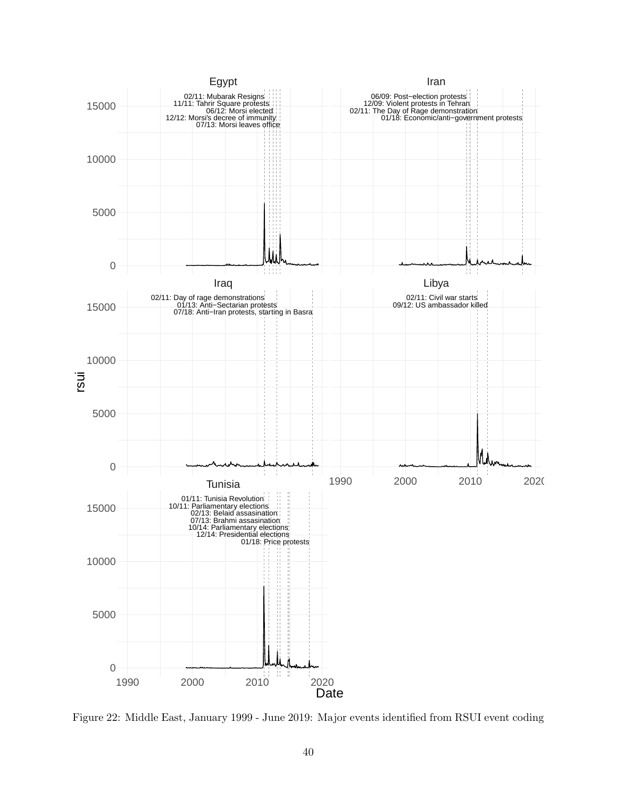

Figure 22: Middle East, January 1999 - June 2019: Major events identified from RSUI event coding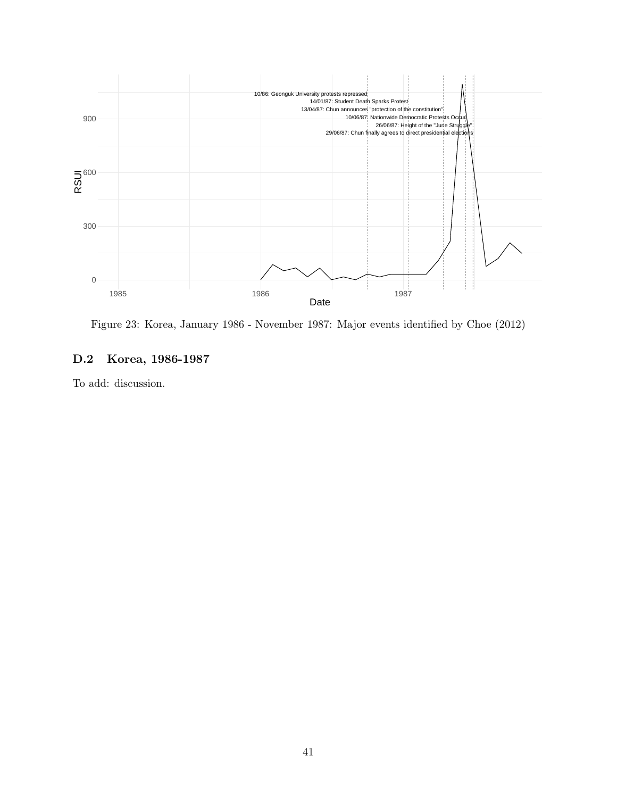

Figure 23: Korea, January 1986 - November 1987: Major events identified by Choe (2012)

### D.2 Korea, 1986-1987

To add: discussion.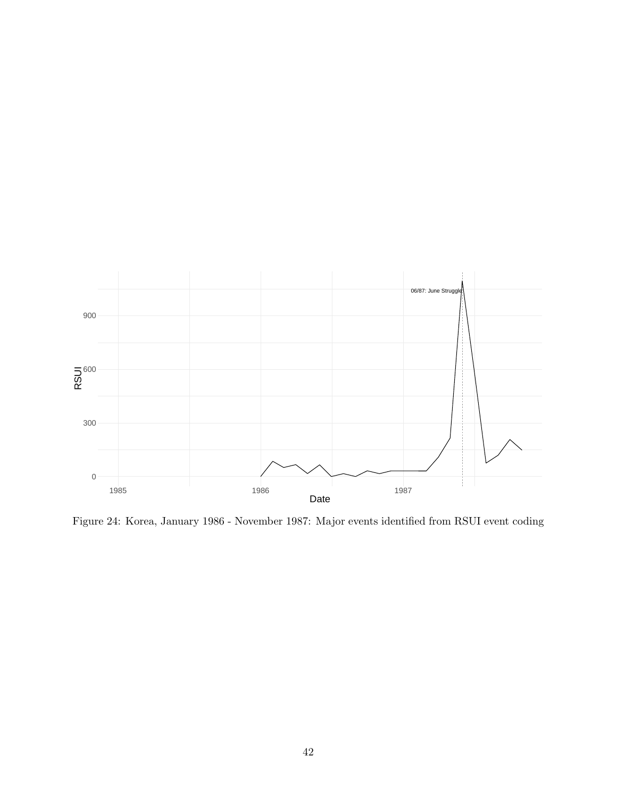

Figure 24: Korea, January 1986 - November 1987: Major events identified from RSUI event coding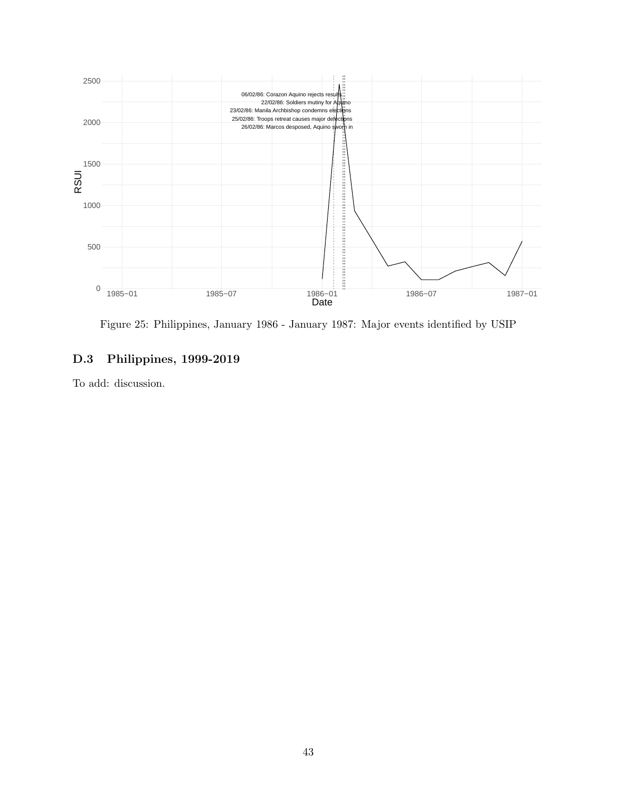

Figure 25: Philippines, January 1986 - January 1987: Major events identified by USIP

## D.3 Philippines, 1999-2019

To add: discussion.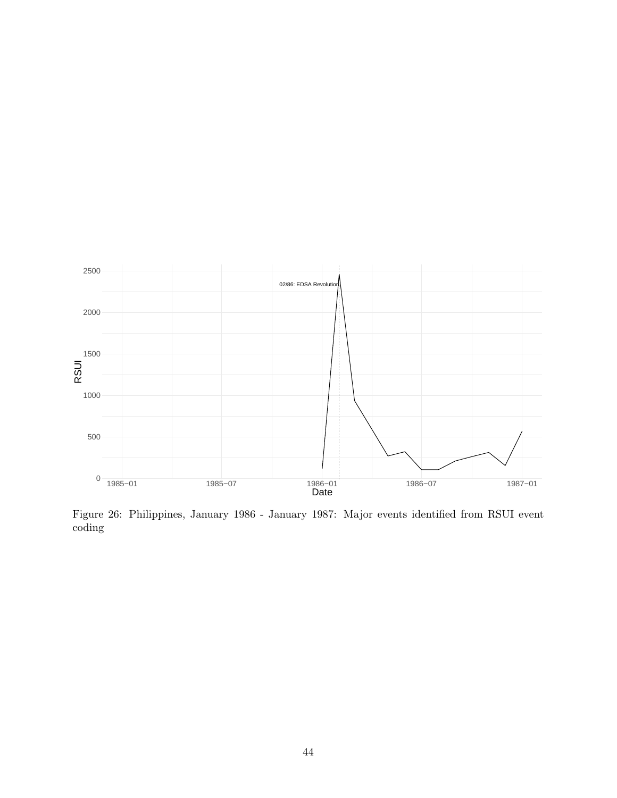

Figure 26: Philippines, January 1986 - January 1987: Major events identified from RSUI event coding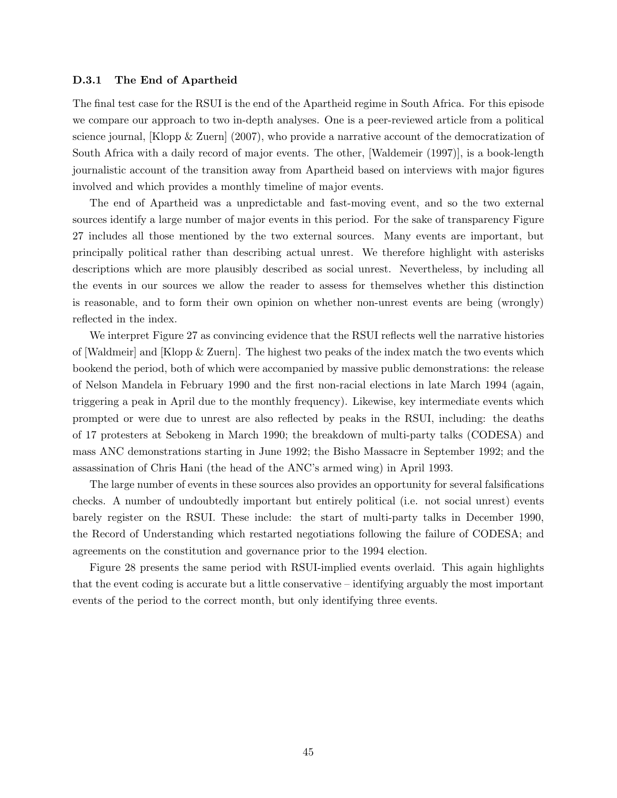### D.3.1 The End of Apartheid

The final test case for the RSUI is the end of the Apartheid regime in South Africa. For this episode we compare our approach to two in-depth analyses. One is a peer-reviewed article from a political science journal, [Klopp & Zuern] (2007), who provide a narrative account of the democratization of South Africa with a daily record of major events. The other, [Waldemeir (1997)], is a book-length journalistic account of the transition away from Apartheid based on interviews with major figures involved and which provides a monthly timeline of major events.

The end of Apartheid was a unpredictable and fast-moving event, and so the two external sources identify a large number of major events in this period. For the sake of transparency Figure 27 includes all those mentioned by the two external sources. Many events are important, but principally political rather than describing actual unrest. We therefore highlight with asterisks descriptions which are more plausibly described as social unrest. Nevertheless, by including all the events in our sources we allow the reader to assess for themselves whether this distinction is reasonable, and to form their own opinion on whether non-unrest events are being (wrongly) reflected in the index.

We interpret Figure 27 as convincing evidence that the RSUI reflects well the narrative histories of [Waldmeir] and [Klopp & Zuern]. The highest two peaks of the index match the two events which bookend the period, both of which were accompanied by massive public demonstrations: the release of Nelson Mandela in February 1990 and the first non-racial elections in late March 1994 (again, triggering a peak in April due to the monthly frequency). Likewise, key intermediate events which prompted or were due to unrest are also reflected by peaks in the RSUI, including: the deaths of 17 protesters at Sebokeng in March 1990; the breakdown of multi-party talks (CODESA) and mass ANC demonstrations starting in June 1992; the Bisho Massacre in September 1992; and the assassination of Chris Hani (the head of the ANC's armed wing) in April 1993.

The large number of events in these sources also provides an opportunity for several falsifications checks. A number of undoubtedly important but entirely political (i.e. not social unrest) events barely register on the RSUI. These include: the start of multi-party talks in December 1990, the Record of Understanding which restarted negotiations following the failure of CODESA; and agreements on the constitution and governance prior to the 1994 election.

Figure 28 presents the same period with RSUI-implied events overlaid. This again highlights that the event coding is accurate but a little conservative – identifying arguably the most important events of the period to the correct month, but only identifying three events.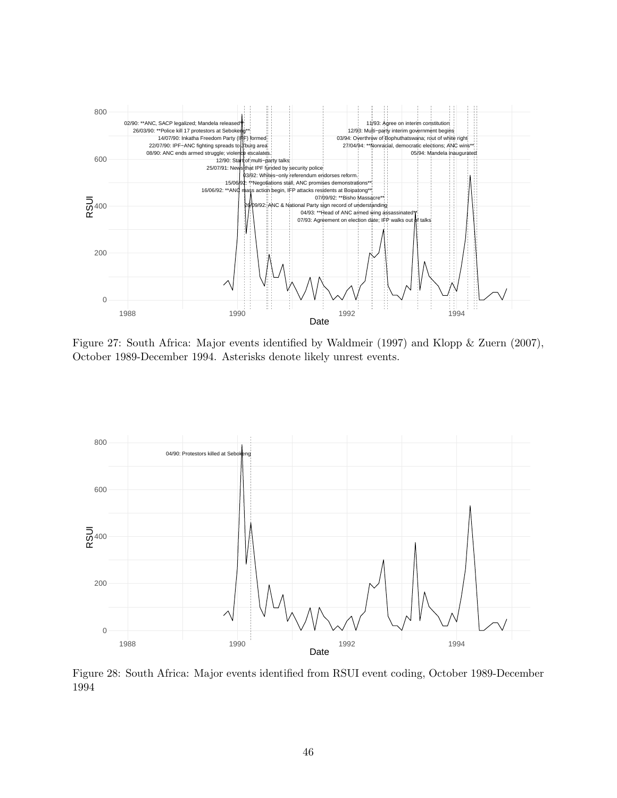

Figure 27: South Africa: Major events identified by Waldmeir (1997) and Klopp & Zuern (2007), October 1989-December 1994. Asterisks denote likely unrest events.



Figure 28: South Africa: Major events identified from RSUI event coding, October 1989-December 1994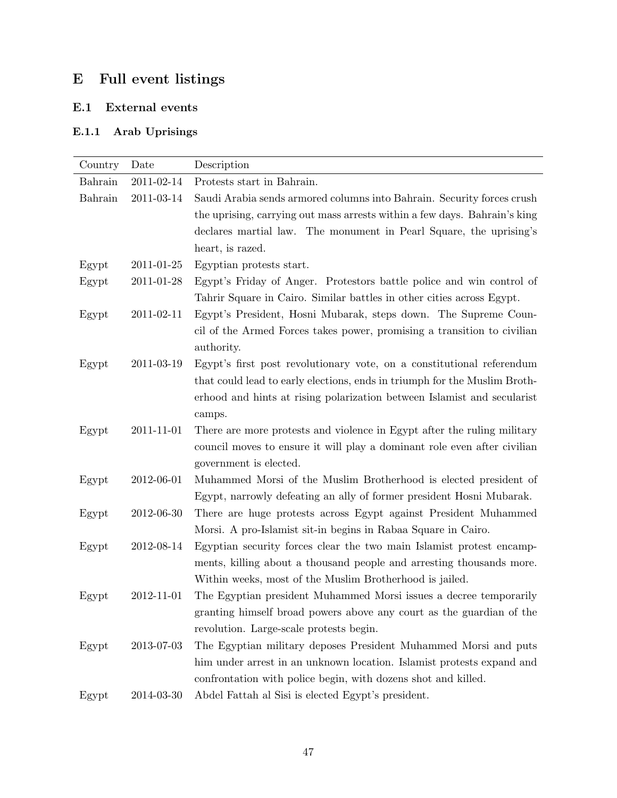# E Full event listings

## E.1 External events

## E.1.1 Arab Uprisings

| Country | Date       | Description                                                                                                                                                                                                                                   |
|---------|------------|-----------------------------------------------------------------------------------------------------------------------------------------------------------------------------------------------------------------------------------------------|
| Bahrain | 2011-02-14 | Protests start in Bahrain.                                                                                                                                                                                                                    |
| Bahrain | 2011-03-14 | Saudi Arabia sends armored columns into Bahrain. Security forces crush<br>the uprising, carrying out mass arrests within a few days. Bahrain's king<br>declares martial law. The monument in Pearl Square, the uprising's<br>heart, is razed. |
| Egypt   | 2011-01-25 | Egyptian protests start.                                                                                                                                                                                                                      |
| Egypt   | 2011-01-28 | Egypt's Friday of Anger. Protestors battle police and win control of<br>Tahrir Square in Cairo. Similar battles in other cities across Egypt.                                                                                                 |
| Egypt   | 2011-02-11 | Egypt's President, Hosni Mubarak, steps down. The Supreme Coun-<br>cil of the Armed Forces takes power, promising a transition to civilian<br>authority.                                                                                      |
| Egypt   | 2011-03-19 | Egypt's first post revolutionary vote, on a constitutional referendum<br>that could lead to early elections, ends in triumph for the Muslim Broth-<br>erhood and hints at rising polarization between Islamist and secularist<br>camps.       |
| Egypt   | 2011-11-01 | There are more protests and violence in Egypt after the ruling military<br>council moves to ensure it will play a dominant role even after civilian<br>government is elected.                                                                 |
| Egypt   | 2012-06-01 | Muhammed Morsi of the Muslim Brotherhood is elected president of<br>Egypt, narrowly defeating an ally of former president Hosni Mubarak.                                                                                                      |
| Egypt   | 2012-06-30 | There are huge protests across Egypt against President Muhammed<br>Morsi. A pro-Islamist sit-in begins in Rabaa Square in Cairo.                                                                                                              |
| Egypt   | 2012-08-14 | Egyptian security forces clear the two main Islamist protest encamp-<br>ments, killing about a thousand people and arresting thousands more.<br>Within weeks, most of the Muslim Brotherhood is jailed.                                       |
| Egypt   | 2012-11-01 | The Egyptian president Muhammed Morsi issues a decree temporarily<br>granting himself broad powers above any court as the guardian of the<br>revolution. Large-scale protests begin.                                                          |
| Egypt   | 2013-07-03 | The Egyptian military deposes President Muhammed Morsi and puts<br>him under arrest in an unknown location. Islamist protests expand and<br>confrontation with police begin, with dozens shot and killed.                                     |
| Egypt   | 2014-03-30 | Abdel Fattah al Sisi is elected Egypt's president.                                                                                                                                                                                            |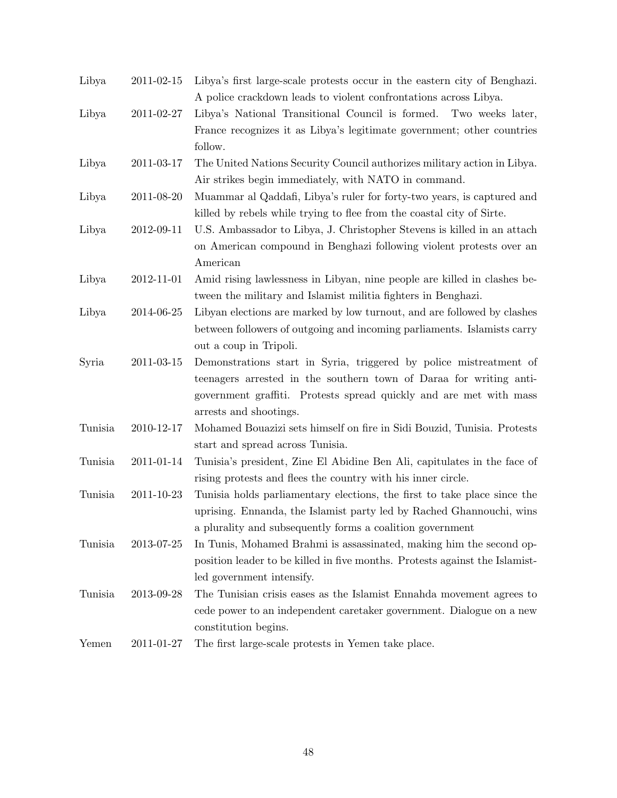| Libya   | $2011\hbox{-}02\hbox{-}15$ | Libya's first large-scale protests occur in the eastern city of Benghazi.   |
|---------|----------------------------|-----------------------------------------------------------------------------|
|         |                            | A police crackdown leads to violent confrontations across Libya.            |
| Libya   | 2011-02-27                 | Libya's National Transitional Council is formed. Two weeks later,           |
|         |                            | France recognizes it as Libya's legitimate government; other countries      |
|         |                            | follow.                                                                     |
| Libya   | 2011-03-17                 | The United Nations Security Council authorizes military action in Libya.    |
|         |                            | Air strikes begin immediately, with NATO in command.                        |
| Libya   | 2011-08-20                 | Muammar al Qaddafi, Libya's ruler for forty-two years, is captured and      |
|         |                            | killed by rebels while trying to flee from the coastal city of Sirte.       |
| Libya   | 2012-09-11                 | U.S. Ambassador to Libya, J. Christopher Stevens is killed in an attach     |
|         |                            | on American compound in Benghazi following violent protests over an         |
|         |                            | American                                                                    |
| Libya   | 2012-11-01                 | Amid rising lawlessness in Libyan, nine people are killed in clashes be-    |
|         |                            | tween the military and Islamist militia fighters in Benghazi.               |
| Libya   | 2014-06-25                 | Libyan elections are marked by low turnout, and are followed by clashes     |
|         |                            | between followers of outgoing and incoming parliaments. Islamists carry     |
|         |                            | out a coup in Tripoli.                                                      |
| Syria   | $2011 - 03 - 15$           | Demonstrations start in Syria, triggered by police mistreatment of          |
|         |                            | teenagers arrested in the southern town of Daraa for writing anti-          |
|         |                            | government graffiti. Protests spread quickly and are met with mass          |
|         |                            | arrests and shootings.                                                      |
| Tunisia | 2010-12-17                 | Mohamed Bouazizi sets himself on fire in Sidi Bouzid, Tunisia. Protests     |
|         |                            | start and spread across Tunisia.                                            |
| Tunisia | 2011-01-14                 | Tunisia's president, Zine El Abidine Ben Ali, capitulates in the face of    |
|         |                            | rising protests and flees the country with his inner circle.                |
| Tunisia | 2011-10-23                 | Tunisia holds parliamentary elections, the first to take place since the    |
|         |                            | uprising. Ennanda, the Islamist party led by Rached Ghannouchi, wins        |
|         |                            | a plurality and subsequently forms a coalition government                   |
| Tunisia | 2013-07-25                 | In Tunis, Mohamed Brahmi is assassinated, making him the second op-         |
|         |                            | position leader to be killed in five months. Protests against the Islamist- |
|         |                            | led government intensify.                                                   |
| Tunisia | 2013-09-28                 | The Tunisian crisis eases as the Islamist Ennahda movement agrees to        |
|         |                            | cede power to an independent caretaker government. Dialogue on a new        |
|         |                            | constitution begins.                                                        |
| Yemen   | 2011-01-27                 | The first large-scale protests in Yemen take place.                         |
|         |                            |                                                                             |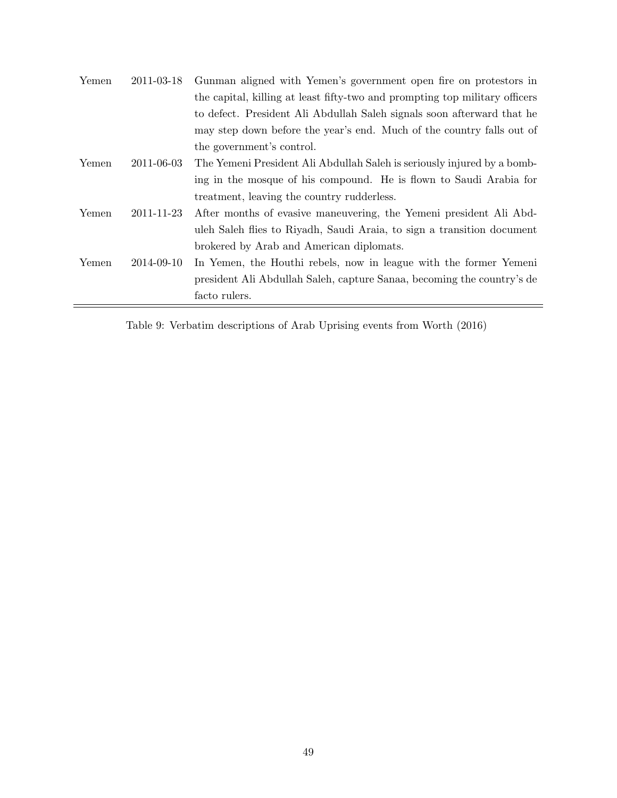| Yemen | 2011-03-18 | Gunman aligned with Yemen's government open fire on protestors in           |
|-------|------------|-----------------------------------------------------------------------------|
|       |            | the capital, killing at least fifty-two and prompting top military officers |
|       |            | to defect. President Ali Abdullah Saleh signals soon afterward that he      |
|       |            | may step down before the year's end. Much of the country falls out of       |
|       |            | the government's control.                                                   |
| Yemen | 2011-06-03 | The Yemeni President Ali Abdullah Saleh is seriously injured by a bomb-     |
|       |            | ing in the mosque of his compound. He is flown to Saudi Arabia for          |
|       |            | treatment, leaving the country rudderless.                                  |
| Yemen | 2011-11-23 | After months of evasive maneuvering, the Yemeni president Ali Abd-          |
|       |            | uleh Saleh flies to Riyadh, Saudi Araia, to sign a transition document      |
|       |            | brokered by Arab and American diplomats.                                    |
| Yemen | 2014-09-10 | In Yemen, the Houthi rebels, now in league with the former Yemeni           |
|       |            | president Ali Abdullah Saleh, capture Sanaa, becoming the country's de      |
|       |            | facto rulers.                                                               |

Table 9: Verbatim descriptions of Arab Uprising events from Worth (2016)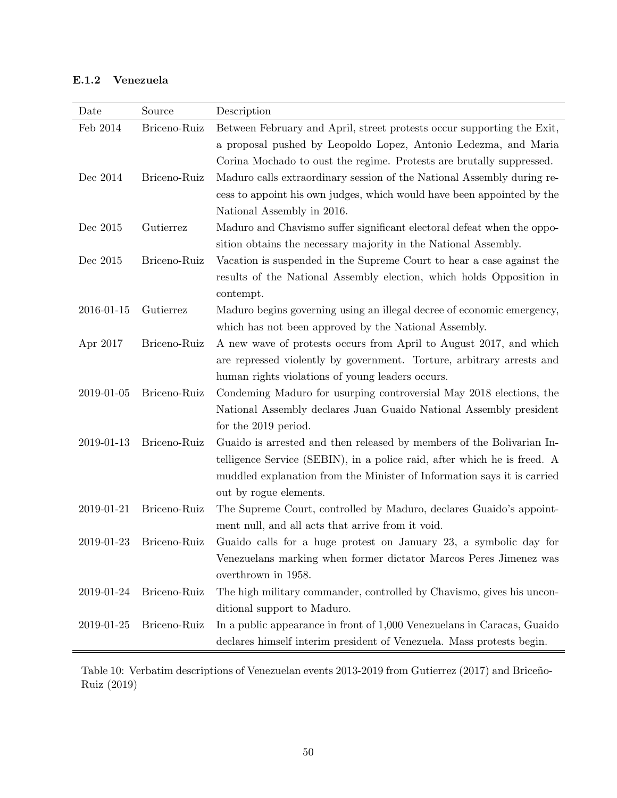## E.1.2 Venezuela

| Date       | Source       | Description                                                              |
|------------|--------------|--------------------------------------------------------------------------|
| Feb 2014   | Briceno-Ruiz | Between February and April, street protests occur supporting the Exit,   |
|            |              | a proposal pushed by Leopoldo Lopez, Antonio Ledezma, and Maria          |
|            |              | Corina Mochado to oust the regime. Protests are brutally suppressed.     |
| Dec 2014   | Briceno-Ruiz | Maduro calls extraordinary session of the National Assembly during re-   |
|            |              | cess to appoint his own judges, which would have been appointed by the   |
|            |              | National Assembly in 2016.                                               |
| Dec 2015   | Gutierrez    | Maduro and Chavismo suffer significant electoral defeat when the oppo-   |
|            |              | sition obtains the necessary majority in the National Assembly.          |
| Dec 2015   | Briceno-Ruiz | Vacation is suspended in the Supreme Court to hear a case against the    |
|            |              | results of the National Assembly election, which holds Opposition in     |
|            |              | contempt.                                                                |
| 2016-01-15 | Gutierrez    | Maduro begins governing using an illegal decree of economic emergency,   |
|            |              | which has not been approved by the National Assembly.                    |
| Apr 2017   | Briceno-Ruiz | A new wave of protests occurs from April to August 2017, and which       |
|            |              | are repressed violently by government. Torture, arbitrary arrests and    |
|            |              | human rights violations of young leaders occurs.                         |
| 2019-01-05 | Briceno-Ruiz | Condeming Maduro for usurping controversial May 2018 elections, the      |
|            |              | National Assembly declares Juan Guaido National Assembly president       |
|            |              | for the 2019 period.                                                     |
| 2019-01-13 | Briceno-Ruiz | Guaido is arrested and then released by members of the Bolivarian In-    |
|            |              | telligence Service (SEBIN), in a police raid, after which he is freed. A |
|            |              | muddled explanation from the Minister of Information says it is carried  |
|            |              | out by rogue elements.                                                   |
| 2019-01-21 | Briceno-Ruiz | The Supreme Court, controlled by Maduro, declares Guaido's appoint-      |
|            |              | ment null, and all acts that arrive from it void.                        |
| 2019-01-23 | Briceno-Ruiz | Guaido calls for a huge protest on January 23, a symbolic day for        |
|            |              | Venezuelans marking when former dictator Marcos Peres Jimenez was        |
|            |              | overthrown in 1958.                                                      |
| 2019-01-24 | Briceno-Ruiz | The high military commander, controlled by Chavismo, gives his uncon-    |
|            |              | ditional support to Maduro.                                              |
| 2019-01-25 | Briceno-Ruiz | In a public appearance in front of 1,000 Venezuelans in Caracas, Guaido  |
|            |              | declares himself interim president of Venezuela. Mass protests begin.    |

Table 10: Verbatim descriptions of Venezuelan events 2013-2019 from Gutierrez (2017) and Briceño-Ruiz (2019)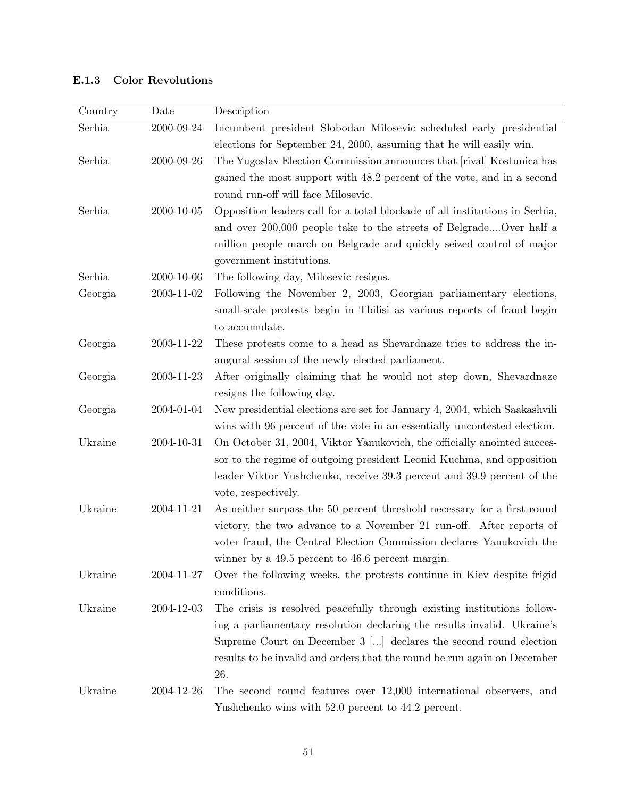| Country | Date             | Description                                                                               |
|---------|------------------|-------------------------------------------------------------------------------------------|
| Serbia  | 2000-09-24       | Incumbent president Slobodan Milosevic scheduled early presidential                       |
|         |                  | elections for September 24, 2000, assuming that he will easily win.                       |
| Serbia  | 2000-09-26       | The Yugoslav Election Commission announces that [rival] Kostunica has                     |
|         |                  | gained the most support with 48.2 percent of the vote, and in a second                    |
|         |                  | round run-off will face Milosevic.                                                        |
| Serbia  | $2000 - 10 - 05$ | Opposition leaders call for a total blockade of all institutions in Serbia,               |
|         |                  | and over 200,000 people take to the streets of BelgradeOver half a                        |
|         |                  | million people march on Belgrade and quickly seized control of major                      |
|         |                  | government institutions.                                                                  |
| Serbia  | 2000-10-06       | The following day, Milosevic resigns.                                                     |
| Georgia | $2003 - 11 - 02$ | Following the November 2, 2003, Georgian parliamentary elections,                         |
|         |                  | small-scale protests begin in Tbilisi as various reports of fraud begin<br>to accumulate. |
| Georgia | 2003-11-22       | These protests come to a head as Shevardnaze tries to address the in-                     |
|         |                  | augural session of the newly elected parliament.                                          |
| Georgia | 2003-11-23       | After originally claiming that he would not step down, Shevardnaze                        |
|         |                  | resigns the following day.                                                                |
| Georgia | 2004-01-04       | New presidential elections are set for January 4, 2004, which Saakashvili                 |
|         |                  | wins with 96 percent of the vote in an essentially uncontested election.                  |
| Ukraine | 2004-10-31       | On October 31, 2004, Viktor Yanukovich, the officially anointed succes-                   |
|         |                  | sor to the regime of outgoing president Leonid Kuchma, and opposition                     |
|         |                  | leader Viktor Yushchenko, receive 39.3 percent and 39.9 percent of the                    |
|         |                  | vote, respectively.                                                                       |
| Ukraine | 2004-11-21       | As neither surpass the 50 percent threshold necessary for a first-round                   |
|         |                  | victory, the two advance to a November 21 run-off. After reports of                       |
|         |                  | voter fraud, the Central Election Commission declares Yanukovich the                      |
|         |                  | winner by a $49.5$ percent to $46.6$ percent margin.                                      |
| Ukraine | 2004-11-27       | Over the following weeks, the protests continue in Kiev despite frigid                    |
|         |                  | conditions.                                                                               |
| Ukraine | 2004-12-03       | The crisis is resolved peacefully through existing institutions follow-                   |
|         |                  | ing a parliamentary resolution declaring the results invalid. Ukraine's                   |
|         |                  | Supreme Court on December $3$ [] declares the second round election                       |
|         |                  | results to be invalid and orders that the round be run again on December                  |
|         |                  | 26.                                                                                       |
| Ukraine | 2004-12-26       | The second round features over 12,000 international observers, and                        |
|         |                  | Yushchenko wins with 52.0 percent to 44.2 percent.                                        |

## E.1.3 Color Revolutions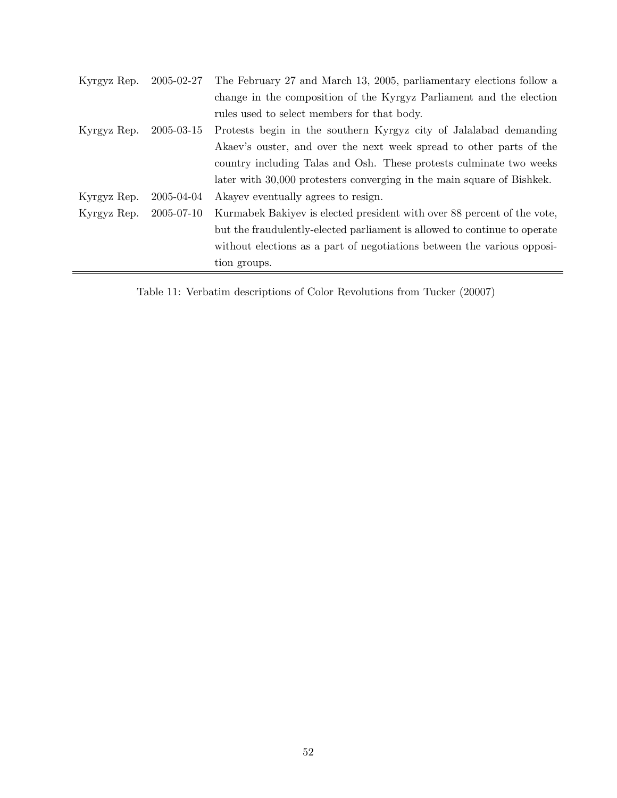| Kyrgyz Rep. | 2005-02-27 | The February 27 and March 13, 2005, parliamentary elections follow a      |
|-------------|------------|---------------------------------------------------------------------------|
|             |            | change in the composition of the Kyrgyz Parliament and the election       |
|             |            | rules used to select members for that body.                               |
| Kyrgyz Rep. | 2005-03-15 | Protests begin in the southern Kyrgyz city of Jalalabad demanding         |
|             |            | Akaev's ouster, and over the next week spread to other parts of the       |
|             |            | country including Talas and Osh. These protests culminate two weeks       |
|             |            | later with 30,000 protesters converging in the main square of Bishkek.    |
| Kyrgyz Rep. | 2005-04-04 | A kayev eventually agrees to resign.                                      |
| Kyrgyz Rep. | 2005-07-10 | Kurmabek Bakiyev is elected president with over 88 percent of the vote,   |
|             |            | but the fraudulently-elected parliament is allowed to continue to operate |
|             |            | without elections as a part of negotiations between the various opposi-   |
|             |            | tion groups.                                                              |
|             |            |                                                                           |

Table 11: Verbatim descriptions of Color Revolutions from Tucker (20007)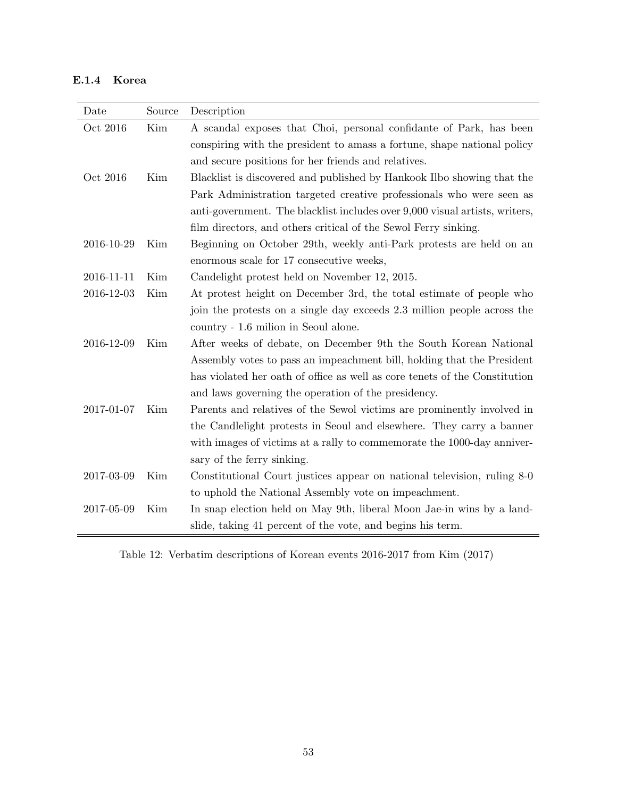## E.1.4 Korea

| Date       | Source | Description                                                                 |
|------------|--------|-----------------------------------------------------------------------------|
| Oct 2016   | Kim    | A scandal exposes that Choi, personal confidante of Park, has been          |
|            |        | conspiring with the president to a mass a fortune, shape national policy    |
|            |        | and secure positions for her friends and relatives.                         |
| Oct 2016   | Kim    | Blacklist is discovered and published by Hankook Ilbo showing that the      |
|            |        | Park Administration targeted creative professionals who were seen as        |
|            |        | anti-government. The blacklist includes over 9,000 visual artists, writers, |
|            |        | film directors, and others critical of the Sewol Ferry sinking.             |
| 2016-10-29 | Kim    | Beginning on October 29th, weekly anti-Park protests are held on an         |
|            |        | enormous scale for 17 consecutive weeks,                                    |
| 2016-11-11 | Kim    | Candelight protest held on November 12, 2015.                               |
| 2016-12-03 | Kim    | At protest height on December 3rd, the total estimate of people who         |
|            |        | join the protests on a single day exceeds 2.3 million people across the     |
|            |        | country - 1.6 milion in Seoul alone.                                        |
| 2016-12-09 | Kim    | After weeks of debate, on December 9th the South Korean National            |
|            |        | Assembly votes to pass an impeachment bill, holding that the President      |
|            |        | has violated her oath of office as well as core tenets of the Constitution  |
|            |        | and laws governing the operation of the presidency.                         |
| 2017-01-07 | Kim    | Parents and relatives of the Sewol victims are prominently involved in      |
|            |        | the Candlelight protests in Seoul and elsewhere. They carry a banner        |
|            |        | with images of victims at a rally to commemorate the 1000-day anniver-      |
|            |        | sary of the ferry sinking.                                                  |
| 2017-03-09 | Kim    | Constitutional Court justices appear on national television, ruling 8-0     |
|            |        | to uphold the National Assembly vote on impeachment.                        |
| 2017-05-09 | Kim    | In snap election held on May 9th, liberal Moon Jae-in wins by a land-       |
|            |        | slide, taking 41 percent of the vote, and begins his term.                  |

Table 12: Verbatim descriptions of Korean events 2016-2017 from Kim (2017)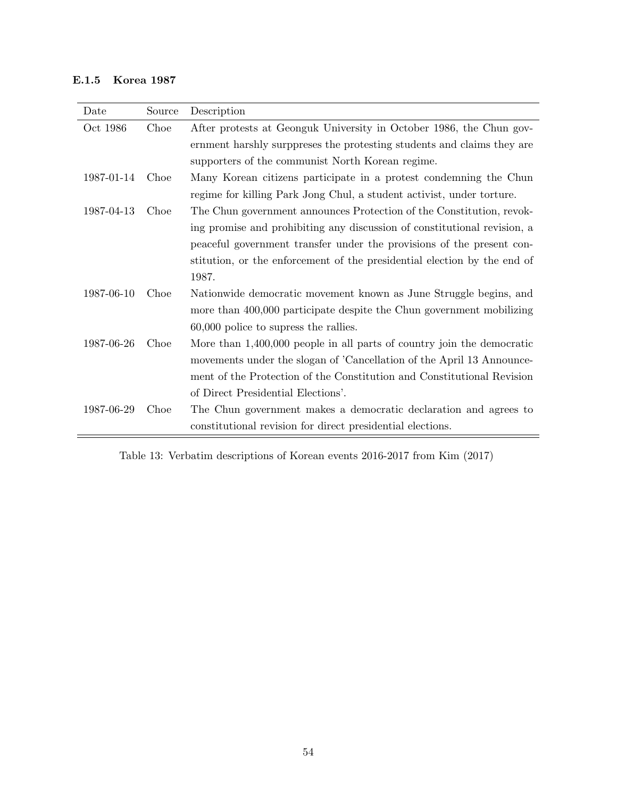## E.1.5 Korea 1987

| Date       | Source | Description                                                              |
|------------|--------|--------------------------------------------------------------------------|
| Oct 1986   | Choe   | After protests at Geonguk University in October 1986, the Chun gov-      |
|            |        | ernment harshly surppreses the protesting students and claims they are   |
|            |        | supporters of the communist North Korean regime.                         |
| 1987-01-14 | Choe   | Many Korean citizens participate in a protest condemning the Chun        |
|            |        | regime for killing Park Jong Chul, a student activist, under torture.    |
| 1987-04-13 | Choe   | The Chun government announces Protection of the Constitution, revok-     |
|            |        | ing promise and prohibiting any discussion of constitutional revision, a |
|            |        | peaceful government transfer under the provisions of the present con-    |
|            |        | stitution, or the enforcement of the presidential election by the end of |
|            |        | 1987.                                                                    |
| 1987-06-10 | Choe   | Nationwide democratic movement known as June Struggle begins, and        |
|            |        | more than 400,000 participate despite the Chun government mobilizing     |
|            |        | 60,000 police to supress the rallies.                                    |
| 1987-06-26 | Choe   | More than $1,400,000$ people in all parts of country join the democratic |
|            |        | movements under the slogan of 'Cancellation of the April 13 Announce-    |
|            |        | ment of the Protection of the Constitution and Constitutional Revision   |
|            |        | of Direct Presidential Elections'.                                       |
| 1987-06-29 | Choe   | The Chun government makes a democratic declaration and agrees to         |
|            |        | constitutional revision for direct presidential elections.               |

Table 13: Verbatim descriptions of Korean events 2016-2017 from Kim (2017)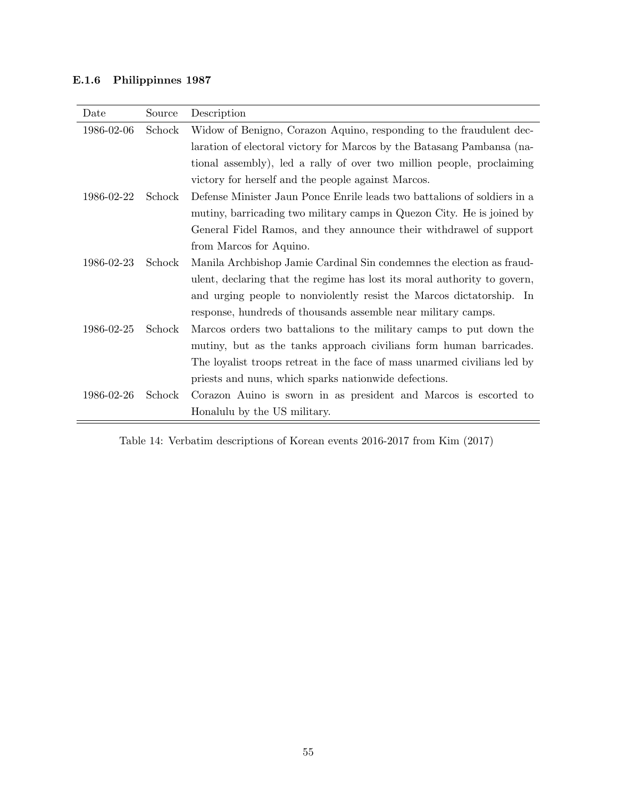## E.1.6 Philippinnes 1987

| Date       | Source | Description                                                              |
|------------|--------|--------------------------------------------------------------------------|
| 1986-02-06 | Schock | Widow of Benigno, Corazon Aquino, responding to the fraudulent dec-      |
|            |        | laration of electoral victory for Marcos by the Batasang Pambansa (na-   |
|            |        | tional assembly), led a rally of over two million people, proclaiming    |
|            |        | victory for herself and the people against Marcos.                       |
| 1986-02-22 | Schock | Defense Minister Jaun Ponce Enrile leads two battalions of soldiers in a |
|            |        | mutiny, barricading two military camps in Quezon City. He is joined by   |
|            |        | General Fidel Ramos, and they announce their withdrawel of support       |
|            |        | from Marcos for Aquino.                                                  |
| 1986-02-23 | Schock | Manila Archbishop Jamie Cardinal Sin condemnes the election as fraud-    |
|            |        | ulent, declaring that the regime has lost its moral authority to govern, |
|            |        | and urging people to nonviolently resist the Marcos dictatorship. In     |
|            |        | response, hundreds of thousands assemble near military camps.            |
| 1986-02-25 | Schock | Marcos orders two battalions to the military camps to put down the       |
|            |        | mutiny, but as the tanks approach civilians form human barricades.       |
|            |        | The loyalist troops retreat in the face of mass unarmed civilians led by |
|            |        | priests and nuns, which sparks nationwide defections.                    |
| 1986-02-26 | Schock | Corazon Auino is sworn in as president and Marcos is escorted to         |
|            |        | Honalulu by the US military.                                             |

Table 14: Verbatim descriptions of Korean events 2016-2017 from Kim (2017)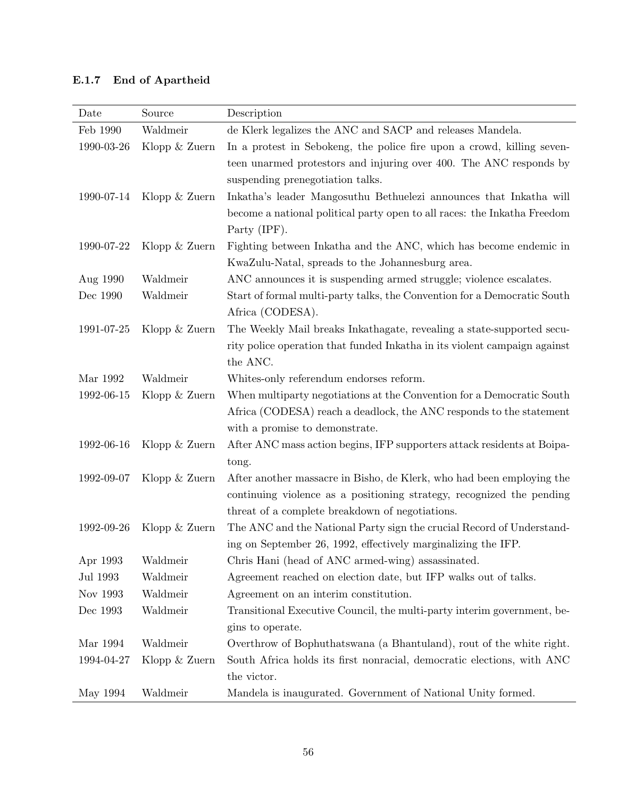## E.1.7 End of Apartheid

| Date         | Source          | Description                                                               |
|--------------|-----------------|---------------------------------------------------------------------------|
| Feb 1990     | Waldmeir        | de Klerk legalizes the ANC and SACP and releases Mandela.                 |
| 1990-03-26   | Klopp & Zuern   | In a protest in Sebokeng, the police fire upon a crowd, killing seven-    |
|              |                 | teen unarmed protestors and injuring over 400. The ANC responds by        |
|              |                 | suspending prenegotiation talks.                                          |
| 1990-07-14   | Klopp $&$ Zuern | Inkatha's leader Mangosuthu Bethuelezi announces that Inkatha will        |
|              |                 | become a national political party open to all races: the Inkatha Freedom  |
|              |                 | Party (IPF).                                                              |
| 1990-07-22   | Klopp $&$ Zuern | Fighting between Inkatha and the ANC, which has become endemic in         |
|              |                 | KwaZulu-Natal, spreads to the Johannesburg area.                          |
| Aug 1990     | Waldmeir        | ANC announces it is suspending armed struggle; violence escalates.        |
| Dec 1990     | Waldmeir        | Start of formal multi-party talks, the Convention for a Democratic South  |
|              |                 | Africa (CODESA).                                                          |
| 1991-07-25   | Klopp & Zuern   | The Weekly Mail breaks Inkathagate, revealing a state-supported secu-     |
|              |                 | rity police operation that funded Inkatha in its violent campaign against |
|              |                 | the ANC.                                                                  |
| Mar 1992     | Waldmeir        | Whites-only referendum endorses reform.                                   |
| 1992-06-15   | Klopp & Zuern   | When multiparty negotiations at the Convention for a Democratic South     |
|              |                 | Africa (CODESA) reach a deadlock, the ANC responds to the statement       |
|              |                 | with a promise to demonstrate.                                            |
| 1992-06-16   | Klopp $&$ Zuern | After ANC mass action begins, IFP supporters attack residents at Boipa-   |
|              |                 | tong.                                                                     |
| 1992-09-07   | Klopp $&$ Zuern | After another massacre in Bisho, de Klerk, who had been employing the     |
|              |                 | continuing violence as a positioning strategy, recognized the pending     |
|              |                 | threat of a complete breakdown of negotiations.                           |
| 1992-09-26   | Klopp $&$ Zuern | The ANC and the National Party sign the crucial Record of Understand-     |
|              |                 | ing on September 26, 1992, effectively marginalizing the IFP.             |
| Apr $1993\,$ | Waldmeir        | Chris Hani (head of ANC armed-wing) assassinated.                         |
| Jul 1993     | Waldmeir        | Agreement reached on election date, but IFP walks out of talks.           |
| Nov 1993     | Waldmeir        | Agreement on an interim constitution.                                     |
| Dec 1993     | Waldmeir        | Transitional Executive Council, the multi-party interim government, be-   |
|              |                 | gins to operate.                                                          |
| Mar $1994\,$ | Waldmeir        | Overthrow of Bophuthatswana (a Bhantuland), rout of the white right.      |
| 1994-04-27   | Klopp & Zuern   | South Africa holds its first nonracial, democratic elections, with ANC    |
|              |                 | the victor.                                                               |
| May 1994     | Waldmeir        | Mandela is inaugurated. Government of National Unity formed.              |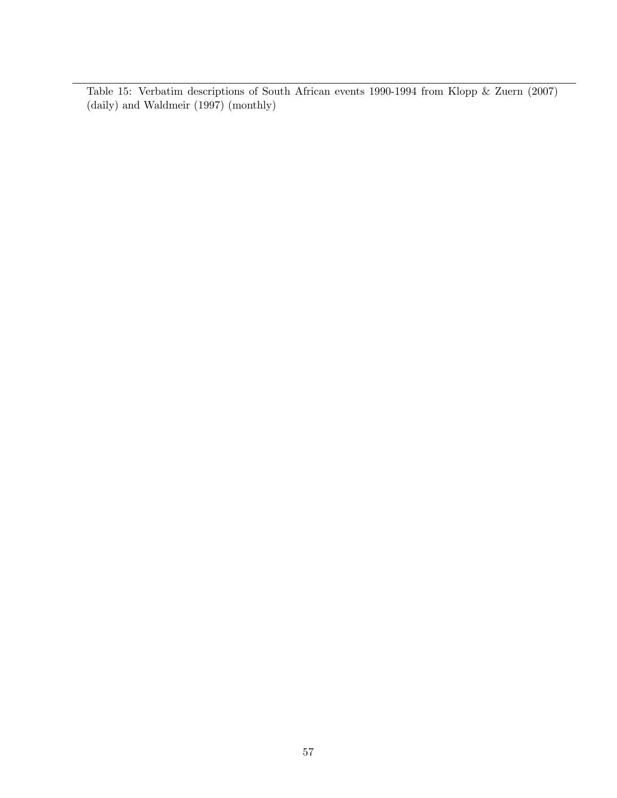Table 15: Verbatim descriptions of South African events 1990-1994 from Klopp & Zuern (2007) (daily) and Waldmeir (1997) (monthly)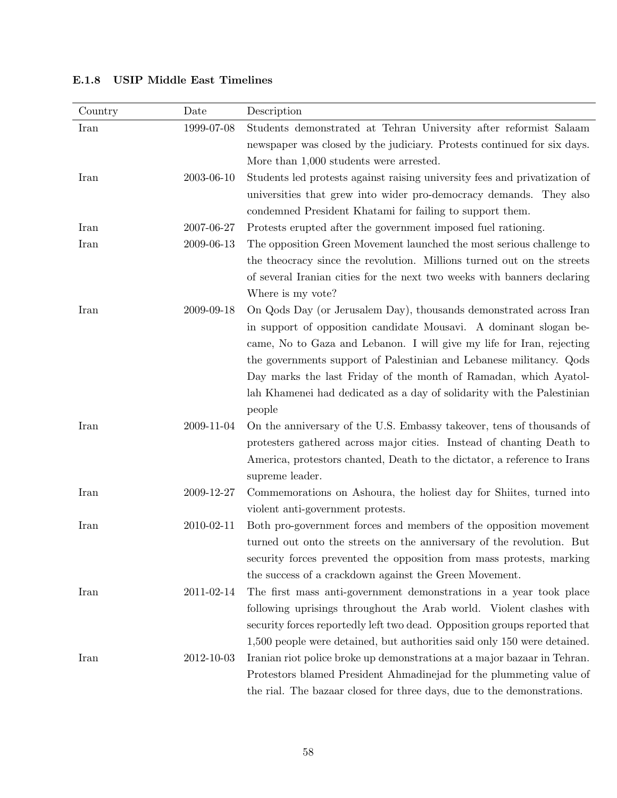| 1999-07-08<br>Students demonstrated at Tehran University after reformist Salaam<br>Iran<br>newspaper was closed by the judiciary. Protests continued for six days.<br>More than 1,000 students were arrested.<br>2003-06-10<br>Students led protests against raising university fees and privatization of<br>Iran<br>universities that grew into wider pro-democracy demands. They also<br>condemned President Khatami for failing to support them.<br>2007-06-27<br>Protests erupted after the government imposed fuel rationing.<br>Iran<br>2009-06-13<br>Iran<br>The opposition Green Movement launched the most serious challenge to<br>the theocracy since the revolution. Millions turned out on the streets<br>of several Iranian cities for the next two weeks with banners declaring<br>Where is my vote?<br>On Qods Day (or Jerusalem Day), thousands demonstrated across Iran<br>Iran<br>2009-09-18<br>in support of opposition candidate Mousavi. A dominant slogan be- | Country | Date | Description                                                           |
|-------------------------------------------------------------------------------------------------------------------------------------------------------------------------------------------------------------------------------------------------------------------------------------------------------------------------------------------------------------------------------------------------------------------------------------------------------------------------------------------------------------------------------------------------------------------------------------------------------------------------------------------------------------------------------------------------------------------------------------------------------------------------------------------------------------------------------------------------------------------------------------------------------------------------------------------------------------------------------------|---------|------|-----------------------------------------------------------------------|
|                                                                                                                                                                                                                                                                                                                                                                                                                                                                                                                                                                                                                                                                                                                                                                                                                                                                                                                                                                                     |         |      |                                                                       |
|                                                                                                                                                                                                                                                                                                                                                                                                                                                                                                                                                                                                                                                                                                                                                                                                                                                                                                                                                                                     |         |      |                                                                       |
|                                                                                                                                                                                                                                                                                                                                                                                                                                                                                                                                                                                                                                                                                                                                                                                                                                                                                                                                                                                     |         |      |                                                                       |
|                                                                                                                                                                                                                                                                                                                                                                                                                                                                                                                                                                                                                                                                                                                                                                                                                                                                                                                                                                                     |         |      |                                                                       |
|                                                                                                                                                                                                                                                                                                                                                                                                                                                                                                                                                                                                                                                                                                                                                                                                                                                                                                                                                                                     |         |      |                                                                       |
|                                                                                                                                                                                                                                                                                                                                                                                                                                                                                                                                                                                                                                                                                                                                                                                                                                                                                                                                                                                     |         |      |                                                                       |
|                                                                                                                                                                                                                                                                                                                                                                                                                                                                                                                                                                                                                                                                                                                                                                                                                                                                                                                                                                                     |         |      |                                                                       |
|                                                                                                                                                                                                                                                                                                                                                                                                                                                                                                                                                                                                                                                                                                                                                                                                                                                                                                                                                                                     |         |      |                                                                       |
|                                                                                                                                                                                                                                                                                                                                                                                                                                                                                                                                                                                                                                                                                                                                                                                                                                                                                                                                                                                     |         |      |                                                                       |
|                                                                                                                                                                                                                                                                                                                                                                                                                                                                                                                                                                                                                                                                                                                                                                                                                                                                                                                                                                                     |         |      |                                                                       |
|                                                                                                                                                                                                                                                                                                                                                                                                                                                                                                                                                                                                                                                                                                                                                                                                                                                                                                                                                                                     |         |      |                                                                       |
|                                                                                                                                                                                                                                                                                                                                                                                                                                                                                                                                                                                                                                                                                                                                                                                                                                                                                                                                                                                     |         |      |                                                                       |
|                                                                                                                                                                                                                                                                                                                                                                                                                                                                                                                                                                                                                                                                                                                                                                                                                                                                                                                                                                                     |         |      |                                                                       |
|                                                                                                                                                                                                                                                                                                                                                                                                                                                                                                                                                                                                                                                                                                                                                                                                                                                                                                                                                                                     |         |      | came, No to Gaza and Lebanon. I will give my life for Iran, rejecting |
| the governments support of Palestinian and Lebanese militancy. Qods                                                                                                                                                                                                                                                                                                                                                                                                                                                                                                                                                                                                                                                                                                                                                                                                                                                                                                                 |         |      |                                                                       |
| Day marks the last Friday of the month of Ramadan, which Ayatol-                                                                                                                                                                                                                                                                                                                                                                                                                                                                                                                                                                                                                                                                                                                                                                                                                                                                                                                    |         |      |                                                                       |
| lah Khamenei had dedicated as a day of solidarity with the Palestinian                                                                                                                                                                                                                                                                                                                                                                                                                                                                                                                                                                                                                                                                                                                                                                                                                                                                                                              |         |      |                                                                       |
| people                                                                                                                                                                                                                                                                                                                                                                                                                                                                                                                                                                                                                                                                                                                                                                                                                                                                                                                                                                              |         |      |                                                                       |
| On the anniversary of the U.S. Embassy takeover, tens of thousands of<br>Iran<br>2009-11-04                                                                                                                                                                                                                                                                                                                                                                                                                                                                                                                                                                                                                                                                                                                                                                                                                                                                                         |         |      |                                                                       |
| protesters gathered across major cities. Instead of chanting Death to                                                                                                                                                                                                                                                                                                                                                                                                                                                                                                                                                                                                                                                                                                                                                                                                                                                                                                               |         |      |                                                                       |
| America, protestors chanted, Death to the dictator, a reference to Irans                                                                                                                                                                                                                                                                                                                                                                                                                                                                                                                                                                                                                                                                                                                                                                                                                                                                                                            |         |      |                                                                       |
| supreme leader.                                                                                                                                                                                                                                                                                                                                                                                                                                                                                                                                                                                                                                                                                                                                                                                                                                                                                                                                                                     |         |      |                                                                       |
| 2009-12-27<br>Iran<br>Commemorations on Ashoura, the holiest day for Shiites, turned into                                                                                                                                                                                                                                                                                                                                                                                                                                                                                                                                                                                                                                                                                                                                                                                                                                                                                           |         |      |                                                                       |
| violent anti-government protests.                                                                                                                                                                                                                                                                                                                                                                                                                                                                                                                                                                                                                                                                                                                                                                                                                                                                                                                                                   |         |      |                                                                       |
| Iran<br>2010-02-11<br>Both pro-government forces and members of the opposition movement                                                                                                                                                                                                                                                                                                                                                                                                                                                                                                                                                                                                                                                                                                                                                                                                                                                                                             |         |      |                                                                       |
| turned out onto the streets on the anniversary of the revolution. But                                                                                                                                                                                                                                                                                                                                                                                                                                                                                                                                                                                                                                                                                                                                                                                                                                                                                                               |         |      |                                                                       |
| security forces prevented the opposition from mass protests, marking                                                                                                                                                                                                                                                                                                                                                                                                                                                                                                                                                                                                                                                                                                                                                                                                                                                                                                                |         |      |                                                                       |
| the success of a crackdown against the Green Movement.                                                                                                                                                                                                                                                                                                                                                                                                                                                                                                                                                                                                                                                                                                                                                                                                                                                                                                                              |         |      |                                                                       |
| The first mass anti-government demonstrations in a year took place<br>2011-02-14<br>Iran                                                                                                                                                                                                                                                                                                                                                                                                                                                                                                                                                                                                                                                                                                                                                                                                                                                                                            |         |      |                                                                       |
| following uprisings throughout the Arab world. Violent clashes with<br>security forces reportedly left two dead. Opposition groups reported that                                                                                                                                                                                                                                                                                                                                                                                                                                                                                                                                                                                                                                                                                                                                                                                                                                    |         |      |                                                                       |
|                                                                                                                                                                                                                                                                                                                                                                                                                                                                                                                                                                                                                                                                                                                                                                                                                                                                                                                                                                                     |         |      |                                                                       |
| 1,500 people were detained, but authorities said only 150 were detained.<br>2012-10-03<br>Iranian riot police broke up demonstrations at a major bazaar in Tehran.<br>Iran                                                                                                                                                                                                                                                                                                                                                                                                                                                                                                                                                                                                                                                                                                                                                                                                          |         |      |                                                                       |
| Protestors blamed President Ahmadinejad for the plummeting value of                                                                                                                                                                                                                                                                                                                                                                                                                                                                                                                                                                                                                                                                                                                                                                                                                                                                                                                 |         |      |                                                                       |
| the rial. The bazaar closed for three days, due to the demonstrations.                                                                                                                                                                                                                                                                                                                                                                                                                                                                                                                                                                                                                                                                                                                                                                                                                                                                                                              |         |      |                                                                       |

## E.1.8 USIP Middle East Timelines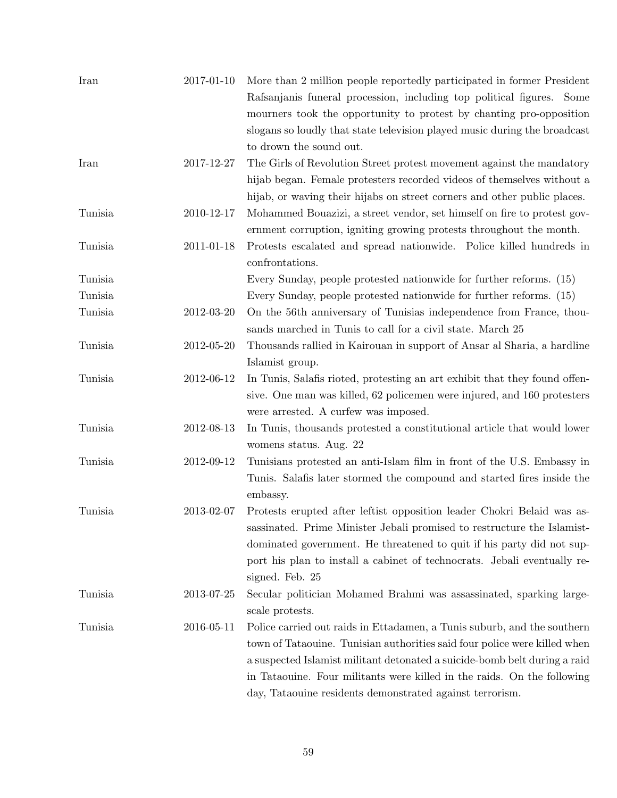| Iran    | 2017-01-10       | More than 2 million people reportedly participated in former President<br>Rafsanjanis funeral procession, including top political figures. Some |
|---------|------------------|-------------------------------------------------------------------------------------------------------------------------------------------------|
|         |                  | mourners took the opportunity to protest by chanting pro-opposition                                                                             |
|         |                  | slogans so loudly that state television played music during the broadcast                                                                       |
|         |                  | to drown the sound out.                                                                                                                         |
| Iran    | 2017-12-27       | The Girls of Revolution Street protest movement against the mandatory                                                                           |
|         |                  | hijab began. Female protesters recorded videos of themselves without a                                                                          |
|         |                  | hijab, or waving their hijabs on street corners and other public places.                                                                        |
| Tunisia | 2010-12-17       | Mohammed Bouazizi, a street vendor, set himself on fire to protest gov-                                                                         |
|         |                  | ernment corruption, igniting growing protests throughout the month.                                                                             |
| Tunisia | 2011-01-18       | Protests escalated and spread nationwide. Police killed hundreds in<br>confrontations.                                                          |
| Tunisia |                  | Every Sunday, people protested nationwide for further reforms. (15)                                                                             |
| Tunisia |                  | Every Sunday, people protested nationwide for further reforms. (15)                                                                             |
| Tunisia | 2012-03-20       | On the 56th anniversary of Tunisias independence from France, thou-<br>sands marched in Tunis to call for a civil state. March 25               |
| Tunisia | $2012 - 05 - 20$ | Thousands rallied in Kairouan in support of Ansar al Sharia, a hardline                                                                         |
|         |                  | Islamist group.                                                                                                                                 |
| Tunisia | 2012-06-12       | In Tunis, Salafis rioted, protesting an art exhibit that they found offen-                                                                      |
|         |                  | sive. One man was killed, 62 policemen were injured, and 160 protesters                                                                         |
|         |                  | were arrested. A curfew was imposed.                                                                                                            |
| Tunisia | 2012-08-13       | In Tunis, thousands protested a constitutional article that would lower                                                                         |
|         |                  | womens status. Aug. 22                                                                                                                          |
| Tunisia | 2012-09-12       | Tunisians protested an anti-Islam film in front of the U.S. Embassy in                                                                          |
|         |                  | Tunis. Salafis later stormed the compound and started fires inside the<br>embassy.                                                              |
| Tunisia | 2013-02-07       | Protests erupted after leftist opposition leader Chokri Belaid was as-                                                                          |
|         |                  | sassinated. Prime Minister Jebali promised to restructure the Islamist-                                                                         |
|         |                  | dominated government. He threatened to quit if his party did not sup-                                                                           |
|         |                  | port his plan to install a cabinet of technocrats. Jebali eventually re-                                                                        |
|         |                  | signed. Feb. 25                                                                                                                                 |
| Tunisia | 2013-07-25       | Secular politician Mohamed Brahmi was assassinated, sparking large-                                                                             |
|         |                  | scale protests.                                                                                                                                 |
| Tunisia | 2016-05-11       | Police carried out raids in Ettadamen, a Tunis suburb, and the southern                                                                         |
|         |                  | town of Tataouine. Tunisian authorities said four police were killed when                                                                       |
|         |                  | a suspected Islamist militant detonated a suicide-bomb belt during a raid                                                                       |
|         |                  | in Tataouine. Four militants were killed in the raids. On the following                                                                         |
|         |                  | day, Tataouine residents demonstrated against terrorism.                                                                                        |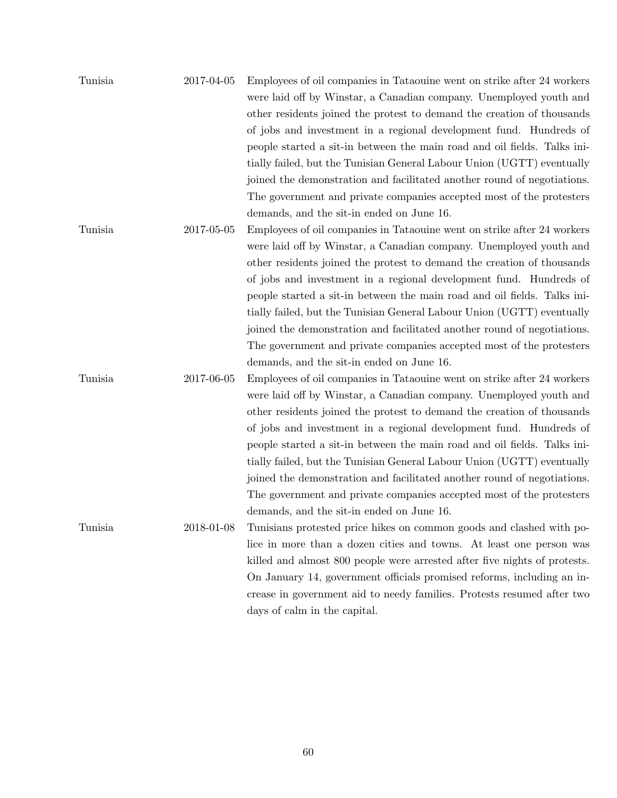| Tunisia | 2017-04-05 | Employees of oil companies in Tataouine went on strike after 24 workers |
|---------|------------|-------------------------------------------------------------------------|
|         |            | were laid off by Winstar, a Canadian company. Unemployed youth and      |
|         |            | other residents joined the protest to demand the creation of thousands  |
|         |            | of jobs and investment in a regional development fund. Hundreds of      |
|         |            | people started a sit-in between the main road and oil fields. Talks in- |
|         |            | tially failed, but the Tunisian General Labour Union (UGTT) eventually  |
|         |            | joined the demonstration and facilitated another round of negotiations. |
|         |            | The government and private companies accepted most of the protesters    |
|         |            | demands, and the sit-in ended on June 16.                               |
| Tunisia | 2017-05-05 | Employees of oil companies in Tataouine went on strike after 24 workers |
|         |            |                                                                         |

were laid off by Winstar, a Canadian company. Unemployed youth and other residents joined the protest to demand the creation of thousands of jobs and investment in a regional development fund. Hundreds of people started a sit-in between the main road and oil fields. Talks initially failed, but the Tunisian General Labour Union (UGTT) eventually joined the demonstration and facilitated another round of negotiations. The government and private companies accepted most of the protesters demands, and the sit-in ended on June 16.

Tunisia 2017-06-05 Employees of oil companies in Tataouine went on strike after 24 workers were laid off by Winstar, a Canadian company. Unemployed youth and other residents joined the protest to demand the creation of thousands of jobs and investment in a regional development fund. Hundreds of people started a sit-in between the main road and oil fields. Talks initially failed, but the Tunisian General Labour Union (UGTT) eventually joined the demonstration and facilitated another round of negotiations. The government and private companies accepted most of the protesters demands, and the sit-in ended on June 16.

Tunisia 2018-01-08 Tunisians protested price hikes on common goods and clashed with police in more than a dozen cities and towns. At least one person was killed and almost 800 people were arrested after five nights of protests. On January 14, government officials promised reforms, including an increase in government aid to needy families. Protests resumed after two days of calm in the capital.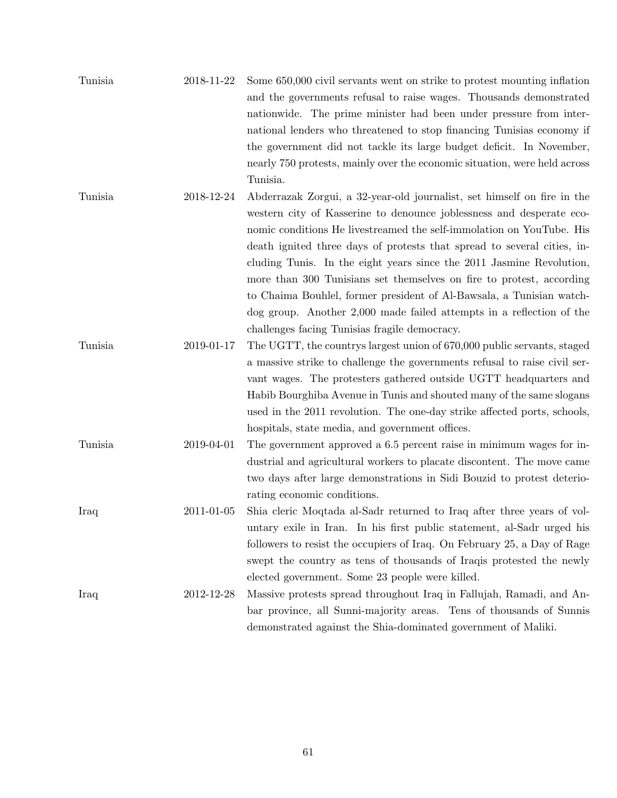| Tunisia | 2018-11-22 | Some 650,000 civil servants went on strike to protest mounting inflation  |
|---------|------------|---------------------------------------------------------------------------|
|         |            | and the governments refusal to raise wages. Thousands demonstrated        |
|         |            | nationwide. The prime minister had been under pressure from inter-        |
|         |            | national lenders who threatened to stop financing Tunisias economy if     |
|         |            | the government did not tackle its large budget deficit. In November,      |
|         |            | nearly 750 protests, mainly over the economic situation, were held across |
|         |            | Tunisia.                                                                  |
| Tunisia | 2018-12-24 | Abderrazak Zorgui, a 32-year-old journalist, set himself on fire in the   |
|         |            | western city of Kasserine to denounce joblessness and desperate eco-      |
|         |            | nomic conditions He livestreamed the self-immolation on YouTube. His      |
|         |            | death ignited three days of protests that spread to several cities, in-   |
|         |            | cluding Tunis. In the eight years since the 2011 Jasmine Revolution,      |
|         |            | more than 300 Tunisians set themselves on fire to protest, according      |
|         |            | to Chaima Bouhlel, former president of Al-Bawsala, a Tunisian watch-      |
|         |            | $\log$ group. Another 2,000 made failed attempts in a reflection of the   |
|         |            | challenges facing Tunisias fragile democracy.                             |
| Tunisia | 2019-01-17 | The UGTT, the countrys largest union of 670,000 public servants, staged   |
|         |            | a massive strike to challenge the governments refusal to raise civil ser- |
|         |            | vant wages. The protesters gathered outside UGTT headquarters and         |
|         |            | Habib Bourghiba Avenue in Tunis and shouted many of the same slogans      |
|         |            | used in the 2011 revolution. The one-day strike affected ports, schools,  |
|         |            |                                                                           |
|         |            | hospitals, state media, and government offices.                           |
| Tunisia | 2019-04-01 | The government approved a 6.5 percent raise in minimum wages for in-      |
|         |            | dustrial and agricultural workers to placate discontent. The move came    |
|         |            | two days after large demonstrations in Sidi Bouzid to protest deterio-    |
|         |            | rating economic conditions.                                               |
| Iraq    | 2011-01-05 | Shia cleric Moqtada al-Sadr returned to Iraq after three years of vol-    |
|         |            | untary exile in Iran. In his first public statement, al-Sadr urged his    |
|         |            | followers to resist the occupiers of Iraq. On February 25, a Day of Rage  |
|         |            | swept the country as tens of thousands of Iraqis protested the newly      |
|         |            | elected government. Some 23 people were killed.                           |
| Iraq    | 2012-12-28 | Massive protests spread throughout Iraq in Fallujah, Ramadi, and An-      |
|         |            | bar province, all Sunni-majority areas. Tens of thousands of Sunnis       |
|         |            | demonstrated against the Shia-dominated government of Maliki.             |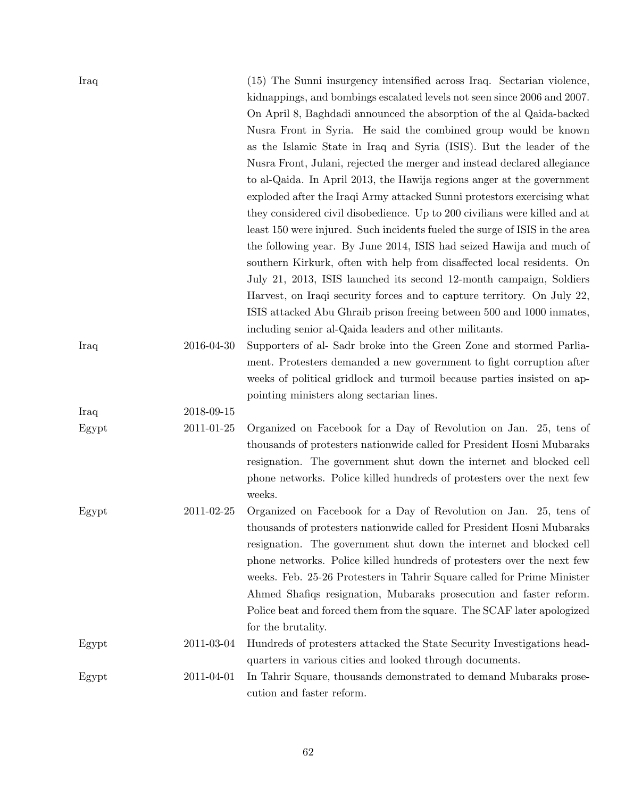| Iraq  |            | (15) The Sunni insurgency intensified across Iraq. Sectarian violence,<br>kidnappings, and bombings escalated levels not seen since 2006 and 2007.<br>On April 8, Baghdadi announced the absorption of the al-Qaida-backed<br>Nusra Front in Syria. He said the combined group would be known<br>as the Islamic State in Iraq and Syria (ISIS). But the leader of the<br>Nusra Front, Julani, rejected the merger and instead declared allegiance<br>to al-Qaida. In April 2013, the Hawija regions anger at the government<br>exploded after the Iraqi Army attacked Sunni protestors exercising what<br>they considered civil disobedience. Up to 200 civilians were killed and at<br>least 150 were injured. Such incidents fueled the surge of ISIS in the area<br>the following year. By June 2014, ISIS had seized Hawija and much of<br>southern Kirkurk, often with help from disaffected local residents. On<br>July 21, 2013, ISIS launched its second 12-month campaign, Soldiers<br>Harvest, on Iraqi security forces and to capture territory. On July 22,<br>ISIS attacked Abu Ghraib prison freeing between 500 and 1000 inmates,<br>including senior al-Qaida leaders and other militants. |
|-------|------------|------------------------------------------------------------------------------------------------------------------------------------------------------------------------------------------------------------------------------------------------------------------------------------------------------------------------------------------------------------------------------------------------------------------------------------------------------------------------------------------------------------------------------------------------------------------------------------------------------------------------------------------------------------------------------------------------------------------------------------------------------------------------------------------------------------------------------------------------------------------------------------------------------------------------------------------------------------------------------------------------------------------------------------------------------------------------------------------------------------------------------------------------------------------------------------------------------------|
| Iraq  | 2016-04-30 | Supporters of al-Sadr broke into the Green Zone and stormed Parlia-<br>ment. Protesters demanded a new government to fight corruption after<br>weeks of political gridlock and turmoil because parties insisted on ap-<br>pointing ministers along sectarian lines.                                                                                                                                                                                                                                                                                                                                                                                                                                                                                                                                                                                                                                                                                                                                                                                                                                                                                                                                        |
| Iraq  | 2018-09-15 |                                                                                                                                                                                                                                                                                                                                                                                                                                                                                                                                                                                                                                                                                                                                                                                                                                                                                                                                                                                                                                                                                                                                                                                                            |
| Egypt | 2011-01-25 | Organized on Facebook for a Day of Revolution on Jan. 25, tens of<br>thousands of protesters nationwide called for President Hosni Mubaraks<br>resignation. The government shut down the internet and blocked cell<br>phone networks. Police killed hundreds of protesters over the next few<br>weeks.                                                                                                                                                                                                                                                                                                                                                                                                                                                                                                                                                                                                                                                                                                                                                                                                                                                                                                     |
| Egypt | 2011-02-25 | Organized on Facebook for a Day of Revolution on Jan. 25, tens of<br>thousands of protesters nationwide called for President Hosni Mubaraks<br>resignation. The government shut down the internet and blocked cell<br>phone networks. Police killed hundreds of protesters over the next few<br>weeks. Feb. 25-26 Protesters in Tahrir Square called for Prime Minister<br>Ahmed Shafiqs resignation, Mubaraks prosecution and faster reform.<br>Police beat and forced them from the square. The SCAF later apologized<br>for the brutality.                                                                                                                                                                                                                                                                                                                                                                                                                                                                                                                                                                                                                                                              |
| Egypt | 2011-03-04 | Hundreds of protesters attacked the State Security Investigations head-                                                                                                                                                                                                                                                                                                                                                                                                                                                                                                                                                                                                                                                                                                                                                                                                                                                                                                                                                                                                                                                                                                                                    |
|       |            | quarters in various cities and looked through documents.                                                                                                                                                                                                                                                                                                                                                                                                                                                                                                                                                                                                                                                                                                                                                                                                                                                                                                                                                                                                                                                                                                                                                   |
| Egypt | 2011-04-01 | In Tahrir Square, thousands demonstrated to demand Mubaraks prose-<br>cution and faster reform.                                                                                                                                                                                                                                                                                                                                                                                                                                                                                                                                                                                                                                                                                                                                                                                                                                                                                                                                                                                                                                                                                                            |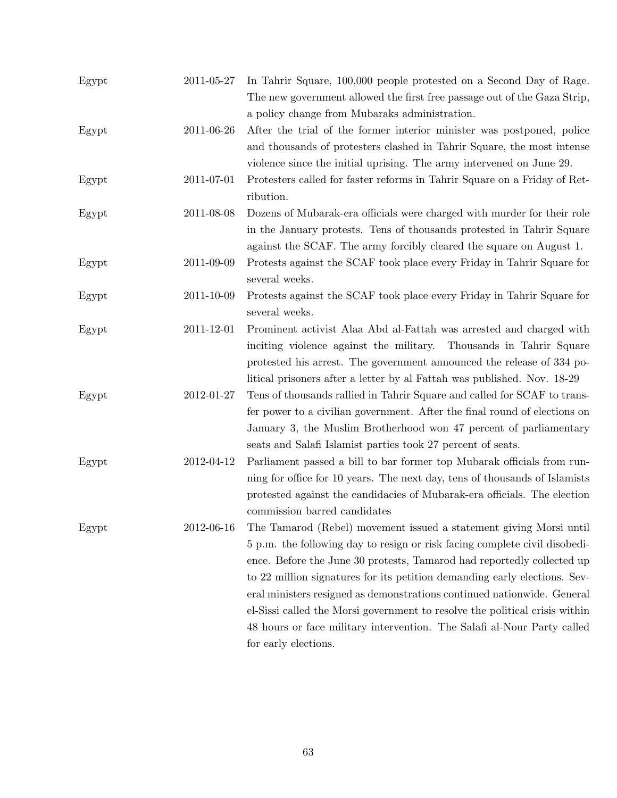| Egypt | 2011-05-27 | In Tahrir Square, 100,000 people protested on a Second Day of Rage.<br>The new government allowed the first free passage out of the Gaza Strip, |
|-------|------------|-------------------------------------------------------------------------------------------------------------------------------------------------|
|       |            | a policy change from Mubaraks administration.                                                                                                   |
| Egypt | 2011-06-26 | After the trial of the former interior minister was postponed, police                                                                           |
|       |            | and thousands of protesters clashed in Tahrir Square, the most intense                                                                          |
|       |            | violence since the initial uprising. The army intervened on June 29.                                                                            |
| Egypt | 2011-07-01 | Protesters called for faster reforms in Tahrir Square on a Friday of Ret-                                                                       |
|       |            | ribution.                                                                                                                                       |
| Egypt | 2011-08-08 | Dozens of Mubarak-era officials were charged with murder for their role                                                                         |
|       |            | in the January protests. Tens of thousands protested in Tahrir Square                                                                           |
|       |            | against the SCAF. The army forcibly cleared the square on August 1.                                                                             |
| Egypt | 2011-09-09 | Protests against the SCAF took place every Friday in Tahrir Square for                                                                          |
|       |            | several weeks.                                                                                                                                  |
| Egypt | 2011-10-09 | Protests against the SCAF took place every Friday in Tahrir Square for                                                                          |
|       |            | several weeks.                                                                                                                                  |
| Egypt | 2011-12-01 | Prominent activist Alaa Abd al-Fattah was arrested and charged with                                                                             |
|       |            | inciting violence against the military. Thousands in Tahrir Square                                                                              |
|       |            | protested his arrest. The government announced the release of 334 po-                                                                           |
|       |            | litical prisoners after a letter by al Fattah was published. Nov. 18-29                                                                         |
| Egypt | 2012-01-27 | Tens of thousands rallied in Tahrir Square and called for SCAF to trans-                                                                        |
|       |            | fer power to a civilian government. After the final round of elections on                                                                       |
|       |            | January 3, the Muslim Brotherhood won 47 percent of parliamentary                                                                               |
|       |            | seats and Salafi Islamist parties took 27 percent of seats.                                                                                     |
| Egypt | 2012-04-12 | Parliament passed a bill to bar former top Mubarak officials from run-                                                                          |
|       |            | ning for office for 10 years. The next day, tens of thousands of Islamists                                                                      |
|       |            | protested against the candidacies of Mubarak-era officials. The election                                                                        |
|       |            | commission barred candidates                                                                                                                    |
| Egypt | 2012-06-16 | The Tamarod (Rebel) movement issued a statement giving Morsi until                                                                              |
|       |            | 5 p.m. the following day to resign or risk facing complete civil disobedi-                                                                      |
|       |            | ence. Before the June 30 protests, Tamarod had reportedly collected up                                                                          |
|       |            | to 22 million signatures for its petition demanding early elections. Sev-                                                                       |
|       |            | eral ministers resigned as demonstrations continued nationwide. General                                                                         |
|       |            | el-Sissi called the Morsi government to resolve the political crisis within                                                                     |
|       |            | 48 hours or face military intervention. The Salafi al-Nour Party called                                                                         |
|       |            | for early elections.                                                                                                                            |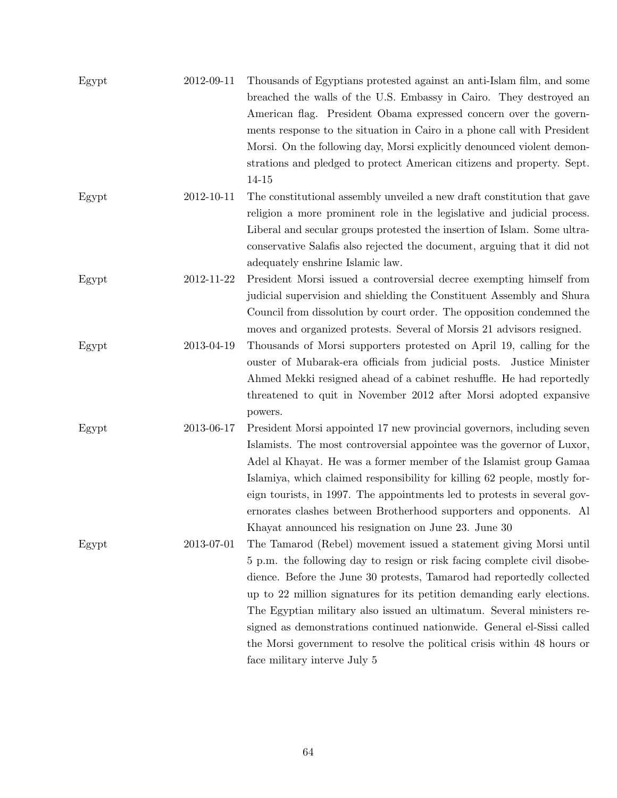| Egypt | 2012-09-11 | Thousands of Egyptians protested against an anti-Islam film, and some<br>breached the walls of the U.S. Embassy in Cairo. They destroyed an |
|-------|------------|---------------------------------------------------------------------------------------------------------------------------------------------|
|       |            | American flag. President Obama expressed concern over the govern-                                                                           |
|       |            | ments response to the situation in Cairo in a phone call with President                                                                     |
|       |            |                                                                                                                                             |
|       |            | Morsi. On the following day, Morsi explicitly denounced violent demon-                                                                      |
|       |            | strations and pledged to protect American citizens and property. Sept.                                                                      |
|       |            | 14-15                                                                                                                                       |
| Egypt | 2012-10-11 | The constitutional assembly unveiled a new draft constitution that gave                                                                     |
|       |            | religion a more prominent role in the legislative and judicial process.                                                                     |
|       |            | Liberal and secular groups protested the insertion of Islam. Some ultra-                                                                    |
|       |            | conservative Salafis also rejected the document, arguing that it did not                                                                    |
|       |            | adequately enshrine Islamic law.                                                                                                            |
| Egypt | 2012-11-22 | President Morsi issued a controversial decree exempting himself from                                                                        |
|       |            | judicial supervision and shielding the Constituent Assembly and Shura                                                                       |
|       |            | Council from dissolution by court order. The opposition condemned the                                                                       |
|       |            | moves and organized protests. Several of Morsis 21 advisors resigned.                                                                       |
| Egypt | 2013-04-19 | Thousands of Morsi supporters protested on April 19, calling for the                                                                        |
|       |            | ouster of Mubarak-era officials from judicial posts. Justice Minister                                                                       |
|       |            | Ahmed Mekki resigned ahead of a cabinet reshuffle. He had reportedly                                                                        |
|       |            | threatened to quit in November 2012 after Morsi adopted expansive                                                                           |
|       |            | powers.                                                                                                                                     |
| Egypt | 2013-06-17 | President Morsi appointed 17 new provincial governors, including seven                                                                      |
|       |            | Islamists. The most controversial appointee was the governor of Luxor,                                                                      |
|       |            | Adel al Khayat. He was a former member of the Islamist group Gamaa                                                                          |
|       |            | Islamiya, which claimed responsibility for killing 62 people, mostly for-                                                                   |
|       |            | eign tourists, in 1997. The appointments led to protests in several gov-                                                                    |
|       |            | ernorates clashes between Brotherhood supporters and opponents. Al                                                                          |
|       |            | Khayat announced his resignation on June 23. June 30                                                                                        |
| Egypt | 2013-07-01 | The Tamarod (Rebel) movement issued a statement giving Morsi until                                                                          |
|       |            | 5 p.m. the following day to resign or risk facing complete civil disobe-                                                                    |
|       |            | dience. Before the June 30 protests, Tamarod had reportedly collected                                                                       |
|       |            | up to 22 million signatures for its petition demanding early elections.                                                                     |
|       |            | The Egyptian military also issued an ultimatum. Several ministers re-                                                                       |
|       |            | signed as demonstrations continued nationwide. General el-Sissi called                                                                      |
|       |            | the Morsi government to resolve the political crisis within 48 hours or                                                                     |
|       |            | face military interve July 5                                                                                                                |
|       |            |                                                                                                                                             |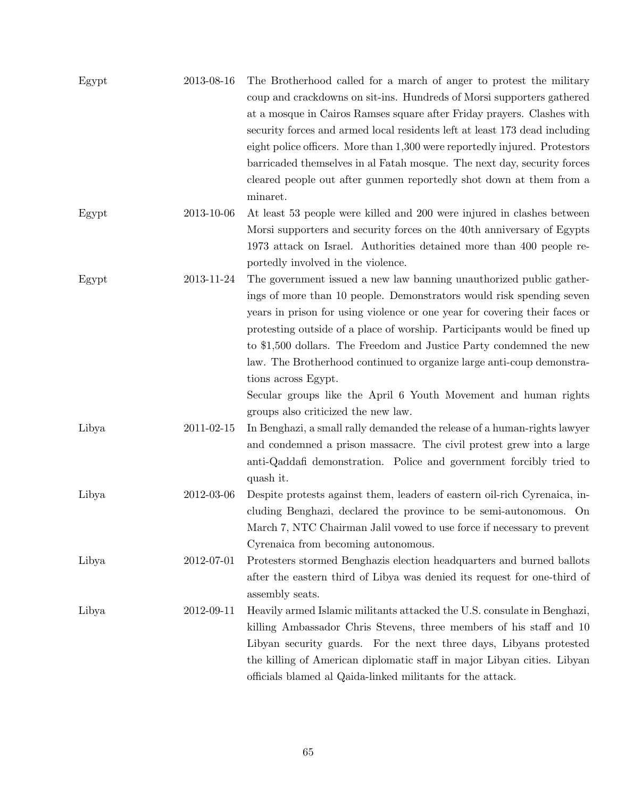| Egypt | 2013-08-16 | The Brotherhood called for a march of anger to protest the military        |
|-------|------------|----------------------------------------------------------------------------|
|       |            | coup and crackdowns on sit-ins. Hundreds of Morsi supporters gathered      |
|       |            | at a mosque in Cairos Ramses square after Friday prayers. Clashes with     |
|       |            | security forces and armed local residents left at least 173 dead including |
|       |            | eight police officers. More than 1,300 were reportedly injured. Protestors |
|       |            | barricaded themselves in al Fatah mosque. The next day, security forces    |
|       |            | cleared people out after gunmen reportedly shot down at them from a        |
|       |            | minaret.                                                                   |
| Egypt | 2013-10-06 | At least 53 people were killed and 200 were injured in clashes between     |
|       |            | Morsi supporters and security forces on the 40th anniversary of Egypts     |
|       |            | 1973 attack on Israel. Authorities detained more than 400 people re-       |
|       |            | portedly involved in the violence.                                         |
| Egypt | 2013-11-24 | The government issued a new law banning unauthorized public gather-        |
|       |            | ings of more than 10 people. Demonstrators would risk spending seven       |
|       |            | years in prison for using violence or one year for covering their faces or |
|       |            | protesting outside of a place of worship. Participants would be fined up   |
|       |            | to \$1,500 dollars. The Freedom and Justice Party condemned the new        |
|       |            | law. The Brotherhood continued to organize large anti-coup demonstra-      |
|       |            |                                                                            |
|       |            | tions across Egypt.                                                        |
|       |            | Secular groups like the April 6 Youth Movement and human rights            |
|       |            | groups also criticized the new law.                                        |
| Libya | 2011-02-15 | In Benghazi, a small rally demanded the release of a human-rights lawyer   |
|       |            | and condemned a prison massacre. The civil protest grew into a large       |
|       |            | anti-Qaddafi demonstration. Police and government forcibly tried to        |
|       |            | quash it.                                                                  |
| Libya | 2012-03-06 | Despite protests against them, leaders of eastern oil-rich Cyrenaica, in-  |
|       |            | cluding Benghazi, declared the province to be semi-autonomous. On          |
|       |            | March 7, NTC Chairman Jalil vowed to use force if necessary to prevent     |
|       |            | Cyrenaica from becoming autonomous.                                        |
| Libya | 2012-07-01 | Protesters stormed Benghazis election headquarters and burned ballots      |
|       |            | after the eastern third of Libya was denied its request for one-third of   |
|       |            | assembly seats.                                                            |
| Libya | 2012-09-11 | Heavily armed Islamic militants attacked the U.S. consulate in Benghazi,   |
|       |            | killing Ambassador Chris Stevens, three members of his staff and 10        |
|       |            | Libyan security guards. For the next three days, Libyans protested         |
|       |            | the killing of American diplomatic staff in major Libyan cities. Libyan    |
|       |            | officials blamed al Qaida-linked militants for the attack.                 |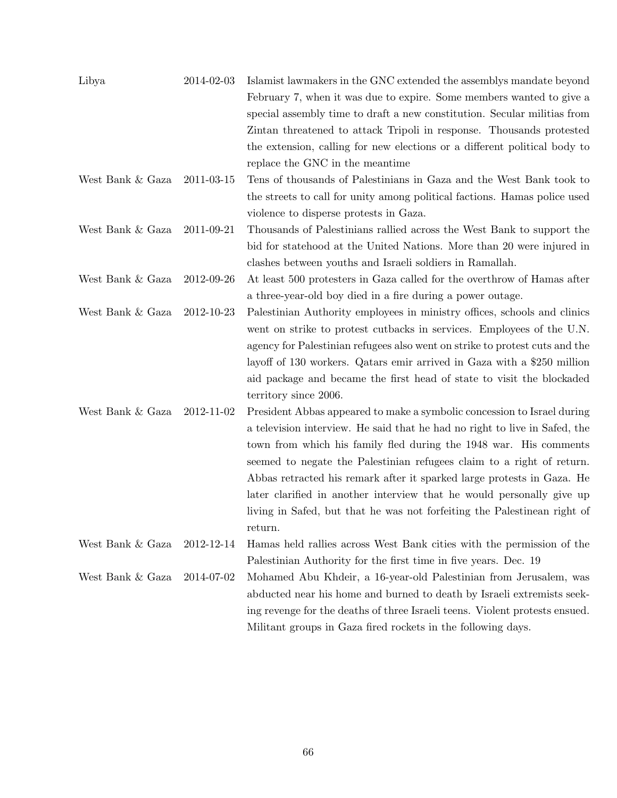| Libya            | 2014-02-03 | Islamist lawmakers in the GNC extended the assemblys mandate beyond         |
|------------------|------------|-----------------------------------------------------------------------------|
|                  |            | February 7, when it was due to expire. Some members wanted to give a        |
|                  |            | special assembly time to draft a new constitution. Secular militias from    |
|                  |            | Zintan threatened to attack Tripoli in response. Thousands protested        |
|                  |            | the extension, calling for new elections or a different political body to   |
|                  |            | replace the GNC in the meantime                                             |
| West Bank & Gaza | 2011-03-15 | Tens of thousands of Palestinians in Gaza and the West Bank took to         |
|                  |            | the streets to call for unity among political factions. Hamas police used   |
|                  |            | violence to disperse protests in Gaza.                                      |
| West Bank & Gaza | 2011-09-21 | Thousands of Palestinians rallied across the West Bank to support the       |
|                  |            | bid for statehood at the United Nations. More than 20 were injured in       |
|                  |            | clashes between youths and Israeli soldiers in Ramallah.                    |
| West Bank & Gaza | 2012-09-26 | At least 500 protesters in Gaza called for the overthrow of Hamas after     |
|                  |            | a three-year-old boy died in a fire during a power outage.                  |
| West Bank & Gaza | 2012-10-23 | Palestinian Authority employees in ministry offices, schools and clinics    |
|                  |            | went on strike to protest cutbacks in services. Employees of the U.N.       |
|                  |            | agency for Palestinian refugees also went on strike to protest cuts and the |
|                  |            | layoff of 130 workers. Qatars emir arrived in Gaza with a \$250 million     |
|                  |            | aid package and became the first head of state to visit the blockaded       |
|                  |            | territory since 2006.                                                       |
| West Bank & Gaza | 2012-11-02 | President Abbas appeared to make a symbolic concession to Israel during     |
|                  |            | a television interview. He said that he had no right to live in Safed, the  |
|                  |            | town from which his family fled during the 1948 war. His comments           |
|                  |            | seemed to negate the Palestinian refugees claim to a right of return.       |
|                  |            | Abbas retracted his remark after it sparked large protests in Gaza. He      |
|                  |            | later clarified in another interview that he would personally give up       |
|                  |            | living in Safed, but that he was not forfeiting the Palestinean right of    |
|                  |            | return.                                                                     |
| West Bank & Gaza | 2012-12-14 | Hamas held rallies across West Bank cities with the permission of the       |
|                  |            | Palestinian Authority for the first time in five years. Dec. 19             |
| West Bank & Gaza | 2014-07-02 | Mohamed Abu Khdeir, a 16-year-old Palestinian from Jerusalem, was           |
|                  |            | abducted near his home and burned to death by Israeli extremists seek-      |
|                  |            | ing revenge for the deaths of three Israeli teens. Violent protests ensued. |
|                  |            | Militant groups in Gaza fired rockets in the following days.                |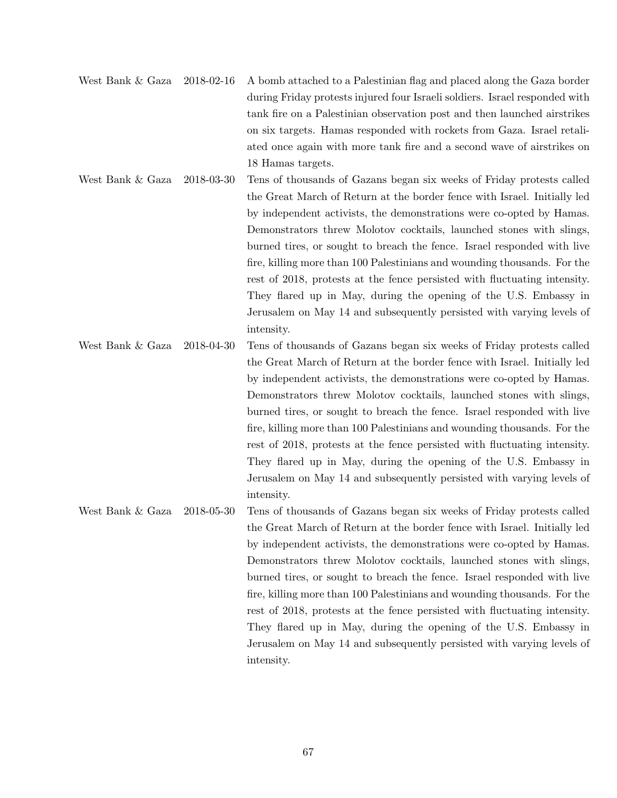- West Bank & Gaza 2018-02-16 A bomb attached to a Palestinian flag and placed along the Gaza border during Friday protests injured four Israeli soldiers. Israel responded with tank fire on a Palestinian observation post and then launched airstrikes on six targets. Hamas responded with rockets from Gaza. Israel retaliated once again with more tank fire and a second wave of airstrikes on 18 Hamas targets.
- West Bank & Gaza 2018-03-30 Tens of thousands of Gazans began six weeks of Friday protests called the Great March of Return at the border fence with Israel. Initially led by independent activists, the demonstrations were co-opted by Hamas. Demonstrators threw Molotov cocktails, launched stones with slings, burned tires, or sought to breach the fence. Israel responded with live fire, killing more than 100 Palestinians and wounding thousands. For the rest of 2018, protests at the fence persisted with fluctuating intensity. They flared up in May, during the opening of the U.S. Embassy in Jerusalem on May 14 and subsequently persisted with varying levels of intensity.
- West Bank & Gaza 2018-04-30 Tens of thousands of Gazans began six weeks of Friday protests called the Great March of Return at the border fence with Israel. Initially led by independent activists, the demonstrations were co-opted by Hamas. Demonstrators threw Molotov cocktails, launched stones with slings, burned tires, or sought to breach the fence. Israel responded with live fire, killing more than 100 Palestinians and wounding thousands. For the rest of 2018, protests at the fence persisted with fluctuating intensity. They flared up in May, during the opening of the U.S. Embassy in Jerusalem on May 14 and subsequently persisted with varying levels of intensity.

West Bank & Gaza 2018-05-30 Tens of thousands of Gazans began six weeks of Friday protests called the Great March of Return at the border fence with Israel. Initially led by independent activists, the demonstrations were co-opted by Hamas. Demonstrators threw Molotov cocktails, launched stones with slings, burned tires, or sought to breach the fence. Israel responded with live fire, killing more than 100 Palestinians and wounding thousands. For the rest of 2018, protests at the fence persisted with fluctuating intensity. They flared up in May, during the opening of the U.S. Embassy in Jerusalem on May 14 and subsequently persisted with varying levels of intensity.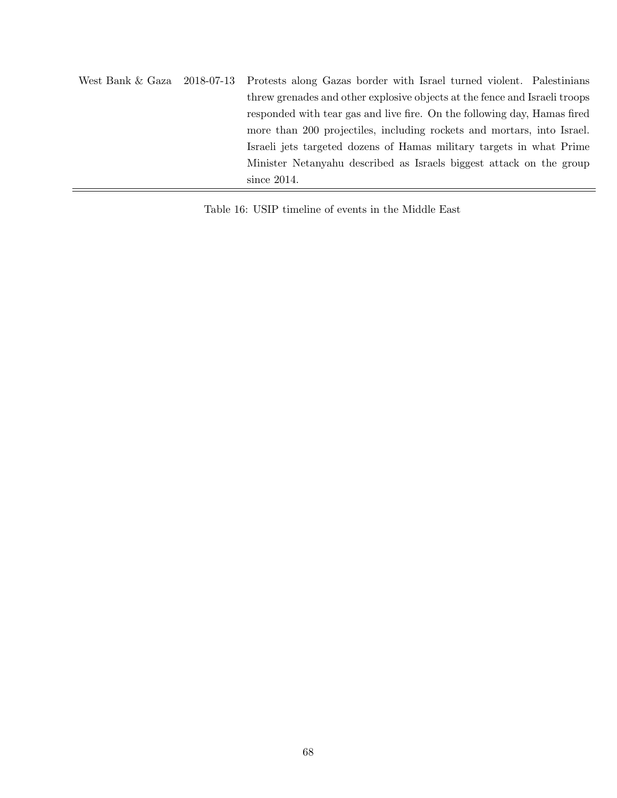West Bank & Gaza 2018-07-13 Protests along Gazas border with Israel turned violent. Palestinians threw grenades and other explosive objects at the fence and Israeli troops responded with tear gas and live fire. On the following day, Hamas fired more than 200 projectiles, including rockets and mortars, into Israel. Israeli jets targeted dozens of Hamas military targets in what Prime Minister Netanyahu described as Israels biggest attack on the group since 2014.

Table 16: USIP timeline of events in the Middle East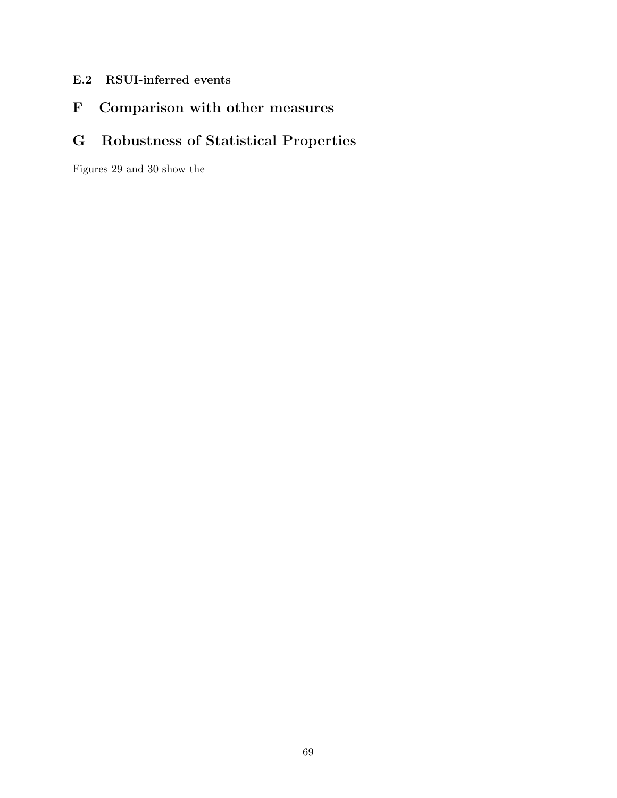- E.2 RSUI-inferred events
- F Comparison with other measures

# G Robustness of Statistical Properties

Figures 29 and 30 show the